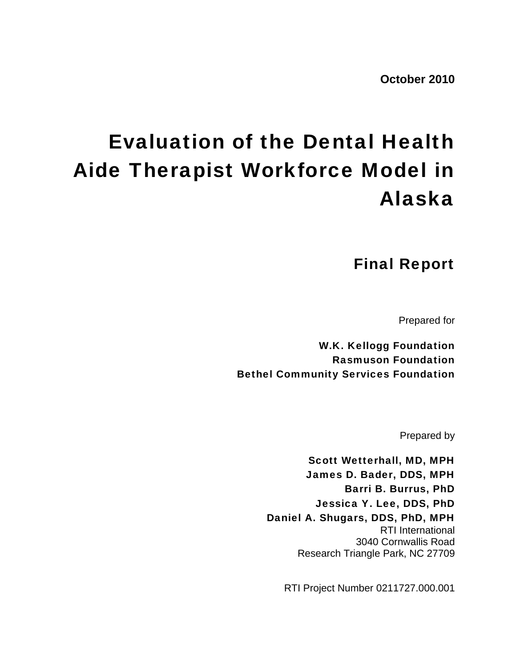**October 2010** 

# Evaluation of the Dental Health Aide Therapist Workforce Model in Alaska

Final Report

Prepared for

W.K. Kellogg Foundation Rasmuson Foundation Bethel Community Services Foundation

Prepared by

Scott Wetterhall, MD, MPH James D. Bader, DDS, MPH Barri B. Burrus, PhD Jessica Y. Lee, DDS, PhD Daniel A. Shugars, DDS, PhD, MPH RTI International 3040 Cornwallis Road Research Triangle Park, NC 27709

RTI Project Number 0211727.000.001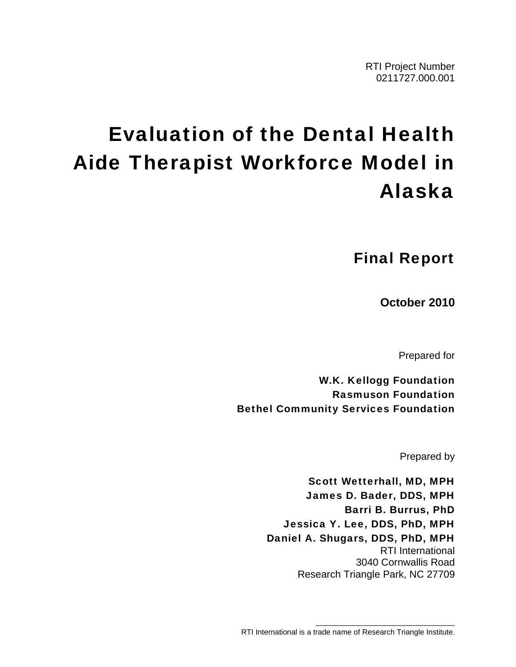# Evaluation of the Dental Health Aide Therapist Workforce Model in Alaska

Final Report

**October 2010** 

Prepared for

W.K. Kellogg Foundation Rasmuson Foundation Bethel Community Services Foundation

Prepared by

Scott Wetterhall, MD, MPH James D. Bader, DDS, MPH Barri B. Burrus, PhD Jessica Y. Lee, DDS, PhD, MPH Daniel A. Shugars, DDS, PhD, MPH RTI International 3040 Cornwallis Road Research Triangle Park, NC 27709

\_\_\_\_\_\_\_\_\_\_\_\_\_\_\_\_\_\_\_\_\_\_\_\_\_\_\_\_\_\_\_\_\_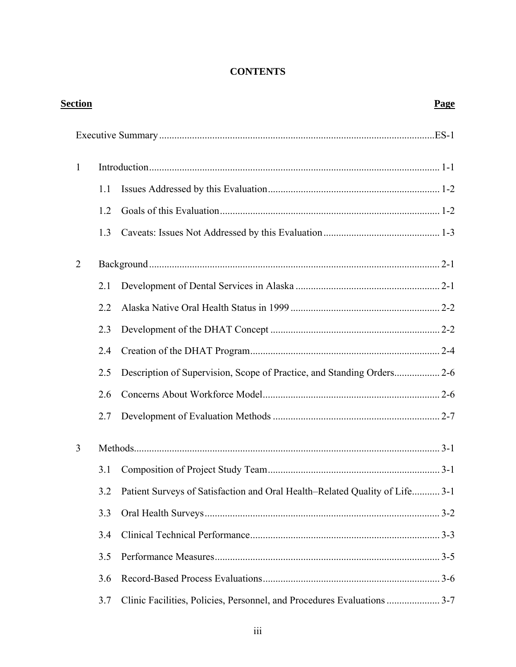# **CONTENTS**

| <u>Section</u> |     |                                                                             | <b>Page</b> |
|----------------|-----|-----------------------------------------------------------------------------|-------------|
|                |     |                                                                             |             |
| 1              |     |                                                                             |             |
|                | 1.1 |                                                                             |             |
|                | 1.2 |                                                                             |             |
|                | 1.3 |                                                                             |             |
| $\overline{2}$ |     |                                                                             |             |
|                | 2.1 |                                                                             |             |
|                | 2.2 |                                                                             |             |
|                | 2.3 |                                                                             |             |
|                | 2.4 |                                                                             |             |
|                | 2.5 |                                                                             |             |
|                | 2.6 |                                                                             |             |
|                | 2.7 |                                                                             |             |
| 3              |     |                                                                             |             |
|                | 3.1 |                                                                             |             |
|                | 3.2 | Patient Surveys of Satisfaction and Oral Health–Related Quality of Life 3-1 |             |
|                | 3.3 |                                                                             |             |
|                | 3.4 |                                                                             |             |
|                | 3.5 |                                                                             |             |
|                | 3.6 |                                                                             |             |
|                | 3.7 | Clinic Facilities, Policies, Personnel, and Procedures Evaluations  3-7     |             |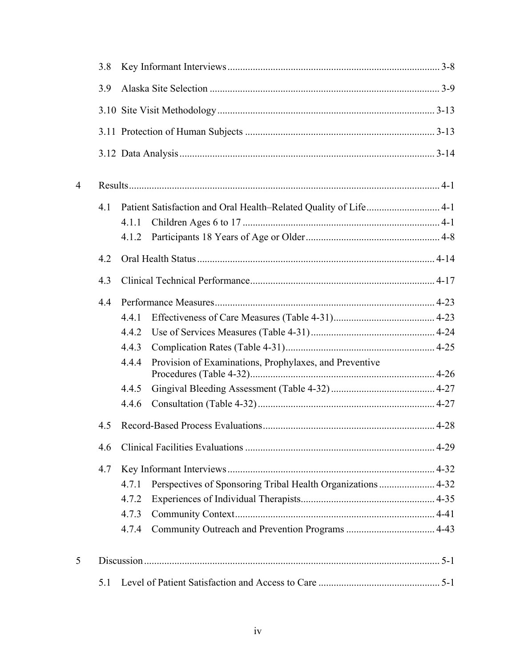|                | 3.8 |       |                                                              |  |  |
|----------------|-----|-------|--------------------------------------------------------------|--|--|
|                | 3.9 |       |                                                              |  |  |
|                |     |       |                                                              |  |  |
|                |     |       |                                                              |  |  |
|                |     |       |                                                              |  |  |
| $\overline{4}$ |     |       |                                                              |  |  |
|                | 4.1 |       |                                                              |  |  |
|                |     | 4.1.1 |                                                              |  |  |
|                |     | 4.1.2 |                                                              |  |  |
|                | 4.2 |       |                                                              |  |  |
|                | 4.3 |       |                                                              |  |  |
|                | 4.4 |       |                                                              |  |  |
|                |     | 4.4.1 |                                                              |  |  |
|                |     | 4.4.2 |                                                              |  |  |
|                |     | 4.4.3 |                                                              |  |  |
|                |     | 4.4.4 | Provision of Examinations, Prophylaxes, and Preventive       |  |  |
|                |     | 4.4.5 |                                                              |  |  |
|                |     | 4.4.6 |                                                              |  |  |
|                | 4.5 |       |                                                              |  |  |
|                | 4.6 |       |                                                              |  |  |
|                | 4.7 |       |                                                              |  |  |
|                |     | 4.7.1 | Perspectives of Sponsoring Tribal Health Organizations  4-32 |  |  |
|                |     | 4.7.2 |                                                              |  |  |
|                |     | 4.7.3 |                                                              |  |  |
|                |     | 4.7.4 |                                                              |  |  |
| 5              |     |       |                                                              |  |  |
|                | 5.1 |       |                                                              |  |  |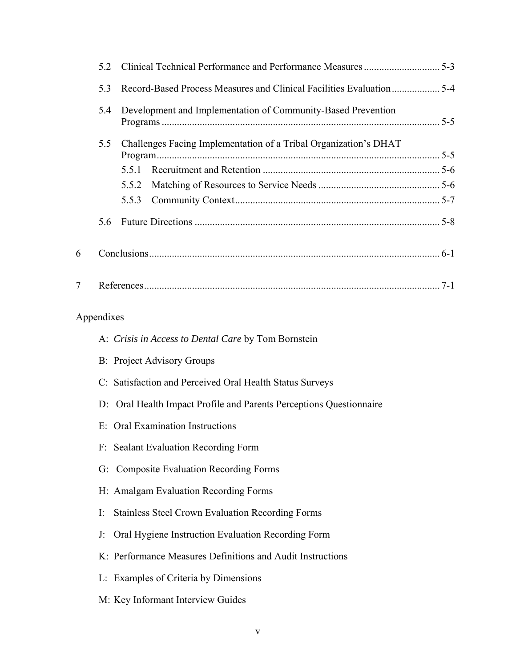|   | 5.2                                                                 |                                                                     |  |  |
|---|---------------------------------------------------------------------|---------------------------------------------------------------------|--|--|
|   | 5.3                                                                 |                                                                     |  |  |
|   | Development and Implementation of Community-Based Prevention<br>5.4 |                                                                     |  |  |
|   | 5.5                                                                 | Challenges Facing Implementation of a Tribal Organization's DHAT    |  |  |
|   |                                                                     | 5.5.1                                                               |  |  |
|   |                                                                     | 5.5.2                                                               |  |  |
|   |                                                                     | 5.5.3                                                               |  |  |
|   | 5.6                                                                 |                                                                     |  |  |
| 6 |                                                                     |                                                                     |  |  |
| 7 |                                                                     |                                                                     |  |  |
|   | Appendixes                                                          |                                                                     |  |  |
|   |                                                                     | A: Crisis in Access to Dental Care by Tom Bornstein                 |  |  |
|   |                                                                     | <b>B:</b> Project Advisory Groups                                   |  |  |
|   |                                                                     | C: Satisfaction and Perceived Oral Health Status Surveys            |  |  |
|   |                                                                     | D: Oral Health Impact Profile and Parents Perceptions Questionnaire |  |  |
|   |                                                                     | E: Oral Examination Instructions                                    |  |  |
|   | F:                                                                  | <b>Sealant Evaluation Recording Form</b>                            |  |  |
|   |                                                                     | G: Composite Evaluation Recording Forms                             |  |  |
|   |                                                                     | H: Amalgam Evaluation Recording Forms                               |  |  |
|   |                                                                     |                                                                     |  |  |
|   | I:                                                                  | <b>Stainless Steel Crown Evaluation Recording Forms</b>             |  |  |
|   | J:                                                                  | Oral Hygiene Instruction Evaluation Recording Form                  |  |  |
|   |                                                                     | K: Performance Measures Definitions and Audit Instructions          |  |  |
|   |                                                                     | L: Examples of Criteria by Dimensions                               |  |  |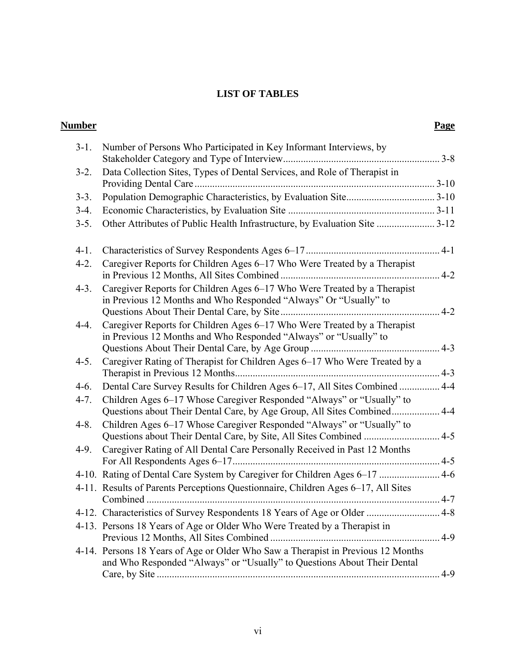# **LIST OF TABLES**

| Number    |                                                                                                                                                             | Page    |
|-----------|-------------------------------------------------------------------------------------------------------------------------------------------------------------|---------|
| $3-1$ .   | Number of Persons Who Participated in Key Informant Interviews, by                                                                                          |         |
| $3-2.$    | Data Collection Sites, Types of Dental Services, and Role of Therapist in                                                                                   |         |
| $3-3.$    |                                                                                                                                                             |         |
| $3-4.$    |                                                                                                                                                             |         |
| $3-5.$    | Other Attributes of Public Health Infrastructure, by Evaluation Site  3-12                                                                                  |         |
| $4-1.$    |                                                                                                                                                             |         |
| $4-2.$    | Caregiver Reports for Children Ages 6-17 Who Were Treated by a Therapist                                                                                    |         |
| $4-3.$    | Caregiver Reports for Children Ages 6–17 Who Were Treated by a Therapist<br>in Previous 12 Months and Who Responded "Always" Or "Usually" to                | $4 - 2$ |
| $4 - 4.$  | Caregiver Reports for Children Ages 6–17 Who Were Treated by a Therapist<br>in Previous 12 Months and Who Responded "Always" or "Usually" to                |         |
| $4 - 5$ . | Caregiver Rating of Therapist for Children Ages 6–17 Who Were Treated by a                                                                                  |         |
| $4-6.$    | Dental Care Survey Results for Children Ages 6-17, All Sites Combined  4-4                                                                                  |         |
| $4 - 7.$  | Children Ages 6–17 Whose Caregiver Responded "Always" or "Usually" to<br>Questions about Their Dental Care, by Age Group, All Sites Combined 4-4            |         |
| $4 - 8$ . | Children Ages 6–17 Whose Caregiver Responded "Always" or "Usually" to<br>Questions about Their Dental Care, by Site, All Sites Combined  4-5                |         |
| $4-9.$    | Caregiver Rating of All Dental Care Personally Received in Past 12 Months                                                                                   |         |
|           | 4-10. Rating of Dental Care System by Caregiver for Children Ages 6–17  4-6                                                                                 |         |
|           | 4-11. Results of Parents Perceptions Questionnaire, Children Ages 6–17, All Sites                                                                           |         |
|           | 4-12. Characteristics of Survey Respondents 18 Years of Age or Older  4-8                                                                                   |         |
|           | 4-13. Persons 18 Years of Age or Older Who Were Treated by a Therapist in                                                                                   |         |
|           | 4-14. Persons 18 Years of Age or Older Who Saw a Therapist in Previous 12 Months<br>and Who Responded "Always" or "Usually" to Questions About Their Dental | $4-9$   |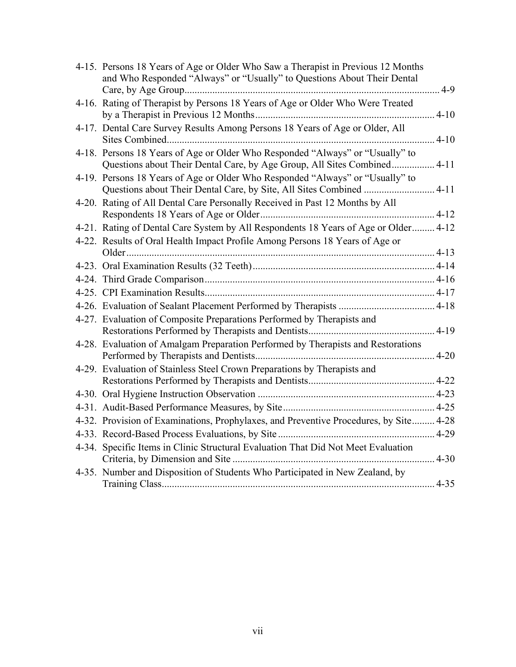| 4-15. Persons 18 Years of Age or Older Who Saw a Therapist in Previous 12 Months<br>and Who Responded "Always" or "Usually" to Questions About Their Dental | $4-9$    |
|-------------------------------------------------------------------------------------------------------------------------------------------------------------|----------|
| 4-16. Rating of Therapist by Persons 18 Years of Age or Older Who Were Treated                                                                              |          |
|                                                                                                                                                             | $4 - 10$ |
| 4-17. Dental Care Survey Results Among Persons 18 Years of Age or Older, All                                                                                | $4 - 10$ |
| 4-18. Persons 18 Years of Age or Older Who Responded "Always" or "Usually" to<br>Questions about Their Dental Care, by Age Group, All Sites Combined        | $4 - 11$ |
| 4-19. Persons 18 Years of Age or Older Who Responded "Always" or "Usually" to<br>Questions about Their Dental Care, by Site, All Sites Combined  4-11       |          |
| 4-20. Rating of All Dental Care Personally Received in Past 12 Months by All                                                                                | $4 - 12$ |
| 4-21. Rating of Dental Care System by All Respondents 18 Years of Age or Older 4-12                                                                         |          |
| 4-22. Results of Oral Health Impact Profile Among Persons 18 Years of Age or                                                                                |          |
|                                                                                                                                                             |          |
|                                                                                                                                                             |          |
|                                                                                                                                                             |          |
|                                                                                                                                                             |          |
|                                                                                                                                                             |          |
| 4-27. Evaluation of Composite Preparations Performed by Therapists and                                                                                      |          |
|                                                                                                                                                             | $4-19$   |
| 4-28. Evaluation of Amalgam Preparation Performed by Therapists and Restorations                                                                            |          |
| 4-29. Evaluation of Stainless Steel Crown Preparations by Therapists and                                                                                    |          |
|                                                                                                                                                             |          |
|                                                                                                                                                             |          |
|                                                                                                                                                             |          |
| 4-32. Provision of Examinations, Prophylaxes, and Preventive Procedures, by Site 4-28                                                                       |          |
|                                                                                                                                                             | $4 - 29$ |
| 4-34. Specific Items in Clinic Structural Evaluation That Did Not Meet Evaluation                                                                           | $4 - 30$ |
| 4-35. Number and Disposition of Students Who Participated in New Zealand, by                                                                                |          |
|                                                                                                                                                             | $4 - 35$ |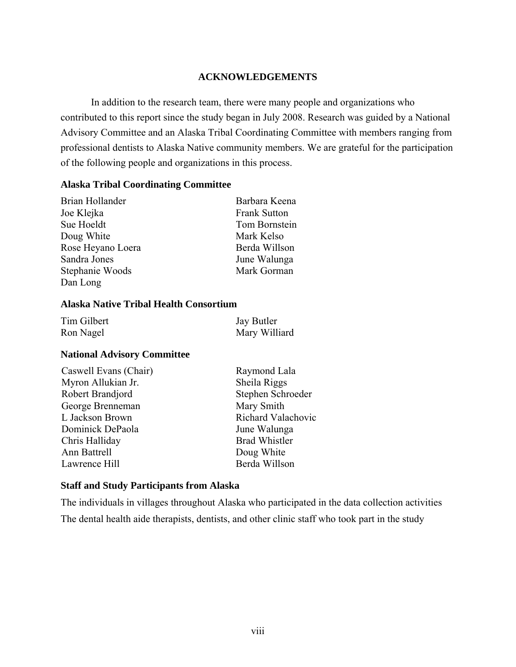# **ACKNOWLEDGEMENTS**

In addition to the research team, there were many people and organizations who contributed to this report since the study began in July 2008. Research was guided by a National Advisory Committee and an Alaska Tribal Coordinating Committee with members ranging from professional dentists to Alaska Native community members. We are grateful for the participation of the following people and organizations in this process.

# **Alaska Tribal Coordinating Committee**

| Brian Hollander   | Barbara Keena       |
|-------------------|---------------------|
| Joe Klejka        | <b>Frank Sutton</b> |
| Sue Hoeldt        | Tom Bornstein       |
| Doug White        | Mark Kelso          |
| Rose Heyano Loera | Berda Willson       |
| Sandra Jones      | June Walunga        |
| Stephanie Woods   | Mark Gorman         |
| Dan Long          |                     |

# **Alaska Native Tribal Health Consortium**

| Tim Gilbert | Jay Butler    |
|-------------|---------------|
| Ron Nagel   | Mary Williard |

# **National Advisory Committee**

| Caswell Evans (Chair) | Raymond Lala         |
|-----------------------|----------------------|
| Myron Allukian Jr.    | Sheila Riggs         |
| Robert Brandjord      | Stephen Schroeder    |
| George Brenneman      | Mary Smith           |
| L Jackson Brown       | Richard Valachovic   |
| Dominick DePaola      | June Walunga         |
| Chris Halliday        | <b>Brad Whistler</b> |
| Ann Battrell          | Doug White           |
| Lawrence Hill         | Berda Willson        |

# **Staff and Study Participants from Alaska**

The individuals in villages throughout Alaska who participated in the data collection activities The dental health aide therapists, dentists, and other clinic staff who took part in the study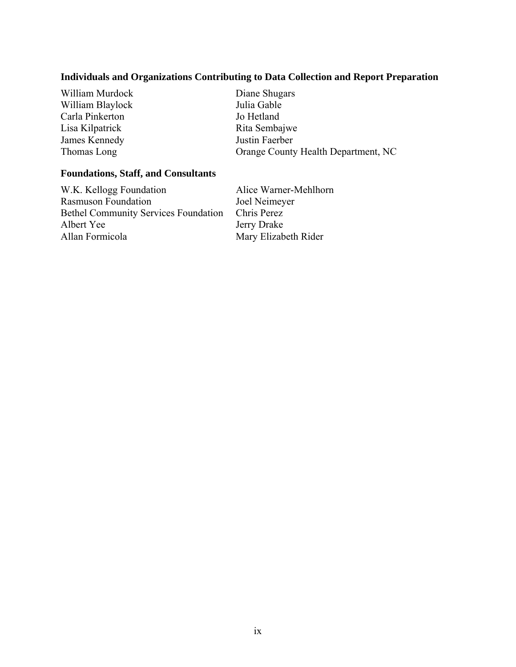# **Individuals and Organizations Contributing to Data Collection and Report Preparation**

| William Murdock  |
|------------------|
| William Blaylock |
| Carla Pinkerton  |
| Lisa Kilpatrick  |
| James Kennedy    |
| Thomas Long      |

Diane Shugars Julia Gable Jo Hetland Rita Sembajwe Justin Faerber Orange County Health Department, NC

# **Foundations, Staff, and Consultants**

W.K. Kellogg Foundation Alice Warner-Mehlhorn Rasmuson Foundation Joel Neimeyer Bethel Community Services Foundation Chris Perez Albert Yee Jerry Drake Allan Formicola Mary Elizabeth Rider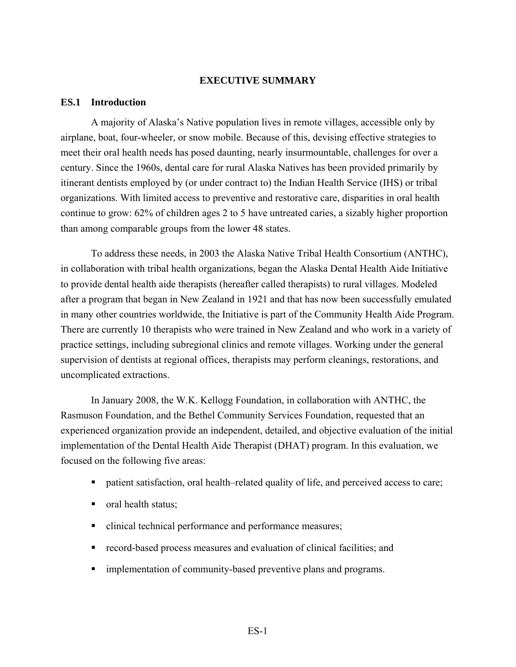#### **EXECUTIVE SUMMARY**

#### **ES.1 Introduction**

A majority of Alaska's Native population lives in remote villages, accessible only by airplane, boat, four-wheeler, or snow mobile. Because of this, devising effective strategies to meet their oral health needs has posed daunting, nearly insurmountable, challenges for over a century. Since the 1960s, dental care for rural Alaska Natives has been provided primarily by itinerant dentists employed by (or under contract to) the Indian Health Service (IHS) or tribal organizations. With limited access to preventive and restorative care, disparities in oral health continue to grow: 62% of children ages 2 to 5 have untreated caries, a sizably higher proportion than among comparable groups from the lower 48 states.

To address these needs, in 2003 the Alaska Native Tribal Health Consortium (ANTHC), in collaboration with tribal health organizations, began the Alaska Dental Health Aide Initiative to provide dental health aide therapists (hereafter called therapists) to rural villages. Modeled after a program that began in New Zealand in 1921 and that has now been successfully emulated in many other countries worldwide, the Initiative is part of the Community Health Aide Program. There are currently 10 therapists who were trained in New Zealand and who work in a variety of practice settings, including subregional clinics and remote villages. Working under the general supervision of dentists at regional offices, therapists may perform cleanings, restorations, and uncomplicated extractions.

In January 2008, the W.K. Kellogg Foundation, in collaboration with ANTHC, the Rasmuson Foundation, and the Bethel Community Services Foundation, requested that an experienced organization provide an independent, detailed, and objective evaluation of the initial implementation of the Dental Health Aide Therapist (DHAT) program. In this evaluation, we focused on the following five areas:

- patient satisfaction, oral health–related quality of life, and perceived access to care;
- oral health status;
- clinical technical performance and performance measures;
- record-based process measures and evaluation of clinical facilities; and
- implementation of community-based preventive plans and programs.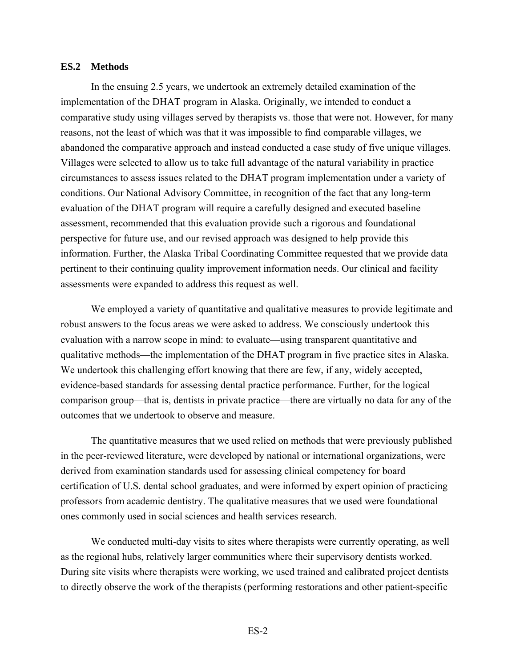#### **ES.2 Methods**

In the ensuing 2.5 years, we undertook an extremely detailed examination of the implementation of the DHAT program in Alaska. Originally, we intended to conduct a comparative study using villages served by therapists vs. those that were not. However, for many reasons, not the least of which was that it was impossible to find comparable villages, we abandoned the comparative approach and instead conducted a case study of five unique villages. Villages were selected to allow us to take full advantage of the natural variability in practice circumstances to assess issues related to the DHAT program implementation under a variety of conditions. Our National Advisory Committee, in recognition of the fact that any long-term evaluation of the DHAT program will require a carefully designed and executed baseline assessment, recommended that this evaluation provide such a rigorous and foundational perspective for future use, and our revised approach was designed to help provide this information. Further, the Alaska Tribal Coordinating Committee requested that we provide data pertinent to their continuing quality improvement information needs. Our clinical and facility assessments were expanded to address this request as well.

We employed a variety of quantitative and qualitative measures to provide legitimate and robust answers to the focus areas we were asked to address. We consciously undertook this evaluation with a narrow scope in mind: to evaluate—using transparent quantitative and qualitative methods—the implementation of the DHAT program in five practice sites in Alaska. We undertook this challenging effort knowing that there are few, if any, widely accepted, evidence-based standards for assessing dental practice performance. Further, for the logical comparison group—that is, dentists in private practice—there are virtually no data for any of the outcomes that we undertook to observe and measure.

The quantitative measures that we used relied on methods that were previously published in the peer-reviewed literature, were developed by national or international organizations, were derived from examination standards used for assessing clinical competency for board certification of U.S. dental school graduates, and were informed by expert opinion of practicing professors from academic dentistry. The qualitative measures that we used were foundational ones commonly used in social sciences and health services research.

We conducted multi-day visits to sites where therapists were currently operating, as well as the regional hubs, relatively larger communities where their supervisory dentists worked. During site visits where therapists were working, we used trained and calibrated project dentists to directly observe the work of the therapists (performing restorations and other patient-specific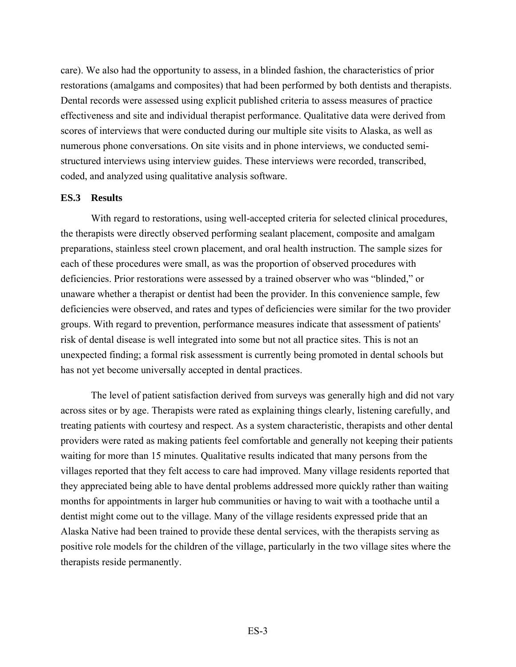care). We also had the opportunity to assess, in a blinded fashion, the characteristics of prior restorations (amalgams and composites) that had been performed by both dentists and therapists. Dental records were assessed using explicit published criteria to assess measures of practice effectiveness and site and individual therapist performance. Qualitative data were derived from scores of interviews that were conducted during our multiple site visits to Alaska, as well as numerous phone conversations. On site visits and in phone interviews, we conducted semistructured interviews using interview guides. These interviews were recorded, transcribed, coded, and analyzed using qualitative analysis software.

#### **ES.3 Results**

With regard to restorations, using well-accepted criteria for selected clinical procedures, the therapists were directly observed performing sealant placement, composite and amalgam preparations, stainless steel crown placement, and oral health instruction. The sample sizes for each of these procedures were small, as was the proportion of observed procedures with deficiencies. Prior restorations were assessed by a trained observer who was "blinded," or unaware whether a therapist or dentist had been the provider. In this convenience sample, few deficiencies were observed, and rates and types of deficiencies were similar for the two provider groups. With regard to prevention, performance measures indicate that assessment of patients' risk of dental disease is well integrated into some but not all practice sites. This is not an unexpected finding; a formal risk assessment is currently being promoted in dental schools but has not yet become universally accepted in dental practices.

The level of patient satisfaction derived from surveys was generally high and did not vary across sites or by age. Therapists were rated as explaining things clearly, listening carefully, and treating patients with courtesy and respect. As a system characteristic, therapists and other dental providers were rated as making patients feel comfortable and generally not keeping their patients waiting for more than 15 minutes. Qualitative results indicated that many persons from the villages reported that they felt access to care had improved. Many village residents reported that they appreciated being able to have dental problems addressed more quickly rather than waiting months for appointments in larger hub communities or having to wait with a toothache until a dentist might come out to the village. Many of the village residents expressed pride that an Alaska Native had been trained to provide these dental services, with the therapists serving as positive role models for the children of the village, particularly in the two village sites where the therapists reside permanently.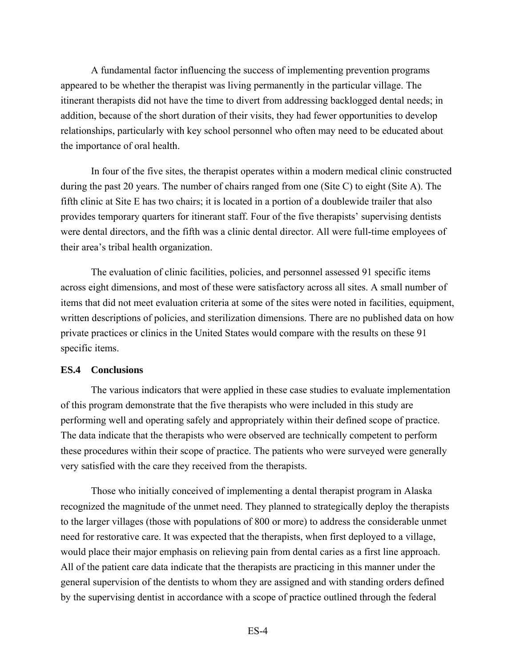A fundamental factor influencing the success of implementing prevention programs appeared to be whether the therapist was living permanently in the particular village. The itinerant therapists did not have the time to divert from addressing backlogged dental needs; in addition, because of the short duration of their visits, they had fewer opportunities to develop relationships, particularly with key school personnel who often may need to be educated about the importance of oral health.

In four of the five sites, the therapist operates within a modern medical clinic constructed during the past 20 years. The number of chairs ranged from one (Site C) to eight (Site A). The fifth clinic at Site E has two chairs; it is located in a portion of a doublewide trailer that also provides temporary quarters for itinerant staff. Four of the five therapists' supervising dentists were dental directors, and the fifth was a clinic dental director. All were full-time employees of their area's tribal health organization.

The evaluation of clinic facilities, policies, and personnel assessed 91 specific items across eight dimensions, and most of these were satisfactory across all sites. A small number of items that did not meet evaluation criteria at some of the sites were noted in facilities, equipment, written descriptions of policies, and sterilization dimensions. There are no published data on how private practices or clinics in the United States would compare with the results on these 91 specific items.

#### **ES.4 Conclusions**

The various indicators that were applied in these case studies to evaluate implementation of this program demonstrate that the five therapists who were included in this study are performing well and operating safely and appropriately within their defined scope of practice. The data indicate that the therapists who were observed are technically competent to perform these procedures within their scope of practice. The patients who were surveyed were generally very satisfied with the care they received from the therapists.

Those who initially conceived of implementing a dental therapist program in Alaska recognized the magnitude of the unmet need. They planned to strategically deploy the therapists to the larger villages (those with populations of 800 or more) to address the considerable unmet need for restorative care. It was expected that the therapists, when first deployed to a village, would place their major emphasis on relieving pain from dental caries as a first line approach. All of the patient care data indicate that the therapists are practicing in this manner under the general supervision of the dentists to whom they are assigned and with standing orders defined by the supervising dentist in accordance with a scope of practice outlined through the federal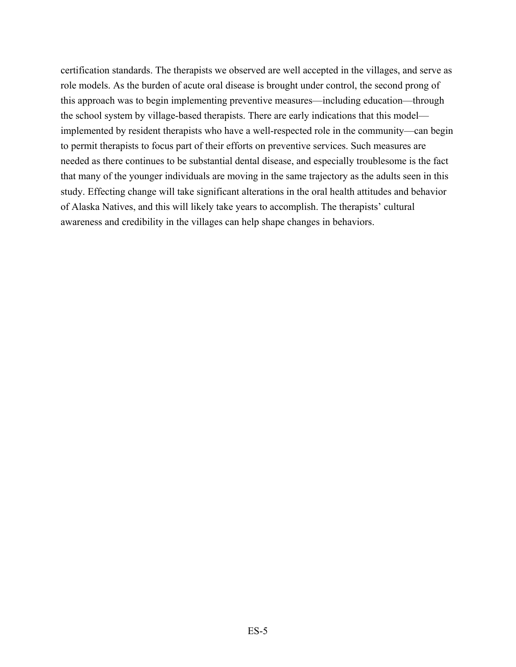certification standards. The therapists we observed are well accepted in the villages, and serve as role models. As the burden of acute oral disease is brought under control, the second prong of this approach was to begin implementing preventive measures—including education—through the school system by village-based therapists. There are early indications that this model implemented by resident therapists who have a well-respected role in the community—can begin to permit therapists to focus part of their efforts on preventive services. Such measures are needed as there continues to be substantial dental disease, and especially troublesome is the fact that many of the younger individuals are moving in the same trajectory as the adults seen in this study. Effecting change will take significant alterations in the oral health attitudes and behavior of Alaska Natives, and this will likely take years to accomplish. The therapists' cultural awareness and credibility in the villages can help shape changes in behaviors.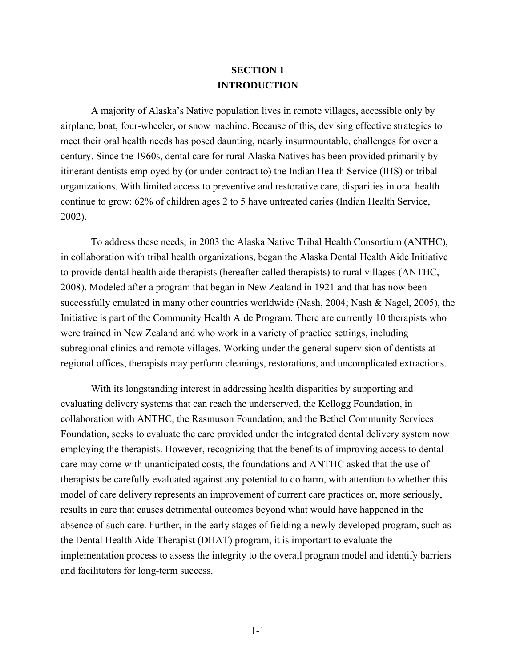# **SECTION 1 INTRODUCTION**

<span id="page-14-0"></span>A majority of Alaska's Native population lives in remote villages, accessible only by airplane, boat, four-wheeler, or snow machine. Because of this, devising effective strategies to meet their oral health needs has posed daunting, nearly insurmountable, challenges for over a century. Since the 1960s, dental care for rural Alaska Natives has been provided primarily by itinerant dentists employed by (or under contract to) the Indian Health Service (IHS) or tribal organizations. With limited access to preventive and restorative care, disparities in oral health continue to grow: 62% of children ages 2 to 5 have untreated caries (Indian Health Service, 2002).

To address these needs, in 2003 the Alaska Native Tribal Health Consortium (ANTHC), in collaboration with tribal health organizations, began the Alaska Dental Health Aide Initiative to provide dental health aide therapists (hereafter called therapists) to rural villages (ANTHC, 2008). Modeled after a program that began in New Zealand in 1921 and that has now been successfully emulated in many other countries worldwide (Nash, 2004; Nash & Nagel, 2005), the Initiative is part of the Community Health Aide Program. There are currently 10 therapists who were trained in New Zealand and who work in a variety of practice settings, including subregional clinics and remote villages. Working under the general supervision of dentists at regional offices, therapists may perform cleanings, restorations, and uncomplicated extractions.

With its longstanding interest in addressing health disparities by supporting and evaluating delivery systems that can reach the underserved, the Kellogg Foundation, in collaboration with ANTHC, the Rasmuson Foundation, and the Bethel Community Services Foundation, seeks to evaluate the care provided under the integrated dental delivery system now employing the therapists. However, recognizing that the benefits of improving access to dental care may come with unanticipated costs, the foundations and ANTHC asked that the use of therapists be carefully evaluated against any potential to do harm, with attention to whether this model of care delivery represents an improvement of current care practices or, more seriously, results in care that causes detrimental outcomes beyond what would have happened in the absence of such care. Further, in the early stages of fielding a newly developed program, such as the Dental Health Aide Therapist (DHAT) program, it is important to evaluate the implementation process to assess the integrity to the overall program model and identify barriers and facilitators for long-term success.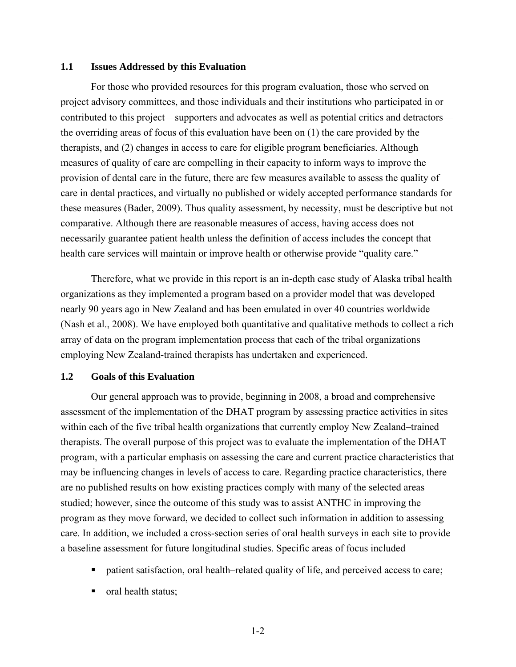### <span id="page-15-0"></span>**1.1 Issues Addressed by this Evaluation**

For those who provided resources for this program evaluation, those who served on project advisory committees, and those individuals and their institutions who participated in or contributed to this project—supporters and advocates as well as potential critics and detractors the overriding areas of focus of this evaluation have been on (1) the care provided by the therapists, and (2) changes in access to care for eligible program beneficiaries. Although measures of quality of care are compelling in their capacity to inform ways to improve the provision of dental care in the future, there are few measures available to assess the quality of care in dental practices, and virtually no published or widely accepted performance standards for these measures (Bader, 2009). Thus quality assessment, by necessity, must be descriptive but not comparative. Although there are reasonable measures of access, having access does not necessarily guarantee patient health unless the definition of access includes the concept that health care services will maintain or improve health or otherwise provide "quality care."

Therefore, what we provide in this report is an in-depth case study of Alaska tribal health organizations as they implemented a program based on a provider model that was developed nearly 90 years ago in New Zealand and has been emulated in over 40 countries worldwide (Nash et al., 2008). We have employed both quantitative and qualitative methods to collect a rich array of data on the program implementation process that each of the tribal organizations employing New Zealand-trained therapists has undertaken and experienced.

#### <span id="page-15-1"></span>**1.2 Goals of this Evaluation**

Our general approach was to provide, beginning in 2008, a broad and comprehensive assessment of the implementation of the DHAT program by assessing practice activities in sites within each of the five tribal health organizations that currently employ New Zealand–trained therapists. The overall purpose of this project was to evaluate the implementation of the DHAT program, with a particular emphasis on assessing the care and current practice characteristics that may be influencing changes in levels of access to care. Regarding practice characteristics, there are no published results on how existing practices comply with many of the selected areas studied; however, since the outcome of this study was to assist ANTHC in improving the program as they move forward, we decided to collect such information in addition to assessing care. In addition, we included a cross-section series of oral health surveys in each site to provide a baseline assessment for future longitudinal studies. Specific areas of focus included

- patient satisfaction, oral health–related quality of life, and perceived access to care;
- oral health status;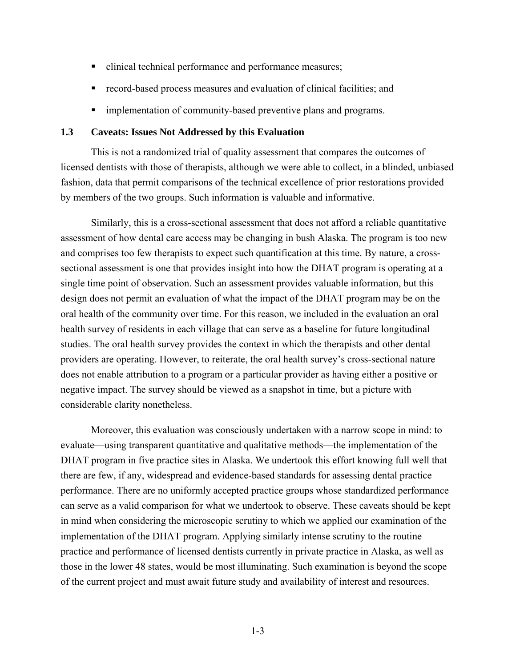- clinical technical performance and performance measures;
- record-based process measures and evaluation of clinical facilities; and
- **In** implementation of community-based preventive plans and programs.

## <span id="page-16-0"></span>**1.3 Caveats: Issues Not Addressed by this Evaluation**

This is not a randomized trial of quality assessment that compares the outcomes of licensed dentists with those of therapists, although we were able to collect, in a blinded, unbiased fashion, data that permit comparisons of the technical excellence of prior restorations provided by members of the two groups. Such information is valuable and informative.

Similarly, this is a cross-sectional assessment that does not afford a reliable quantitative assessment of how dental care access may be changing in bush Alaska. The program is too new and comprises too few therapists to expect such quantification at this time. By nature, a crosssectional assessment is one that provides insight into how the DHAT program is operating at a single time point of observation. Such an assessment provides valuable information, but this design does not permit an evaluation of what the impact of the DHAT program may be on the oral health of the community over time. For this reason, we included in the evaluation an oral health survey of residents in each village that can serve as a baseline for future longitudinal studies. The oral health survey provides the context in which the therapists and other dental providers are operating. However, to reiterate, the oral health survey's cross-sectional nature does not enable attribution to a program or a particular provider as having either a positive or negative impact. The survey should be viewed as a snapshot in time, but a picture with considerable clarity nonetheless.

Moreover, this evaluation was consciously undertaken with a narrow scope in mind: to evaluate—using transparent quantitative and qualitative methods—the implementation of the DHAT program in five practice sites in Alaska. We undertook this effort knowing full well that there are few, if any, widespread and evidence-based standards for assessing dental practice performance. There are no uniformly accepted practice groups whose standardized performance can serve as a valid comparison for what we undertook to observe. These caveats should be kept in mind when considering the microscopic scrutiny to which we applied our examination of the implementation of the DHAT program. Applying similarly intense scrutiny to the routine practice and performance of licensed dentists currently in private practice in Alaska, as well as those in the lower 48 states, would be most illuminating. Such examination is beyond the scope of the current project and must await future study and availability of interest and resources.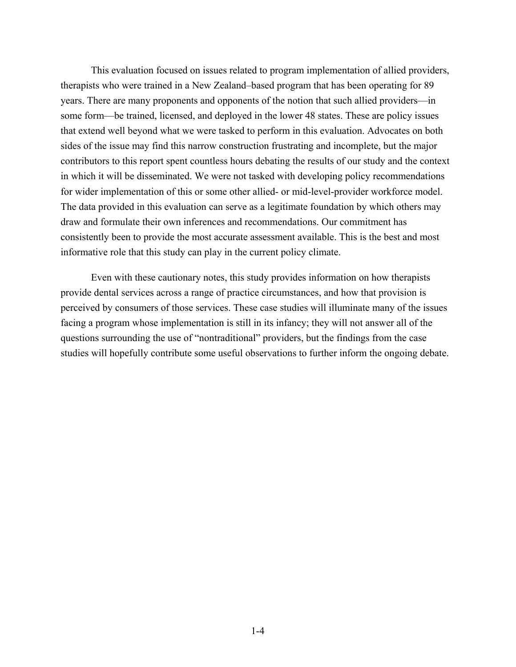This evaluation focused on issues related to program implementation of allied providers, therapists who were trained in a New Zealand–based program that has been operating for 89 years. There are many proponents and opponents of the notion that such allied providers—in some form—be trained, licensed, and deployed in the lower 48 states. These are policy issues that extend well beyond what we were tasked to perform in this evaluation. Advocates on both sides of the issue may find this narrow construction frustrating and incomplete, but the major contributors to this report spent countless hours debating the results of our study and the context in which it will be disseminated. We were not tasked with developing policy recommendations for wider implementation of this or some other allied- or mid-level-provider workforce model. The data provided in this evaluation can serve as a legitimate foundation by which others may draw and formulate their own inferences and recommendations. Our commitment has consistently been to provide the most accurate assessment available. This is the best and most informative role that this study can play in the current policy climate.

Even with these cautionary notes, this study provides information on how therapists provide dental services across a range of practice circumstances, and how that provision is perceived by consumers of those services. These case studies will illuminate many of the issues facing a program whose implementation is still in its infancy; they will not answer all of the questions surrounding the use of "nontraditional" providers, but the findings from the case studies will hopefully contribute some useful observations to further inform the ongoing debate.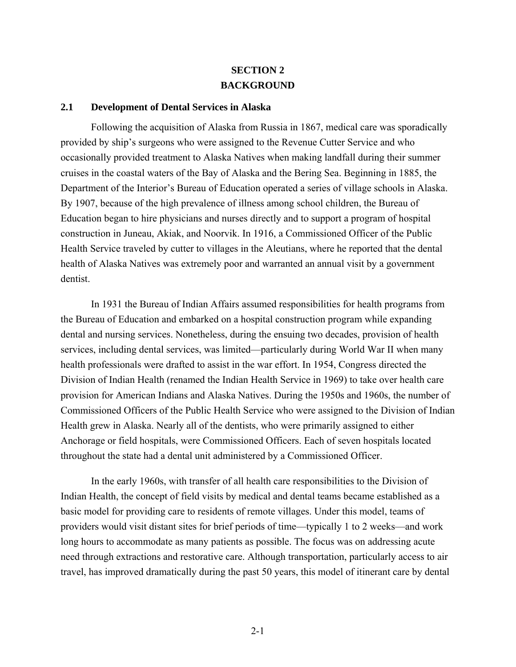# **SECTION 2 BACKGROUND**

#### <span id="page-18-1"></span><span id="page-18-0"></span>**2.1 Development of Dental Services in Alaska**

Following the acquisition of Alaska from Russia in 1867, medical care was sporadically provided by ship's surgeons who were assigned to the Revenue Cutter Service and who occasionally provided treatment to Alaska Natives when making landfall during their summer cruises in the coastal waters of the Bay of Alaska and the Bering Sea. Beginning in 1885, the Department of the Interior's Bureau of Education operated a series of village schools in Alaska. By 1907, because of the high prevalence of illness among school children, the Bureau of Education began to hire physicians and nurses directly and to support a program of hospital construction in Juneau, Akiak, and Noorvik. In 1916, a Commissioned Officer of the Public Health Service traveled by cutter to villages in the Aleutians, where he reported that the dental health of Alaska Natives was extremely poor and warranted an annual visit by a government dentist.

In 1931 the Bureau of Indian Affairs assumed responsibilities for health programs from the Bureau of Education and embarked on a hospital construction program while expanding dental and nursing services. Nonetheless, during the ensuing two decades, provision of health services, including dental services, was limited—particularly during World War II when many health professionals were drafted to assist in the war effort. In 1954, Congress directed the Division of Indian Health (renamed the Indian Health Service in 1969) to take over health care provision for American Indians and Alaska Natives. During the 1950s and 1960s, the number of Commissioned Officers of the Public Health Service who were assigned to the Division of Indian Health grew in Alaska. Nearly all of the dentists, who were primarily assigned to either Anchorage or field hospitals, were Commissioned Officers. Each of seven hospitals located throughout the state had a dental unit administered by a Commissioned Officer.

In the early 1960s, with transfer of all health care responsibilities to the Division of Indian Health, the concept of field visits by medical and dental teams became established as a basic model for providing care to residents of remote villages. Under this model, teams of providers would visit distant sites for brief periods of time—typically 1 to 2 weeks—and work long hours to accommodate as many patients as possible. The focus was on addressing acute need through extractions and restorative care. Although transportation, particularly access to air travel, has improved dramatically during the past 50 years, this model of itinerant care by dental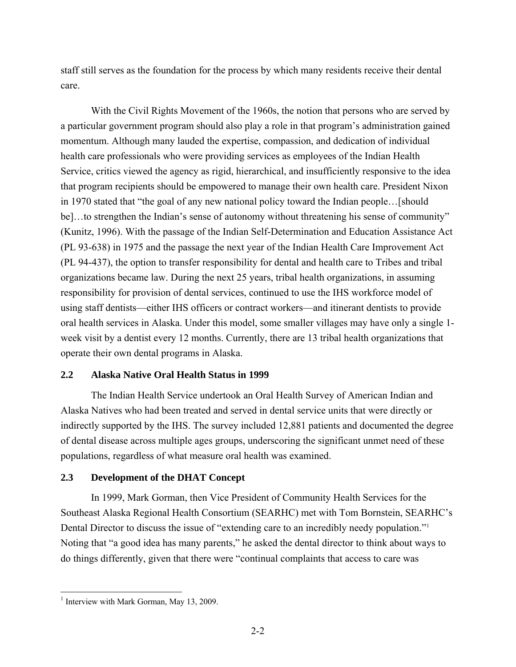<span id="page-19-2"></span>staff still serves as the foundation for the process by which many residents receive their dental care.

With the Civil Rights Movement of the 1960s, the notion that persons who are served by a particular government program should also play a role in that program's administration gained momentum. Although many lauded the expertise, compassion, and dedication of individual health care professionals who were providing services as employees of the Indian Health Service, critics viewed the agency as rigid, hierarchical, and insufficiently responsive to the idea that program recipients should be empowered to manage their own health care. President Nixon in 1970 stated that "the goal of any new national policy toward the Indian people…[should be]...to strengthen the Indian's sense of autonomy without threatening his sense of community" (Kunitz, 1996). With the passage of the Indian Self-Determination and Education Assistance Act (PL 93-638) in 1975 and the passage the next year of the Indian Health Care Improvement Act (PL 94-437), the option to transfer responsibility for dental and health care to Tribes and tribal organizations became law. During the next 25 years, tribal health organizations, in assuming responsibility for provision of dental services, continued to use the IHS workforce model of using staff dentists—either IHS officers or contract workers—and itinerant dentists to provide oral health services in Alaska. Under this model, some smaller villages may have only a single 1 week visit by a dentist every 12 months. Currently, there are 13 tribal health organizations that operate their own dental programs in Alaska.

# <span id="page-19-0"></span>**2.2 Alaska Native Oral Health Status in 1999**

The Indian Health Service undertook an Oral Health Survey of American Indian and Alaska Natives who had been treated and served in dental service units that were directly or indirectly supported by the IHS. The survey included 12,881 patients and documented the degree of dental disease across multiple ages groups, underscoring the significant unmet need of these populations, regardless of what measure oral health was examined.

# <span id="page-19-1"></span>**2.3 Development of the DHAT Concept**

In 1999, Mark Gorman, then Vice President of Community Health Services for the Southeast Alaska Regional Health Consortium (SEARHC) met with Tom Bornstein, SEARHC's Dental Director to discuss the issue of "extending care to an incredibly needy population."<sup>[1](#page-19-2)</sup> Noting that "a good idea has many parents," he asked the dental director to think about ways to do things differently, given that there were "continual complaints that access to care was

<u>.</u>

<sup>&</sup>lt;sup>1</sup> Interview with Mark Gorman, May 13, 2009.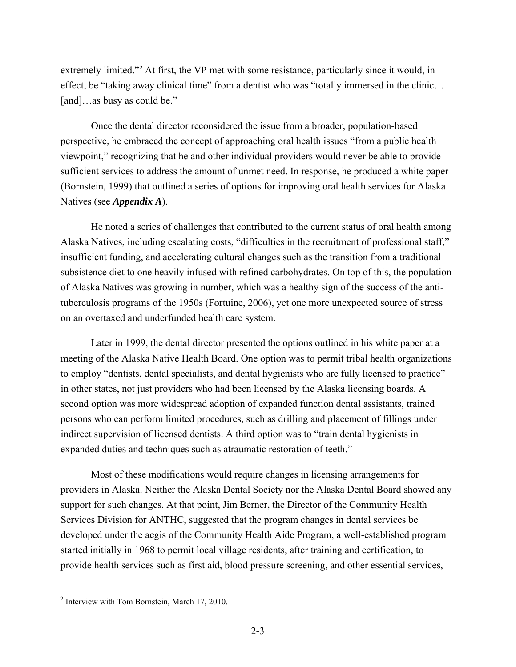<span id="page-20-0"></span>extremely limited."<sup>[2](#page-20-0)</sup> At first, the VP met with some resistance, particularly since it would, in effect, be "taking away clinical time" from a dentist who was "totally immersed in the clinic… [and]…as busy as could be."

Once the dental director reconsidered the issue from a broader, population-based perspective, he embraced the concept of approaching oral health issues "from a public health viewpoint," recognizing that he and other individual providers would never be able to provide sufficient services to address the amount of unmet need. In response, he produced a white paper (Bornstein, 1999) that outlined a series of options for improving oral health services for Alaska Natives (see *Appendix A*).

He noted a series of challenges that contributed to the current status of oral health among Alaska Natives, including escalating costs, "difficulties in the recruitment of professional staff," insufficient funding, and accelerating cultural changes such as the transition from a traditional subsistence diet to one heavily infused with refined carbohydrates. On top of this, the population of Alaska Natives was growing in number, which was a healthy sign of the success of the antituberculosis programs of the 1950s (Fortuine, 2006), yet one more unexpected source of stress on an overtaxed and underfunded health care system.

Later in 1999, the dental director presented the options outlined in his white paper at a meeting of the Alaska Native Health Board. One option was to permit tribal health organizations to employ "dentists, dental specialists, and dental hygienists who are fully licensed to practice" in other states, not just providers who had been licensed by the Alaska licensing boards. A second option was more widespread adoption of expanded function dental assistants, trained persons who can perform limited procedures, such as drilling and placement of fillings under indirect supervision of licensed dentists. A third option was to "train dental hygienists in expanded duties and techniques such as atraumatic restoration of teeth."

Most of these modifications would require changes in licensing arrangements for providers in Alaska. Neither the Alaska Dental Society nor the Alaska Dental Board showed any support for such changes. At that point, Jim Berner, the Director of the Community Health Services Division for ANTHC, suggested that the program changes in dental services be developed under the aegis of the Community Health Aide Program, a well-established program started initially in 1968 to permit local village residents, after training and certification, to provide health services such as first aid, blood pressure screening, and other essential services,

 $\overline{a}$ 

<sup>&</sup>lt;sup>2</sup> Interview with Tom Bornstein, March 17, 2010.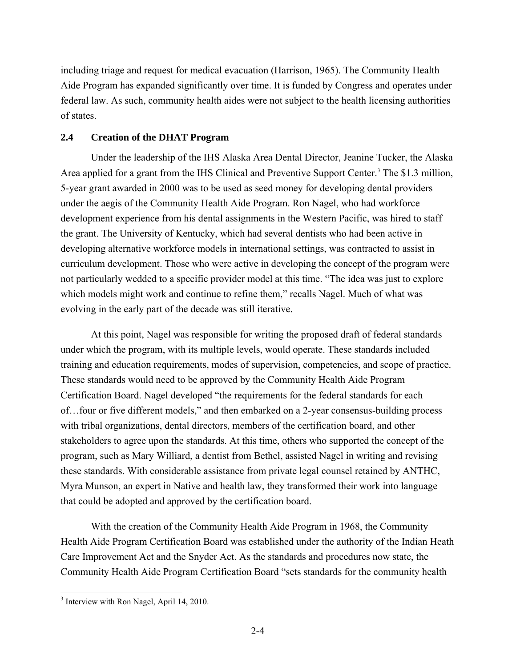<span id="page-21-1"></span>including triage and request for medical evacuation (Harrison, 1965). The Community Health Aide Program has expanded significantly over time. It is funded by Congress and operates under federal law. As such, community health aides were not subject to the health licensing authorities of states.

# <span id="page-21-0"></span>**2.4 Creation of the DHAT Program**

Under the leadership of the IHS Alaska Area Dental Director, Jeanine Tucker, the Alaska Area applied for a grant from the IHS Clinical and Preventive Support Center.<sup>[3](#page-21-1)</sup> The \$1.3 million, 5-year grant awarded in 2000 was to be used as seed money for developing dental providers under the aegis of the Community Health Aide Program. Ron Nagel, who had workforce development experience from his dental assignments in the Western Pacific, was hired to staff the grant. The University of Kentucky, which had several dentists who had been active in developing alternative workforce models in international settings, was contracted to assist in curriculum development. Those who were active in developing the concept of the program were not particularly wedded to a specific provider model at this time. "The idea was just to explore which models might work and continue to refine them," recalls Nagel. Much of what was evolving in the early part of the decade was still iterative.

At this point, Nagel was responsible for writing the proposed draft of federal standards under which the program, with its multiple levels, would operate. These standards included training and education requirements, modes of supervision, competencies, and scope of practice. These standards would need to be approved by the Community Health Aide Program Certification Board. Nagel developed "the requirements for the federal standards for each of…four or five different models," and then embarked on a 2-year consensus-building process with tribal organizations, dental directors, members of the certification board, and other stakeholders to agree upon the standards. At this time, others who supported the concept of the program, such as Mary Williard, a dentist from Bethel, assisted Nagel in writing and revising these standards. With considerable assistance from private legal counsel retained by ANTHC, Myra Munson, an expert in Native and health law, they transformed their work into language that could be adopted and approved by the certification board.

With the creation of the Community Health Aide Program in 1968, the Community Health Aide Program Certification Board was established under the authority of the Indian Heath Care Improvement Act and the Snyder Act. As the standards and procedures now state, the Community Health Aide Program Certification Board "sets standards for the community health

 $\overline{a}$ 

<sup>&</sup>lt;sup>3</sup> Interview with Ron Nagel, April 14, 2010.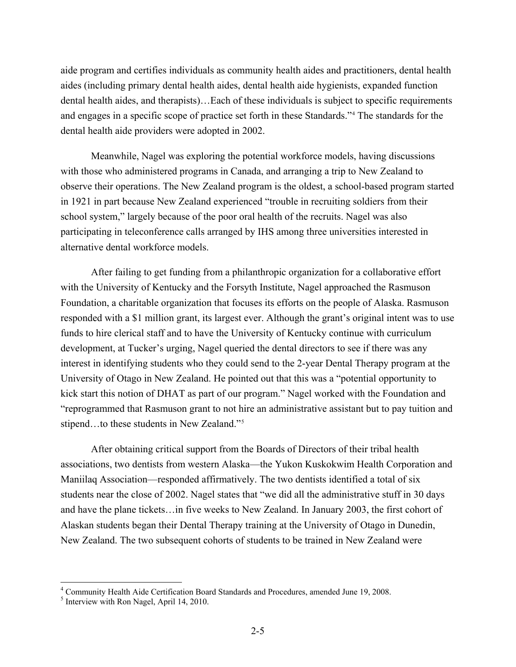<span id="page-22-0"></span>aide program and certifies individuals as community health aides and practitioners, dental health aides (including primary dental health aides, dental health aide hygienists, expanded function dental health aides, and therapists)…Each of these individuals is subject to specific requirements and engages in a specific scope of practice set forth in these Standards."[4](#page-22-0) The standards for the dental health aide providers were adopted in 2002.

Meanwhile, Nagel was exploring the potential workforce models, having discussions with those who administered programs in Canada, and arranging a trip to New Zealand to observe their operations. The New Zealand program is the oldest, a school-based program started in 1921 in part because New Zealand experienced "trouble in recruiting soldiers from their school system," largely because of the poor oral health of the recruits. Nagel was also participating in teleconference calls arranged by IHS among three universities interested in alternative dental workforce models.

After failing to get funding from a philanthropic organization for a collaborative effort with the University of Kentucky and the Forsyth Institute, Nagel approached the Rasmuson Foundation, a charitable organization that focuses its efforts on the people of Alaska. Rasmuson responded with a \$1 million grant, its largest ever. Although the grant's original intent was to use funds to hire clerical staff and to have the University of Kentucky continue with curriculum development, at Tucker's urging, Nagel queried the dental directors to see if there was any interest in identifying students who they could send to the 2-year Dental Therapy program at the University of Otago in New Zealand. He pointed out that this was a "potential opportunity to kick start this notion of DHAT as part of our program." Nagel worked with the Foundation and "reprogrammed that Rasmuson grant to not hire an administrative assistant but to pay tuition and stipend...to these students in New Zealand."<sup>[5](#page-22-0)</sup>

After obtaining critical support from the Boards of Directors of their tribal health associations, two dentists from western Alaska—the Yukon Kuskokwim Health Corporation and Maniilaq Association—responded affirmatively. The two dentists identified a total of six students near the close of 2002. Nagel states that "we did all the administrative stuff in 30 days and have the plane tickets…in five weeks to New Zealand. In January 2003, the first cohort of Alaskan students began their Dental Therapy training at the University of Otago in Dunedin, New Zealand. The two subsequent cohorts of students to be trained in New Zealand were

 $\overline{a}$ 

<sup>4</sup> Community Health Aide Certification Board Standards and Procedures, amended June 19, 2008.

<sup>&</sup>lt;sup>5</sup> Interview with Ron Nagel, April 14, 2010.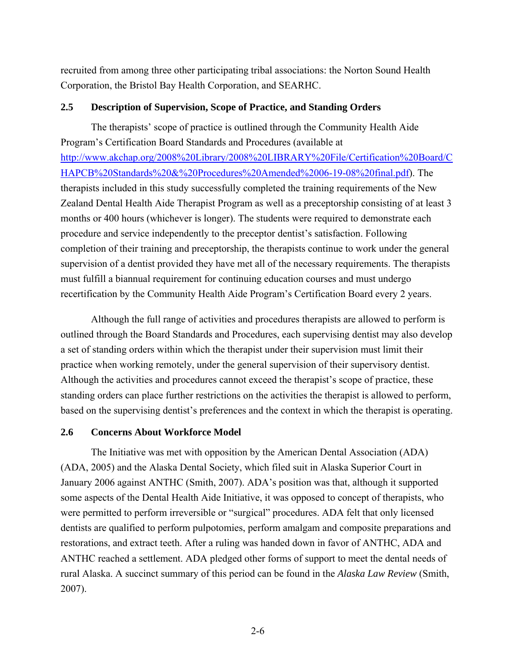recruited from among three other participating tribal associations: the Norton Sound Health Corporation, the Bristol Bay Health Corporation, and SEARHC.

# <span id="page-23-0"></span>**2.5 Description of Supervision, Scope of Practice, and Standing Orders**

The therapists' scope of practice is outlined through the Community Health Aide Program's Certification Board Standards and Procedures (available at [http://www.akchap.org/2008%20Library/2008%20LIBRARY%20File/Certification%20Board/C](http://www.akchap.org/2008 Library/2008 LIBRARY File/Certification Board/CHAPCB Standards & Procedures Amended 06-19-08 final.pdf) [HAPCB%20Standards%20&%20Procedures%20Amended%2006-19-08%20final.pdf\)](http://www.akchap.org/2008 Library/2008 LIBRARY File/Certification Board/CHAPCB Standards & Procedures Amended 06-19-08 final.pdf). The therapists included in this study successfully completed the training requirements of the New Zealand Dental Health Aide Therapist Program as well as a preceptorship consisting of at least 3 months or 400 hours (whichever is longer). The students were required to demonstrate each procedure and service independently to the preceptor dentist's satisfaction. Following completion of their training and preceptorship, the therapists continue to work under the general supervision of a dentist provided they have met all of the necessary requirements. The therapists must fulfill a biannual requirement for continuing education courses and must undergo recertification by the Community Health Aide Program's Certification Board every 2 years.

Although the full range of activities and procedures therapists are allowed to perform is outlined through the Board Standards and Procedures, each supervising dentist may also develop a set of standing orders within which the therapist under their supervision must limit their practice when working remotely, under the general supervision of their supervisory dentist. Although the activities and procedures cannot exceed the therapist's scope of practice, these standing orders can place further restrictions on the activities the therapist is allowed to perform, based on the supervising dentist's preferences and the context in which the therapist is operating.

# <span id="page-23-1"></span>**2.6 Concerns About Workforce Model**

The Initiative was met with opposition by the American Dental Association (ADA) (ADA, 2005) and the Alaska Dental Society, which filed suit in Alaska Superior Court in January 2006 against ANTHC (Smith, 2007). ADA's position was that, although it supported some aspects of the Dental Health Aide Initiative, it was opposed to concept of therapists, who were permitted to perform irreversible or "surgical" procedures. ADA felt that only licensed dentists are qualified to perform pulpotomies, perform amalgam and composite preparations and restorations, and extract teeth. After a ruling was handed down in favor of ANTHC, ADA and ANTHC reached a settlement. ADA pledged other forms of support to meet the dental needs of rural Alaska. A succinct summary of this period can be found in the *Alaska Law Review* (Smith, 2007).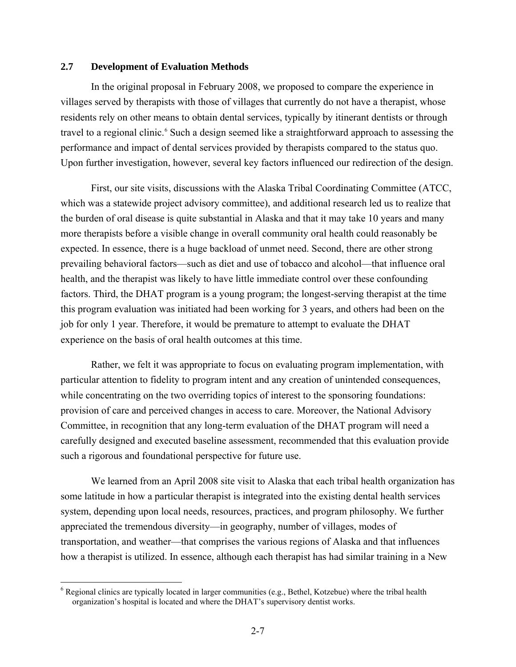# <span id="page-24-1"></span><span id="page-24-0"></span>**2.7 Development of Evaluation Methods**

In the original proposal in February 2008, we proposed to compare the experience in villages served by therapists with those of villages that currently do not have a therapist, whose residents rely on other means to obtain dental services, typically by itinerant dentists or through travel to a regional clinic.<sup>6</sup> Such a design seemed like a straightforward approach to assessing the performance and impact of dental services provided by therapists compared to the status quo. Upon further investigation, however, several key factors influenced our redirection of the design.

First, our site visits, discussions with the Alaska Tribal Coordinating Committee (ATCC, which was a statewide project advisory committee), and additional research led us to realize that the burden of oral disease is quite substantial in Alaska and that it may take 10 years and many more therapists before a visible change in overall community oral health could reasonably be expected. In essence, there is a huge backload of unmet need. Second, there are other strong prevailing behavioral factors—such as diet and use of tobacco and alcohol—that influence oral health, and the therapist was likely to have little immediate control over these confounding factors. Third, the DHAT program is a young program; the longest-serving therapist at the time this program evaluation was initiated had been working for 3 years, and others had been on the job for only 1 year. Therefore, it would be premature to attempt to evaluate the DHAT experience on the basis of oral health outcomes at this time.

Rather, we felt it was appropriate to focus on evaluating program implementation, with particular attention to fidelity to program intent and any creation of unintended consequences, while concentrating on the two overriding topics of interest to the sponsoring foundations: provision of care and perceived changes in access to care. Moreover, the National Advisory Committee, in recognition that any long-term evaluation of the DHAT program will need a carefully designed and executed baseline assessment, recommended that this evaluation provide such a rigorous and foundational perspective for future use.

We learned from an April 2008 site visit to Alaska that each tribal health organization has some latitude in how a particular therapist is integrated into the existing dental health services system, depending upon local needs, resources, practices, and program philosophy. We further appreciated the tremendous diversity—in geography, number of villages, modes of transportation, and weather—that comprises the various regions of Alaska and that influences how a therapist is utilized. In essence, although each therapist has had similar training in a New

1

 $6$  Regional clinics are typically located in larger communities (e.g., Bethel, Kotzebue) where the tribal health organization's hospital is located and where the DHAT's supervisory dentist works.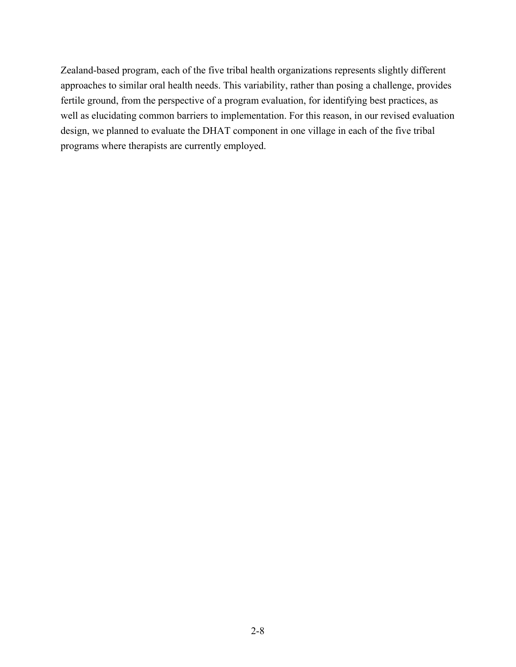Zealand-based program, each of the five tribal health organizations represents slightly different approaches to similar oral health needs. This variability, rather than posing a challenge, provides fertile ground, from the perspective of a program evaluation, for identifying best practices, as well as elucidating common barriers to implementation. For this reason, in our revised evaluation design, we planned to evaluate the DHAT component in one village in each of the five tribal programs where therapists are currently employed.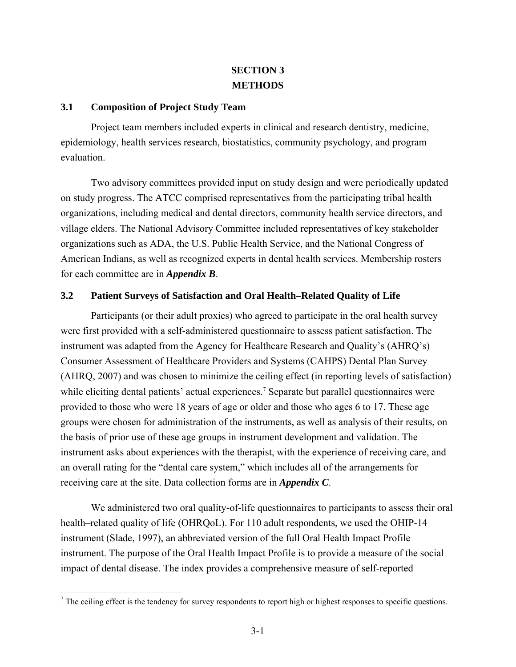# **SECTION 3 METHODS**

# <span id="page-26-3"></span><span id="page-26-1"></span><span id="page-26-0"></span>**3.1 Composition of Project Study Team**

Project team members included experts in clinical and research dentistry, medicine, epidemiology, health services research, biostatistics, community psychology, and program evaluation.

Two advisory committees provided input on study design and were periodically updated on study progress. The ATCC comprised representatives from the participating tribal health organizations, including medical and dental directors, community health service directors, and village elders. The National Advisory Committee included representatives of key stakeholder organizations such as ADA, the U.S. Public Health Service, and the National Congress of American Indians, as well as recognized experts in dental health services. Membership rosters for each committee are in *Appendix B*.

# <span id="page-26-2"></span>**3.2 Patient Surveys of Satisfaction and Oral Health–Related Quality of Life**

Participants (or their adult proxies) who agreed to participate in the oral health survey were first provided with a self-administered questionnaire to assess patient satisfaction. The instrument was adapted from the Agency for Healthcare Research and Quality's (AHRQ's) Consumer Assessment of Healthcare Providers and Systems (CAHPS) Dental Plan Survey (AHRQ, 2007) and was chosen to minimize the ceiling effect (in reporting levels of satisfaction) while eliciting dental patients' actual experiences.<sup>[7](#page-26-3)</sup> Separate but parallel questionnaires were provided to those who were 18 years of age or older and those who ages 6 to 17. These age groups were chosen for administration of the instruments, as well as analysis of their results, on the basis of prior use of these age groups in instrument development and validation. The instrument asks about experiences with the therapist, with the experience of receiving care, and an overall rating for the "dental care system," which includes all of the arrangements for receiving care at the site. Data collection forms are in *Appendix C*.

We administered two oral quality-of-life questionnaires to participants to assess their oral health–related quality of life (OHRQoL). For 110 adult respondents, we used the OHIP-14 instrument (Slade, 1997), an abbreviated version of the full Oral Health Impact Profile instrument. The purpose of the Oral Health Impact Profile is to provide a measure of the social impact of dental disease. The index provides a comprehensive measure of self-reported

<sup>&</sup>lt;sup>7</sup> The ceiling effect is the tendency for survey respondents to report high or highest responses to specific questions.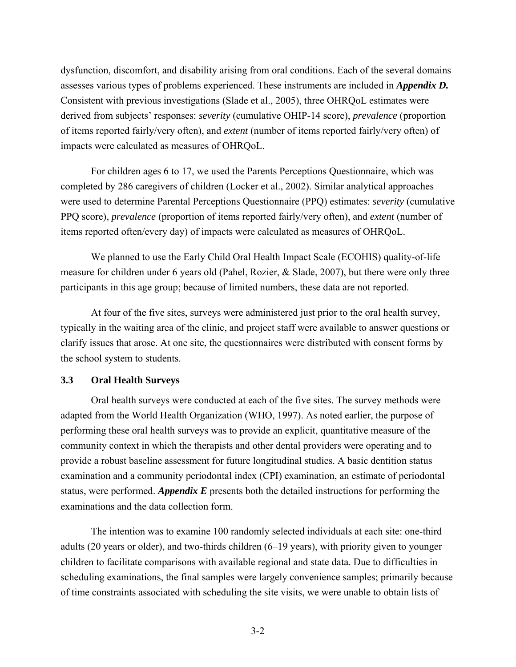dysfunction, discomfort, and disability arising from oral conditions. Each of the several domains assesses various types of problems experienced. These instruments are included in *Appendix D.*  Consistent with previous investigations (Slade et al., 2005), three OHRQoL estimates were derived from subjects' responses: *severity* (cumulative OHIP-14 score), *prevalence* (proportion of items reported fairly/very often), and *extent* (number of items reported fairly/very often) of impacts were calculated as measures of OHRQoL.

For children ages 6 to 17, we used the Parents Perceptions Questionnaire, which was completed by 286 caregivers of children (Locker et al., 2002). Similar analytical approaches were used to determine Parental Perceptions Questionnaire (PPQ) estimates: *severity* (cumulative PPQ score), *prevalence* (proportion of items reported fairly/very often), and *extent* (number of items reported often/every day) of impacts were calculated as measures of OHRQoL.

We planned to use the Early Child Oral Health Impact Scale (ECOHIS) quality-of-life measure for children under 6 years old (Pahel, Rozier, & Slade, 2007), but there were only three participants in this age group; because of limited numbers, these data are not reported.

At four of the five sites, surveys were administered just prior to the oral health survey, typically in the waiting area of the clinic, and project staff were available to answer questions or clarify issues that arose. At one site, the questionnaires were distributed with consent forms by the school system to students.

# <span id="page-27-0"></span>**3.3 Oral Health Surveys**

Oral health surveys were conducted at each of the five sites. The survey methods were adapted from the World Health Organization (WHO, 1997). As noted earlier, the purpose of performing these oral health surveys was to provide an explicit, quantitative measure of the community context in which the therapists and other dental providers were operating and to provide a robust baseline assessment for future longitudinal studies. A basic dentition status examination and a community periodontal index (CPI) examination, an estimate of periodontal status, were performed. *Appendix E* presents both the detailed instructions for performing the examinations and the data collection form.

The intention was to examine 100 randomly selected individuals at each site: one-third adults (20 years or older), and two-thirds children (6–19 years), with priority given to younger children to facilitate comparisons with available regional and state data. Due to difficulties in scheduling examinations, the final samples were largely convenience samples; primarily because of time constraints associated with scheduling the site visits, we were unable to obtain lists of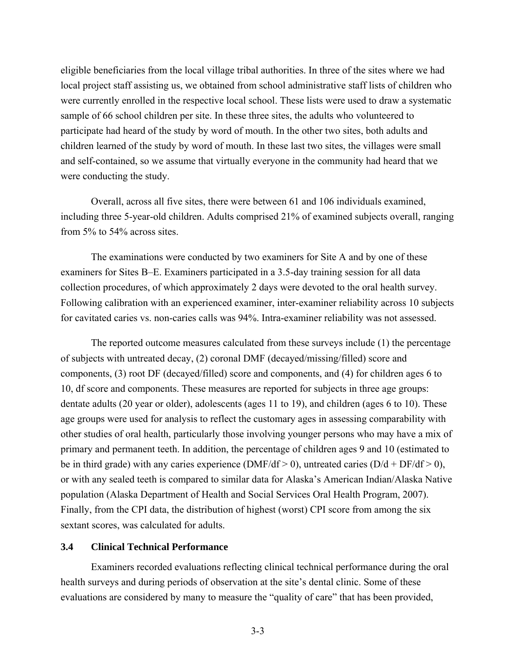eligible beneficiaries from the local village tribal authorities. In three of the sites where we had local project staff assisting us, we obtained from school administrative staff lists of children who were currently enrolled in the respective local school. These lists were used to draw a systematic sample of 66 school children per site. In these three sites, the adults who volunteered to participate had heard of the study by word of mouth. In the other two sites, both adults and children learned of the study by word of mouth. In these last two sites, the villages were small and self-contained, so we assume that virtually everyone in the community had heard that we were conducting the study.

Overall, across all five sites, there were between 61 and 106 individuals examined, including three 5-year-old children. Adults comprised 21% of examined subjects overall, ranging from 5% to 54% across sites.

The examinations were conducted by two examiners for Site A and by one of these examiners for Sites B–E. Examiners participated in a 3.5-day training session for all data collection procedures, of which approximately 2 days were devoted to the oral health survey. Following calibration with an experienced examiner, inter-examiner reliability across 10 subjects for cavitated caries vs. non-caries calls was 94%. Intra-examiner reliability was not assessed.

The reported outcome measures calculated from these surveys include (1) the percentage of subjects with untreated decay, (2) coronal DMF (decayed/missing/filled) score and components, (3) root DF (decayed/filled) score and components, and (4) for children ages 6 to 10, df score and components. These measures are reported for subjects in three age groups: dentate adults (20 year or older), adolescents (ages 11 to 19), and children (ages 6 to 10). These age groups were used for analysis to reflect the customary ages in assessing comparability with other studies of oral health, particularly those involving younger persons who may have a mix of primary and permanent teeth. In addition, the percentage of children ages 9 and 10 (estimated to be in third grade) with any caries experience (DMF/df > 0), untreated caries (D/d + DF/df > 0), or with any sealed teeth is compared to similar data for Alaska's American Indian/Alaska Native population (Alaska Department of Health and Social Services Oral Health Program, 2007). Finally, from the CPI data, the distribution of highest (worst) CPI score from among the six sextant scores, was calculated for adults.

# <span id="page-28-0"></span>**3.4 Clinical Technical Performance**

Examiners recorded evaluations reflecting clinical technical performance during the oral health surveys and during periods of observation at the site's dental clinic. Some of these evaluations are considered by many to measure the "quality of care" that has been provided,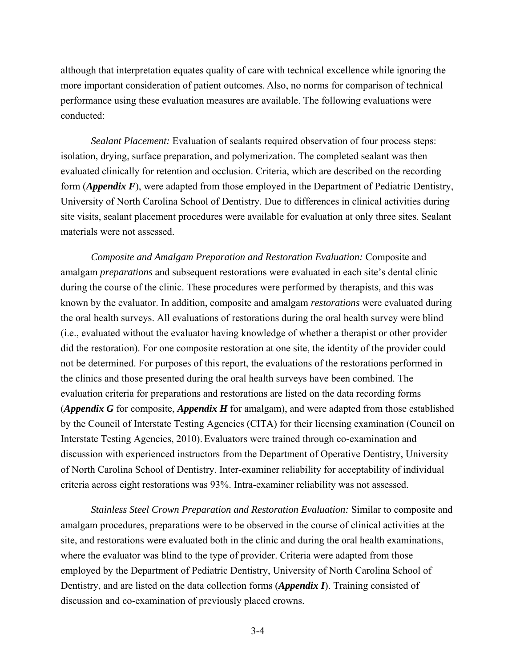although that interpretation equates quality of care with technical excellence while ignoring the more important consideration of patient outcomes. Also, no norms for comparison of technical performance using these evaluation measures are available. The following evaluations were conducted:

*Sealant Placement:* Evaluation of sealants required observation of four process steps: isolation, drying, surface preparation, and polymerization. The completed sealant was then evaluated clinically for retention and occlusion. Criteria, which are described on the recording form (*Appendix F*), were adapted from those employed in the Department of Pediatric Dentistry, University of North Carolina School of Dentistry. Due to differences in clinical activities during site visits, sealant placement procedures were available for evaluation at only three sites. Sealant materials were not assessed.

*Composite and Amalgam Preparation and Restoration Evaluation:* Composite and amalgam *preparations* and subsequent restorations were evaluated in each site's dental clinic during the course of the clinic. These procedures were performed by therapists, and this was known by the evaluator. In addition, composite and amalgam *restorations* were evaluated during the oral health surveys. All evaluations of restorations during the oral health survey were blind (i.e., evaluated without the evaluator having knowledge of whether a therapist or other provider did the restoration). For one composite restoration at one site, the identity of the provider could not be determined. For purposes of this report, the evaluations of the restorations performed in the clinics and those presented during the oral health surveys have been combined. The evaluation criteria for preparations and restorations are listed on the data recording forms (*Appendix G* for composite, *Appendix H* for amalgam), and were adapted from those established by the Council of Interstate Testing Agencies (CITA) for their licensing examination (Council on Interstate Testing Agencies, 2010). Evaluators were trained through co-examination and discussion with experienced instructors from the Department of Operative Dentistry, University of North Carolina School of Dentistry. Inter-examiner reliability for acceptability of individual criteria across eight restorations was 93%. Intra-examiner reliability was not assessed.

*Stainless Steel Crown Preparation and Restoration Evaluation:* Similar to composite and amalgam procedures, preparations were to be observed in the course of clinical activities at the site, and restorations were evaluated both in the clinic and during the oral health examinations, where the evaluator was blind to the type of provider. Criteria were adapted from those employed by the Department of Pediatric Dentistry, University of North Carolina School of Dentistry, and are listed on the data collection forms (*Appendix I*). Training consisted of discussion and co-examination of previously placed crowns.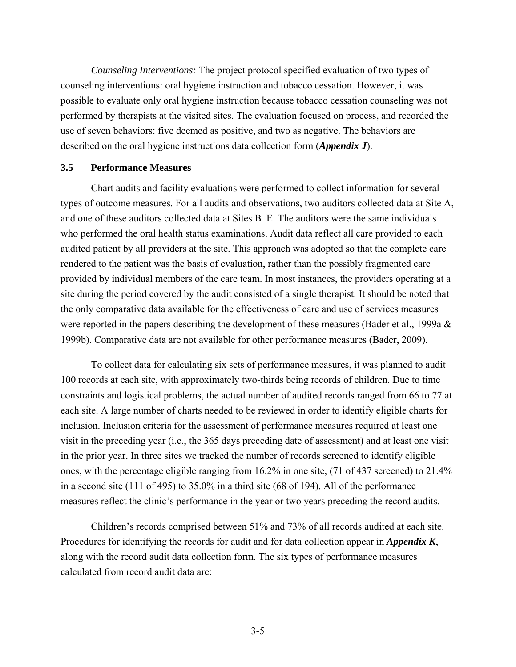*Counseling Interventions:* The project protocol specified evaluation of two types of counseling interventions: oral hygiene instruction and tobacco cessation. However, it was possible to evaluate only oral hygiene instruction because tobacco cessation counseling was not performed by therapists at the visited sites. The evaluation focused on process, and recorded the use of seven behaviors: five deemed as positive, and two as negative. The behaviors are described on the oral hygiene instructions data collection form (*Appendix J*).

## <span id="page-30-0"></span>**3.5 Performance Measures**

Chart audits and facility evaluations were performed to collect information for several types of outcome measures. For all audits and observations, two auditors collected data at Site A, and one of these auditors collected data at Sites B–E. The auditors were the same individuals who performed the oral health status examinations. Audit data reflect all care provided to each audited patient by all providers at the site. This approach was adopted so that the complete care rendered to the patient was the basis of evaluation, rather than the possibly fragmented care provided by individual members of the care team. In most instances, the providers operating at a site during the period covered by the audit consisted of a single therapist. It should be noted that the only comparative data available for the effectiveness of care and use of services measures were reported in the papers describing the development of these measures (Bader et al., 1999a & 1999b). Comparative data are not available for other performance measures (Bader, 2009).

To collect data for calculating six sets of performance measures, it was planned to audit 100 records at each site, with approximately two-thirds being records of children. Due to time constraints and logistical problems, the actual number of audited records ranged from 66 to 77 at each site. A large number of charts needed to be reviewed in order to identify eligible charts for inclusion. Inclusion criteria for the assessment of performance measures required at least one visit in the preceding year (i.e., the 365 days preceding date of assessment) and at least one visit in the prior year. In three sites we tracked the number of records screened to identify eligible ones, with the percentage eligible ranging from 16.2% in one site, (71 of 437 screened) to 21.4% in a second site (111 of 495) to 35.0% in a third site (68 of 194). All of the performance measures reflect the clinic's performance in the year or two years preceding the record audits.

Children's records comprised between 51% and 73% of all records audited at each site. Procedures for identifying the records for audit and for data collection appear in *Appendix K*, along with the record audit data collection form. The six types of performance measures calculated from record audit data are: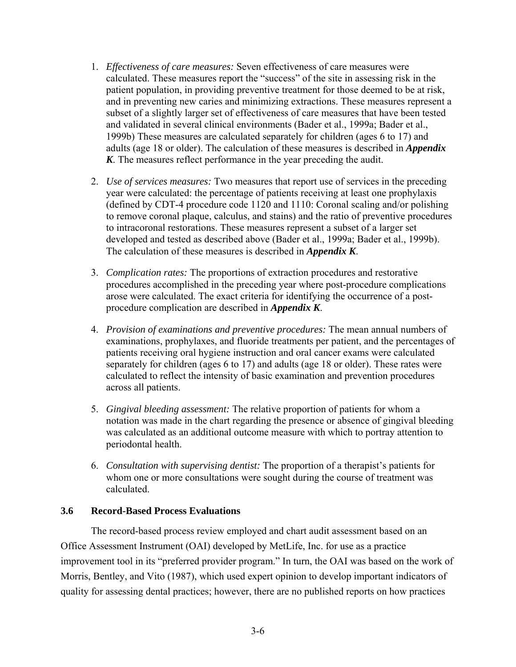- 1. *Effectiveness of care measures:* Seven effectiveness of care measures were calculated. These measures report the "success" of the site in assessing risk in the patient population, in providing preventive treatment for those deemed to be at risk, and in preventing new caries and minimizing extractions. These measures represent a subset of a slightly larger set of effectiveness of care measures that have been tested and validated in several clinical environments (Bader et al., 1999a; Bader et al., 1999b) These measures are calculated separately for children (ages 6 to 17) and adults (age 18 or older). The calculation of these measures is described in *Appendix K*. The measures reflect performance in the year preceding the audit.
- 2. *Use of services measures:* Two measures that report use of services in the preceding year were calculated: the percentage of patients receiving at least one prophylaxis (defined by CDT-4 procedure code 1120 and 1110: Coronal scaling and/or polishing to remove coronal plaque, calculus, and stains) and the ratio of preventive procedures to intracoronal restorations. These measures represent a subset of a larger set developed and tested as described above (Bader et al., 1999a; Bader et al., 1999b). The calculation of these measures is described in *Appendix K*.
- 3. *Complication rates:* The proportions of extraction procedures and restorative procedures accomplished in the preceding year where post-procedure complications arose were calculated. The exact criteria for identifying the occurrence of a postprocedure complication are described in *Appendix K*.
- 4. *Provision of examinations and preventive procedures:* The mean annual numbers of examinations, prophylaxes, and fluoride treatments per patient, and the percentages of patients receiving oral hygiene instruction and oral cancer exams were calculated separately for children (ages 6 to 17) and adults (age 18 or older). These rates were calculated to reflect the intensity of basic examination and prevention procedures across all patients.
- 5. *Gingival bleeding assessment:* The relative proportion of patients for whom a notation was made in the chart regarding the presence or absence of gingival bleeding was calculated as an additional outcome measure with which to portray attention to periodontal health.
- 6. *Consultation with supervising dentist:* The proportion of a therapist's patients for whom one or more consultations were sought during the course of treatment was calculated.

# <span id="page-31-0"></span>**3.6 Record-Based Process Evaluations**

The record-based process review employed and chart audit assessment based on an Office Assessment Instrument (OAI) developed by MetLife, Inc. for use as a practice improvement tool in its "preferred provider program." In turn, the OAI was based on the work of Morris, Bentley, and Vito (1987), which used expert opinion to develop important indicators of quality for assessing dental practices; however, there are no published reports on how practices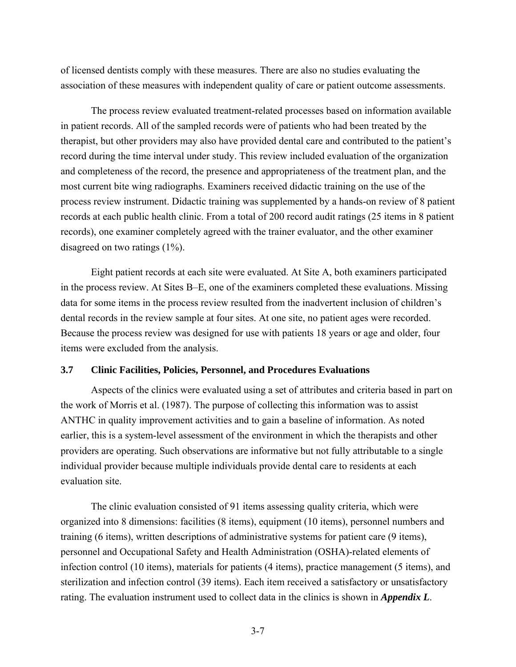of licensed dentists comply with these measures. There are also no studies evaluating the association of these measures with independent quality of care or patient outcome assessments.

The process review evaluated treatment-related processes based on information available in patient records. All of the sampled records were of patients who had been treated by the therapist, but other providers may also have provided dental care and contributed to the patient's record during the time interval under study. This review included evaluation of the organization and completeness of the record, the presence and appropriateness of the treatment plan, and the most current bite wing radiographs. Examiners received didactic training on the use of the process review instrument. Didactic training was supplemented by a hands-on review of 8 patient records at each public health clinic. From a total of 200 record audit ratings (25 items in 8 patient records), one examiner completely agreed with the trainer evaluator, and the other examiner disagreed on two ratings (1%).

Eight patient records at each site were evaluated. At Site A, both examiners participated in the process review. At Sites B–E, one of the examiners completed these evaluations. Missing data for some items in the process review resulted from the inadvertent inclusion of children's dental records in the review sample at four sites. At one site, no patient ages were recorded. Because the process review was designed for use with patients 18 years or age and older, four items were excluded from the analysis.

#### <span id="page-32-0"></span>**3.7 Clinic Facilities, Policies, Personnel, and Procedures Evaluations**

Aspects of the clinics were evaluated using a set of attributes and criteria based in part on the work of Morris et al. (1987). The purpose of collecting this information was to assist ANTHC in quality improvement activities and to gain a baseline of information. As noted earlier, this is a system-level assessment of the environment in which the therapists and other providers are operating. Such observations are informative but not fully attributable to a single individual provider because multiple individuals provide dental care to residents at each evaluation site.

The clinic evaluation consisted of 91 items assessing quality criteria, which were organized into 8 dimensions: facilities (8 items), equipment (10 items), personnel numbers and training (6 items), written descriptions of administrative systems for patient care (9 items), personnel and Occupational Safety and Health Administration (OSHA)-related elements of infection control (10 items), materials for patients (4 items), practice management (5 items), and sterilization and infection control (39 items). Each item received a satisfactory or unsatisfactory rating. The evaluation instrument used to collect data in the clinics is shown in *Appendix L*.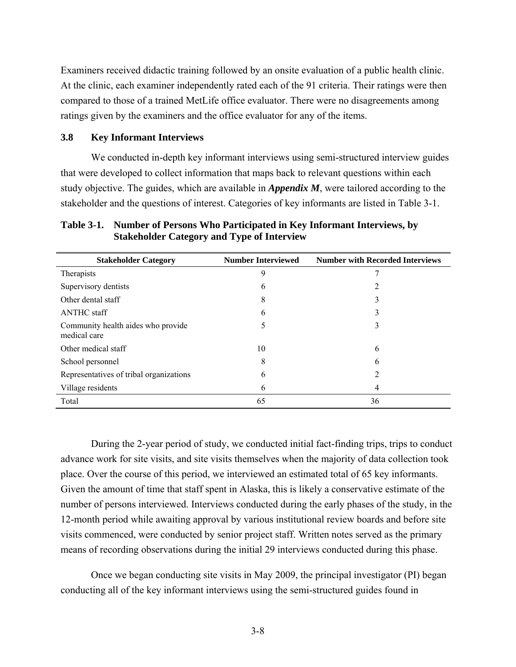Examiners received didactic training followed by an onsite evaluation of a public health clinic. At the clinic, each examiner independently rated each of the 91 criteria. Their ratings were then compared to those of a trained MetLife office evaluator. There were no disagreements among ratings given by the examiners and the office evaluator for any of the items.

#### <span id="page-33-0"></span>**3.8 Key Informant Interviews**

We conducted in-depth key informant interviews using semi-structured interview guides that were developed to collect information that maps back to relevant questions within each study objective. The guides, which are available in *Appendix M*, were tailored according to the stakeholder and the questions of interest. Categories of key informants are listed in Table 3-1.

<span id="page-33-1"></span>**Table 3-1. Number of Persons Who Participated in Key Informant Interviews, by Stakeholder Category and Type of Interview** 

| <b>Stakeholder Category</b>                        | <b>Number Interviewed</b> | <b>Number with Recorded Interviews</b> |
|----------------------------------------------------|---------------------------|----------------------------------------|
| Therapists                                         | 9                         |                                        |
| Supervisory dentists                               | 6                         | 2                                      |
| Other dental staff                                 | 8                         | 3                                      |
| <b>ANTHC</b> staff                                 | 6                         | 3                                      |
| Community health aides who provide<br>medical care | C                         | 3                                      |
| Other medical staff                                | 10                        | 6                                      |
| School personnel                                   | 8                         | 6                                      |
| Representatives of tribal organizations            | 6                         | 2                                      |
| Village residents                                  | 6                         | 4                                      |
| Total                                              | 65                        | 36                                     |

During the 2-year period of study, we conducted initial fact-finding trips, trips to conduct advance work for site visits, and site visits themselves when the majority of data collection took place. Over the course of this period, we interviewed an estimated total of 65 key informants. Given the amount of time that staff spent in Alaska, this is likely a conservative estimate of the number of persons interviewed. Interviews conducted during the early phases of the study, in the 12-month period while awaiting approval by various institutional review boards and before site visits commenced, were conducted by senior project staff. Written notes served as the primary means of recording observations during the initial 29 interviews conducted during this phase.

Once we began conducting site visits in May 2009, the principal investigator (PI) began conducting all of the key informant interviews using the semi-structured guides found in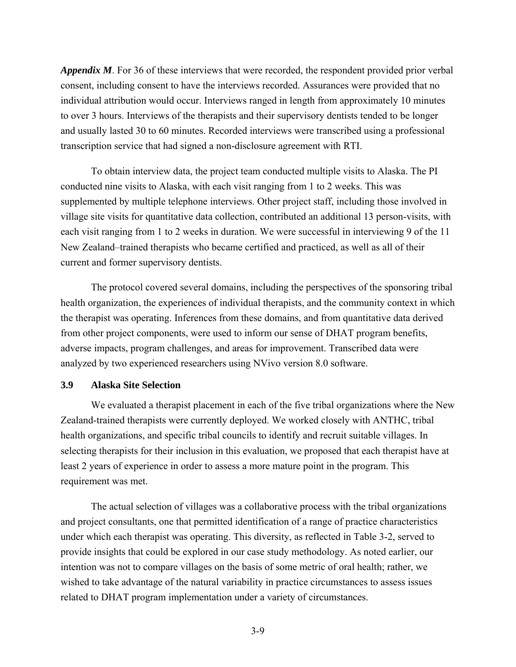*Appendix M*. For 36 of these interviews that were recorded, the respondent provided prior verbal consent, including consent to have the interviews recorded. Assurances were provided that no individual attribution would occur. Interviews ranged in length from approximately 10 minutes to over 3 hours. Interviews of the therapists and their supervisory dentists tended to be longer and usually lasted 30 to 60 minutes. Recorded interviews were transcribed using a professional transcription service that had signed a non-disclosure agreement with RTI.

To obtain interview data, the project team conducted multiple visits to Alaska. The PI conducted nine visits to Alaska, with each visit ranging from 1 to 2 weeks. This was supplemented by multiple telephone interviews. Other project staff, including those involved in village site visits for quantitative data collection, contributed an additional 13 person-visits, with each visit ranging from 1 to 2 weeks in duration. We were successful in interviewing 9 of the 11 New Zealand–trained therapists who became certified and practiced, as well as all of their current and former supervisory dentists.

The protocol covered several domains, including the perspectives of the sponsoring tribal health organization, the experiences of individual therapists, and the community context in which the therapist was operating. Inferences from these domains, and from quantitative data derived from other project components, were used to inform our sense of DHAT program benefits, adverse impacts, program challenges, and areas for improvement. Transcribed data were analyzed by two experienced researchers using NVivo version 8.0 software.

# <span id="page-34-0"></span>**3.9 Alaska Site Selection**

We evaluated a therapist placement in each of the five tribal organizations where the New Zealand-trained therapists were currently deployed. We worked closely with ANTHC, tribal health organizations, and specific tribal councils to identify and recruit suitable villages. In selecting therapists for their inclusion in this evaluation, we proposed that each therapist have at least 2 years of experience in order to assess a more mature point in the program. This requirement was met.

The actual selection of villages was a collaborative process with the tribal organizations and project consultants, one that permitted identification of a range of practice characteristics under which each therapist was operating. This diversity, as reflected in Table 3-2, served to provide insights that could be explored in our case study methodology. As noted earlier, our intention was not to compare villages on the basis of some metric of oral health; rather, we wished to take advantage of the natural variability in practice circumstances to assess issues related to DHAT program implementation under a variety of circumstances.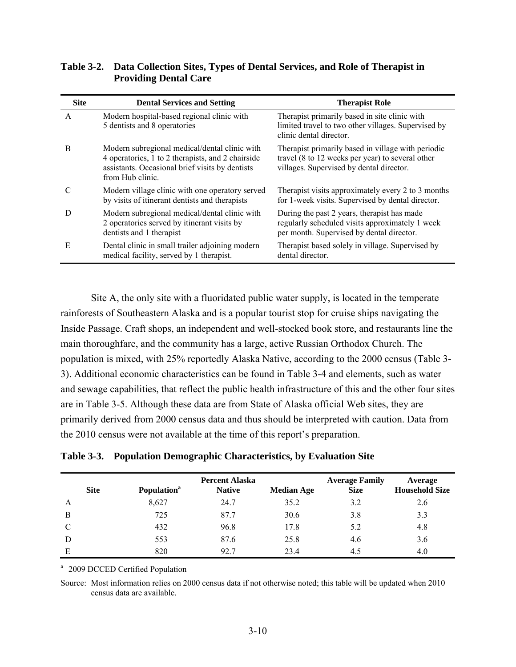| <b>Site</b>  | <b>Dental Services and Setting</b>                                                                                                                                        | <b>Therapist Role</b>                                                                                                                              |
|--------------|---------------------------------------------------------------------------------------------------------------------------------------------------------------------------|----------------------------------------------------------------------------------------------------------------------------------------------------|
| $\mathsf{A}$ | Modern hospital-based regional clinic with<br>5 dentists and 8 operatories                                                                                                | Therapist primarily based in site clinic with<br>limited travel to two other villages. Supervised by<br>clinic dental director.                    |
| B            | Modern subregional medical/dental clinic with<br>4 operatories, 1 to 2 therapists, and 2 chairside<br>assistants. Occasional brief visits by dentists<br>from Hub clinic. | Therapist primarily based in village with periodic<br>travel (8 to 12 weeks per year) to several other<br>villages. Supervised by dental director. |
| C            | Modern village clinic with one operatory served<br>by visits of itinerant dentists and therapists                                                                         | Therapist visits approximately every 2 to 3 months<br>for 1-week visits. Supervised by dental director.                                            |
| D            | Modern subregional medical/dental clinic with<br>2 operatories served by itinerant visits by<br>dentists and 1 therapist                                                  | During the past 2 years, therapist has made<br>regularly scheduled visits approximately 1 week<br>per month. Supervised by dental director.        |
| E            | Dental clinic in small trailer adjoining modern<br>medical facility, served by 1 therapist.                                                                               | Therapist based solely in village. Supervised by<br>dental director.                                                                               |

# <span id="page-35-0"></span>**Table 3-2. Data Collection Sites, Types of Dental Services, and Role of Therapist in Providing Dental Care**

Site A, the only site with a fluoridated public water supply, is located in the temperate rainforests of Southeastern Alaska and is a popular tourist stop for cruise ships navigating the Inside Passage. Craft shops, an independent and well-stocked book store, and restaurants line the main thoroughfare, and the community has a large, active Russian Orthodox Church. The population is mixed, with 25% reportedly Alaska Native, according to the 2000 census (Table 3- 3). Additional economic characteristics can be found in Table 3-4 and elements, such as water and sewage capabilities, that reflect the public health infrastructure of this and the other four sites are in Table 3-5. Although these data are from State of Alaska official Web sites, they are primarily derived from 2000 census data and thus should be interpreted with caution. Data from the 2010 census were not available at the time of this report's preparation.

<span id="page-35-1"></span>

| <b>Site</b> | <b>Population</b> <sup>a</sup> | <b>Percent Alaska</b><br><b>Native</b> | <b>Median Age</b> | <b>Average Family</b><br><b>Size</b> | Average<br><b>Household Size</b> |
|-------------|--------------------------------|----------------------------------------|-------------------|--------------------------------------|----------------------------------|
| A           | 8,627                          | 24.7                                   | 35.2              | 3.2                                  | 2.6                              |
| B           | 725                            | 87.7                                   | 30.6              | 3.8                                  | 3.3                              |
|             | 432                            | 96.8                                   | 17.8              | 5.2                                  | 4.8                              |
|             | 553                            | 87.6                                   | 25.8              | 4.6                                  | 3.6                              |
| E           | 820                            | 92.7                                   | 23.4              | 4.5                                  | 4.0                              |

# **Table 3-3. Population Demographic Characteristics, by Evaluation Site**

<sup>a</sup> 2009 DCCED Certified Population

Source: Most information relies on 2000 census data if not otherwise noted; this table will be updated when 2010 census data are available.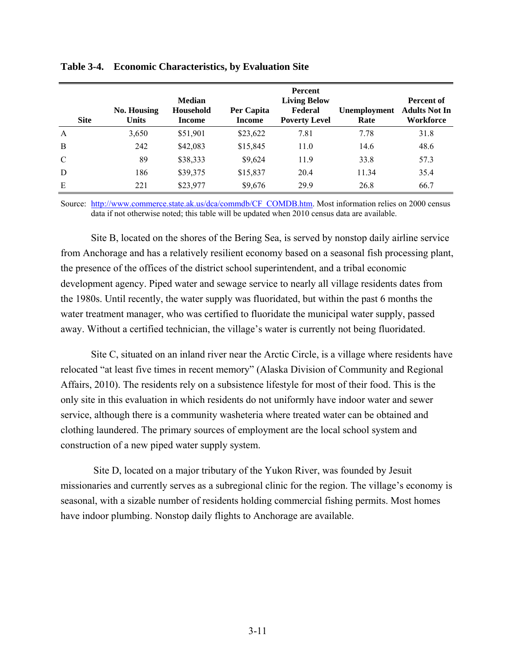| <b>Site</b>   | <b>No. Housing</b><br><b>Units</b> | <b>Median</b><br>Household<br><b>Income</b> | Per Capita<br><b>Income</b> | <b>Percent</b><br><b>Living Below</b><br>Federal<br><b>Poverty Level</b> | Unemployment<br>Rate | <b>Percent of</b><br><b>Adults Not In</b><br>Workforce |
|---------------|------------------------------------|---------------------------------------------|-----------------------------|--------------------------------------------------------------------------|----------------------|--------------------------------------------------------|
| $\mathbf{A}$  | 3,650                              | \$51,901                                    | \$23,622                    | 7.81                                                                     | 7.78                 | 31.8                                                   |
| B             | 242                                | \$42,083                                    | \$15,845                    | 11.0                                                                     | 14.6                 | 48.6                                                   |
| $\mathcal{C}$ | 89                                 | \$38,333                                    | \$9,624                     | 11.9                                                                     | 33.8                 | 57.3                                                   |
| D             | 186                                | \$39,375                                    | \$15,837                    | 20.4                                                                     | 11.34                | 35.4                                                   |
| Е             | 221                                | \$23,977                                    | \$9,676                     | 29.9                                                                     | 26.8                 | 66.7                                                   |

**Table 3-4. Economic Characteristics, by Evaluation Site** 

Source: [http://www.commerce.state.ak.us/dca/commdb/CF\\_COMDB.htm.](http://www.commerce.state.ak.us/dca/commdb/CF_COMDB.htm) Most information relies on 2000 census data if not otherwise noted; this table will be updated when 2010 census data are available.

Site B, located on the shores of the Bering Sea, is served by nonstop daily airline service from Anchorage and has a relatively resilient economy based on a seasonal fish processing plant, the presence of the offices of the district school superintendent, and a tribal economic development agency. Piped water and sewage service to nearly all village residents dates from the 1980s. Until recently, the water supply was fluoridated, but within the past 6 months the water treatment manager, who was certified to fluoridate the municipal water supply, passed away. Without a certified technician, the village's water is currently not being fluoridated.

Site C, situated on an inland river near the Arctic Circle, is a village where residents have relocated "at least five times in recent memory" (Alaska Division of Community and Regional Affairs, 2010). The residents rely on a subsistence lifestyle for most of their food. This is the only site in this evaluation in which residents do not uniformly have indoor water and sewer service, although there is a community washeteria where treated water can be obtained and clothing laundered. The primary sources of employment are the local school system and construction of a new piped water supply system.

 Site D, located on a major tributary of the Yukon River, was founded by Jesuit missionaries and currently serves as a subregional clinic for the region. The village's economy is seasonal, with a sizable number of residents holding commercial fishing permits. Most homes have indoor plumbing. Nonstop daily flights to Anchorage are available.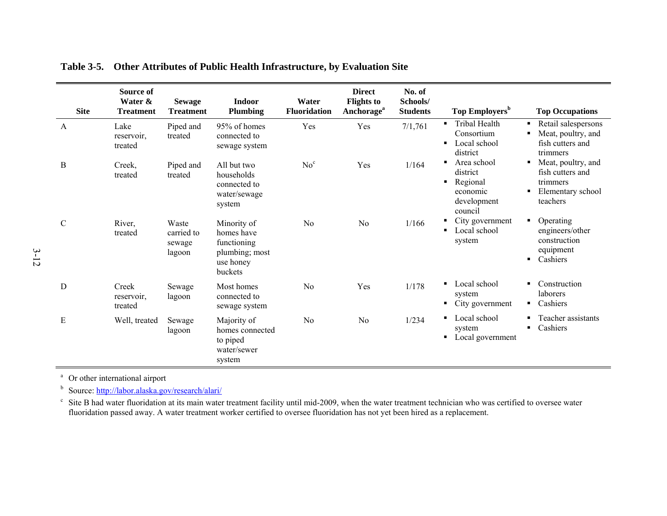| <b>Site</b>   | Source of<br>Water &<br><b>Treatment</b> | <b>Sewage</b><br><b>Treatment</b>       | <b>Indoor</b><br><b>Plumbing</b>                                                   | Water<br><b>Fluoridation</b> | <b>Direct</b><br><b>Flights to</b><br>Anchorage <sup>a</sup> | No. of<br>Schools/<br><b>Students</b> | Top Employers <sup>b</sup>                                                           | <b>Top Occupations</b>                                                                   |
|---------------|------------------------------------------|-----------------------------------------|------------------------------------------------------------------------------------|------------------------------|--------------------------------------------------------------|---------------------------------------|--------------------------------------------------------------------------------------|------------------------------------------------------------------------------------------|
| A             | Lake<br>reservoir.<br>treated            | Piped and<br>treated                    | 95% of homes<br>connected to<br>sewage system                                      | Yes                          | Yes                                                          | 7/1,761                               | Tribal Health<br>$\blacksquare$<br>Consortium<br>Local school<br>٠<br>district       | Retail salespersons<br>Meat, poultry, and<br>fish cutters and<br>trimmers                |
| B             | Creek,<br>treated                        | Piped and<br>treated                    | All but two<br>households<br>connected to<br>water/sewage<br>system                | No <sup>c</sup>              | Yes                                                          | 1/164                                 | Area school<br>п.<br>district<br>Regional<br>٠<br>economic<br>development<br>council | Meat, poultry, and<br>٠<br>fish cutters and<br>trimmers<br>Elementary school<br>teachers |
| $\mathcal{C}$ | River,<br>treated                        | Waste<br>carried to<br>sewage<br>lagoon | Minority of<br>homes have<br>functioning<br>plumbing; most<br>use honey<br>buckets | N <sub>o</sub>               | N <sub>0</sub>                                               | 1/166                                 | City government<br>Local school<br>system                                            | Operating<br>٠<br>engineers/other<br>construction<br>equipment<br>Cashiers               |
| D             | Creek<br>reservoir,<br>treated           | Sewage<br>lagoon                        | Most homes<br>connected to<br>sewage system                                        | N <sub>0</sub>               | Yes                                                          | 1/178                                 | Local school<br>system<br>City government                                            | Construction<br>laborers<br>Cashiers<br>٠                                                |
| Ε             | Well, treated                            | Sewage<br>lagoon                        | Majority of<br>homes connected<br>to piped<br>water/sewer<br>system                | N <sub>0</sub>               | N <sub>0</sub>                                               | 1/234                                 | Local school<br>٠<br>system<br>Local government<br>٠                                 | Teacher assistants<br>Cashiers                                                           |

**Table 3-5. Other Attributes of Public Health Infrastructure, by Evaluation Site** 

<sup>a</sup> Or other international airport

b Source:<http://labor.alaska.gov/research/alari/>

 $\degree$  Site B had water fluoridation at its main water treatment facility until mid-2009, when the water treatment technician who was certified to oversee water fluoridation passed away. A water treatment worker certified to oversee fluoridation has not yet been hired as a replacement.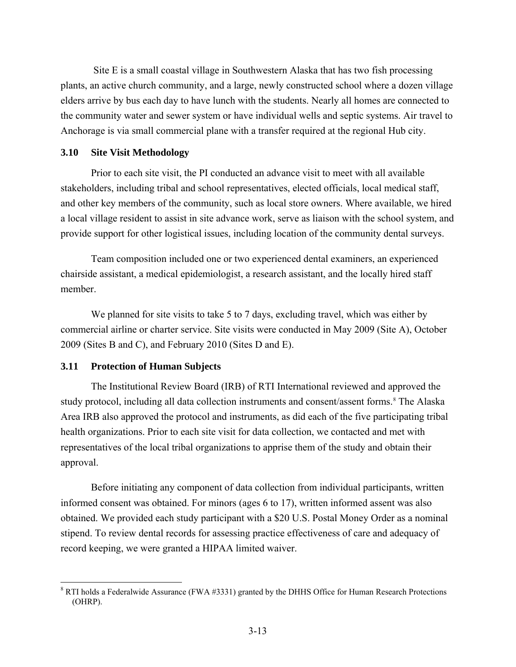<span id="page-38-0"></span> Site E is a small coastal village in Southwestern Alaska that has two fish processing plants, an active church community, and a large, newly constructed school where a dozen village elders arrive by bus each day to have lunch with the students. Nearly all homes are connected to the community water and sewer system or have individual wells and septic systems. Air travel to Anchorage is via small commercial plane with a transfer required at the regional Hub city.

# **3.10 Site Visit Methodology**

Prior to each site visit, the PI conducted an advance visit to meet with all available stakeholders, including tribal and school representatives, elected officials, local medical staff, and other key members of the community, such as local store owners. Where available, we hired a local village resident to assist in site advance work, serve as liaison with the school system, and provide support for other logistical issues, including location of the community dental surveys.

Team composition included one or two experienced dental examiners, an experienced chairside assistant, a medical epidemiologist, a research assistant, and the locally hired staff member.

We planned for site visits to take 5 to 7 days, excluding travel, which was either by commercial airline or charter service. Site visits were conducted in May 2009 (Site A), October 2009 (Sites B and C), and February 2010 (Sites D and E).

#### **3.11 Protection of Human Subjects**

1

The Institutional Review Board (IRB) of RTI International reviewed and approved the study protocol, including all data collection instruments and consent/assent forms.<sup>[8](#page-38-0)</sup> The Alaska Area IRB also approved the protocol and instruments, as did each of the five participating tribal health organizations. Prior to each site visit for data collection, we contacted and met with representatives of the local tribal organizations to apprise them of the study and obtain their approval.

Before initiating any component of data collection from individual participants, written informed consent was obtained. For minors (ages 6 to 17), written informed assent was also obtained. We provided each study participant with a \$20 U.S. Postal Money Order as a nominal stipend. To review dental records for assessing practice effectiveness of care and adequacy of record keeping, we were granted a HIPAA limited waiver.

 $8$  RTI holds a Federalwide Assurance (FWA #3331) granted by the DHHS Office for Human Research Protections (OHRP).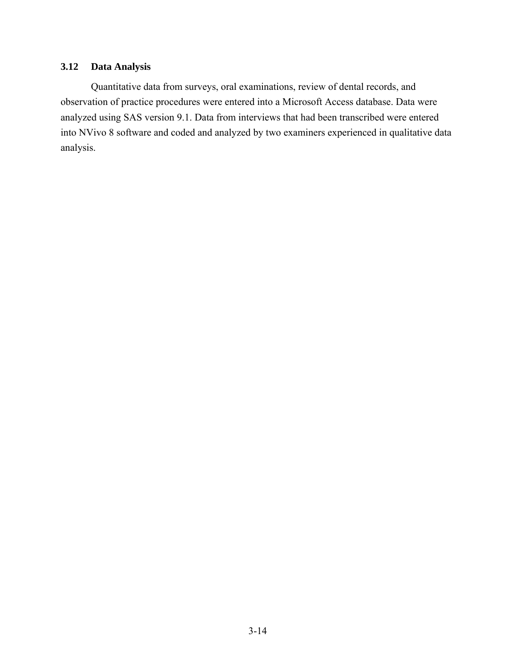# **3.12 Data Analysis**

Quantitative data from surveys, oral examinations, review of dental records, and observation of practice procedures were entered into a Microsoft Access database. Data were analyzed using SAS version 9.1. Data from interviews that had been transcribed were entered into NVivo 8 software and coded and analyzed by two examiners experienced in qualitative data analysis.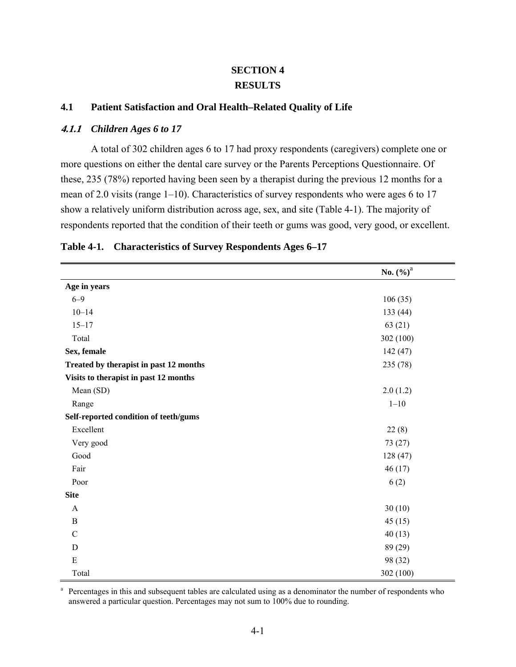# **SECTION 4 RESULTS**

# **4.1 Patient Satisfaction and Oral Health–Related Quality of Life**

# **4.1.1** *Children Ages 6 to 17*

A total of 302 children ages 6 to 17 had proxy respondents (caregivers) complete one or more questions on either the dental care survey or the Parents Perceptions Questionnaire. Of these, 235 (78%) reported having been seen by a therapist during the previous 12 months for a mean of 2.0 visits (range 1–10). Characteristics of survey respondents who were ages 6 to 17 show a relatively uniform distribution across age, sex, and site (Table 4-1). The majority of respondents reported that the condition of their teeth or gums was good, very good, or excellent.

|                                        | No. $(\%)^a$ |
|----------------------------------------|--------------|
| Age in years                           |              |
| $6 - 9$                                | 106(35)      |
| $10 - 14$                              | 133(44)      |
| $15 - 17$                              | 63(21)       |
| Total                                  | 302 (100)    |
| Sex, female                            | 142(47)      |
| Treated by therapist in past 12 months | 235(78)      |
| Visits to therapist in past 12 months  |              |
| Mean (SD)                              | 2.0(1.2)     |
| Range                                  | $1 - 10$     |
| Self-reported condition of teeth/gums  |              |
| Excellent                              | 22(8)        |
| Very good                              | 73(27)       |
| Good                                   | 128(47)      |
| Fair                                   | 46(17)       |
| Poor                                   | 6(2)         |
| <b>Site</b>                            |              |
| $\mathbf{A}$                           | 30(10)       |
| $\, {\bf B}$                           | 45(15)       |
| $\mathcal{C}$                          | 40(13)       |
| $\mathbf D$                            | 89 (29)      |
| $\mathbf E$                            | 98 (32)      |
| Total                                  | 302 (100)    |

### **Table 4-1. Characteristics of Survey Respondents Ages 6–17**

<sup>a</sup> Percentages in this and subsequent tables are calculated using as a denominator the number of respondents who answered a particular question. Percentages may not sum to 100% due to rounding.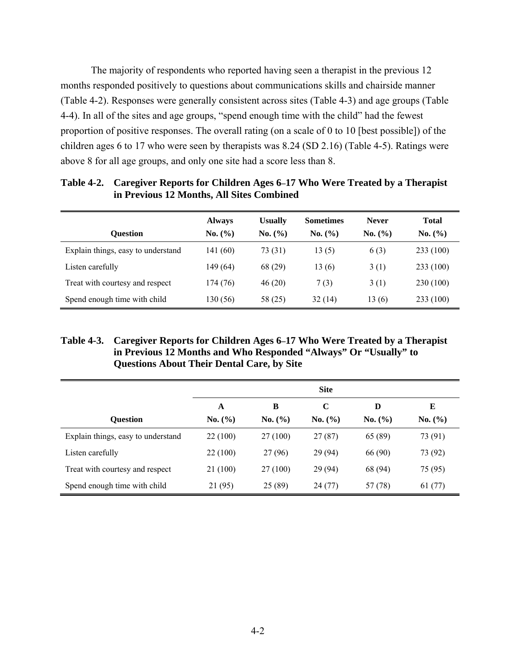The majority of respondents who reported having seen a therapist in the previous 12 months responded positively to questions about communications skills and chairside manner (Table 4-2). Responses were generally consistent across sites (Table 4-3) and age groups (Table 4-4). In all of the sites and age groups, "spend enough time with the child" had the fewest proportion of positive responses. The overall rating (on a scale of 0 to 10 [best possible]) of the children ages 6 to 17 who were seen by therapists was 8.24 (SD 2.16) (Table 4-5). Ratings were above 8 for all age groups, and only one site had a score less than 8.

|                                    | <b>Always</b> | <b>Usually</b> | <b>Sometimes</b> | <b>Never</b> | <b>Total</b> |
|------------------------------------|---------------|----------------|------------------|--------------|--------------|
| <b>Ouestion</b>                    | No. $(\% )$   | No. (%)        | No. (%)          | No. (%)      | No. (%)      |
| Explain things, easy to understand | 141 (60)      | 73 (31)        | 13(5)            | 6(3)         | 233 (100)    |
| Listen carefully                   | 149 (64)      | 68 (29)        | 13(6)            | 3(1)         | 233 (100)    |
| Treat with courtesy and respect    | 174 (76)      | 46(20)         | 7(3)             | 3(1)         | 230 (100)    |
| Spend enough time with child       | 130 (56)      | 58 (25)        | 32(14)           | 13(6)        | 233 (100)    |

**Table 4-2. Caregiver Reports for Children Ages 6–17 Who Were Treated by a Therapist in Previous 12 Months, All Sites Combined** 

# **Table 4-3. Caregiver Reports for Children Ages 6–17 Who Were Treated by a Therapist in Previous 12 Months and Who Responded "Always" Or "Usually" to Questions About Their Dental Care, by Site**

|                                    | <b>Site</b> |          |             |         |         |  |
|------------------------------------|-------------|----------|-------------|---------|---------|--|
|                                    | A           | B        | $\mathbf C$ | D       | E       |  |
| <b>Ouestion</b>                    | No. (%)     | No. (%)  | No. (%)     | No. (%) | No. (%) |  |
| Explain things, easy to understand | 22 (100)    | 27 (100) | 27(87)      | 65 (89) | 73 (91) |  |
| Listen carefully                   | 22 (100)    | 27 (96)  | 29 (94)     | 66 (90) | 73 (92) |  |
| Treat with courtesy and respect    | 21 (100)    | 27 (100) | 29 (94)     | 68 (94) | 75 (95) |  |
| Spend enough time with child       | 21 (95)     | 25(89)   | 24(77)      | 57 (78) | 61(77)  |  |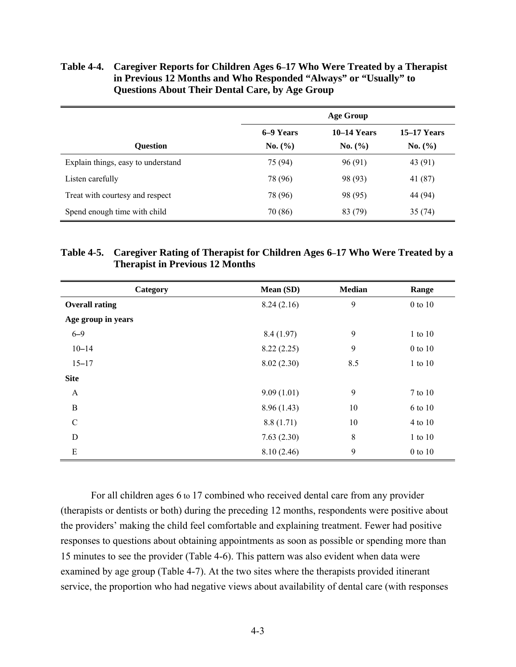### **Table 4-4. Caregiver Reports for Children Ages 6–17 Who Were Treated by a Therapist in Previous 12 Months and Who Responded "Always" or "Usually" to Questions About Their Dental Care, by Age Group**

|                                    | Age Group |               |                    |  |  |
|------------------------------------|-----------|---------------|--------------------|--|--|
|                                    | 6–9 Years | $10-14$ Years | <b>15–17 Years</b> |  |  |
| <b>Ouestion</b>                    | No. (%)   | No. (%)       | No. (%)            |  |  |
| Explain things, easy to understand | 75 (94)   | 96(91)        | 43 (91)            |  |  |
| Listen carefully                   | 78 (96)   | 98 (93)       | 41 (87)            |  |  |
| Treat with courtesy and respect    | 78 (96)   | 98 (95)       | 44 (94)            |  |  |
| Spend enough time with child       | 70 (86)   | 83 (79)       | 35(74)             |  |  |

# **Table 4-5. Caregiver Rating of Therapist for Children Ages 6–17 Who Were Treated by a Therapist in Previous 12 Months**

| Category              | Mean (SD)  | <b>Median</b> | Range       |
|-----------------------|------------|---------------|-------------|
| <b>Overall rating</b> | 8.24(2.16) | 9             | 0 to 10     |
| Age group in years    |            |               |             |
| $6 - 9$               | 8.4(1.97)  | 9             | 1 to 10     |
| $10 - 14$             | 8.22(2.25) | 9             | 0 to 10     |
| $15 - 17$             | 8.02(2.30) | 8.5           | $1$ to $10$ |
| <b>Site</b>           |            |               |             |
| A                     | 9.09(1.01) | 9             | 7 to 10     |
| B                     | 8.96(1.43) | 10            | 6 to 10     |
| $\mathcal{C}$         | 8.8(1.71)  | 10            | 4 to 10     |
| D                     | 7.63(2.30) | 8             | 1 to 10     |
| E                     | 8.10(2.46) | 9             | 0 to 10     |

For all children ages 6 to 17 combined who received dental care from any provider (therapists or dentists or both) during the preceding 12 months, respondents were positive about the providers' making the child feel comfortable and explaining treatment. Fewer had positive responses to questions about obtaining appointments as soon as possible or spending more than 15 minutes to see the provider (Table 4-6). This pattern was also evident when data were examined by age group (Table 4-7). At the two sites where the therapists provided itinerant service, the proportion who had negative views about availability of dental care (with responses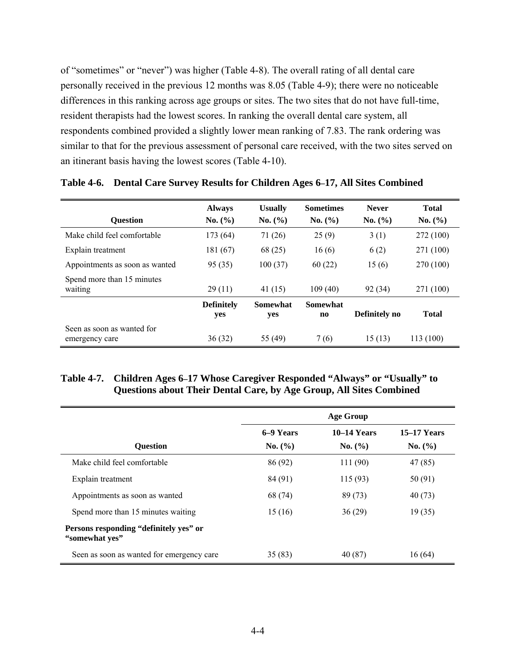of "sometimes" or "never") was higher (Table 4-8). The overall rating of all dental care personally received in the previous 12 months was 8.05 (Table 4-9); there were no noticeable differences in this ranking across age groups or sites. The two sites that do not have full-time, resident therapists had the lowest scores. In ranking the overall dental care system, all respondents combined provided a slightly lower mean ranking of 7.83. The rank ordering was similar to that for the previous assessment of personal care received, with the two sites served on an itinerant basis having the lowest scores (Table 4-10).

|                                              | <b>Always</b>            | <b>Usually</b>         | <b>Sometimes</b>      | <b>Never</b>  | <b>Total</b> |
|----------------------------------------------|--------------------------|------------------------|-----------------------|---------------|--------------|
| <b>Ouestion</b>                              | No. (%)                  | No. (%)                | No. (%)               | No. (%)       | No. (%)      |
| Make child feel comfortable                  | 173 (64)                 | 71 (26)                | 25(9)                 | 3(1)          | 272 (100)    |
| Explain treatment                            | 181 (67)                 | 68 (25)                | 16(6)                 | 6(2)          | 271 (100)    |
| Appointments as soon as wanted               | 95(35)                   | 100(37)                | 60(22)                | 15(6)         | 270 (100)    |
| Spend more than 15 minutes<br>waiting        | 29(11)                   | 41(15)                 | 109(40)               | 92(34)        | 271 (100)    |
|                                              | <b>Definitely</b><br>yes | <b>Somewhat</b><br>yes | <b>Somewhat</b><br>no | Definitely no | <b>Total</b> |
| Seen as soon as wanted for<br>emergency care | 36(32)                   | 55 (49)                | 7(6)                  | 15(13)        | 113 (100)    |

**Table 4-6. Dental Care Survey Results for Children Ages 6–17, All Sites Combined** 

# **Table 4-7. Children Ages 6–17 Whose Caregiver Responded "Always" or "Usually" to Questions about Their Dental Care, by Age Group, All Sites Combined**

|                                                          | <b>Age Group</b> |               |                    |  |  |  |
|----------------------------------------------------------|------------------|---------------|--------------------|--|--|--|
|                                                          | 6–9 Years        | $10-14$ Years | <b>15–17 Years</b> |  |  |  |
| <b>Ouestion</b>                                          | No. (%)          | No. (%)       | No. (%)            |  |  |  |
| Make child feel comfortable                              | 86 (92)          | 111 (90)      | 47 (85)            |  |  |  |
| Explain treatment                                        | 84 (91)          | 115(93)       | 50 (91)            |  |  |  |
| Appointments as soon as wanted                           | 68 (74)          | 89 (73)       | 40(73)             |  |  |  |
| Spend more than 15 minutes waiting                       | 15(16)           | 36(29)        | 19(35)             |  |  |  |
| Persons responding "definitely yes" or<br>"somewhat yes" |                  |               |                    |  |  |  |
| Seen as soon as wanted for emergency care                | 35(83)           | 40 (87)       | 16(64)             |  |  |  |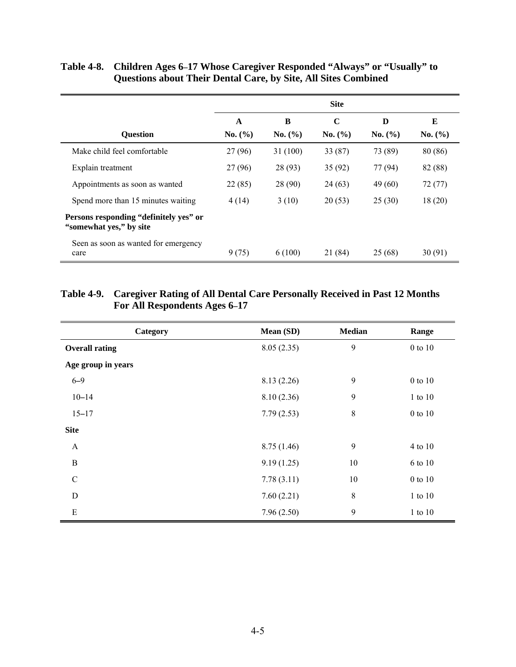|                                                                   | <b>Site</b> |          |             |         |         |
|-------------------------------------------------------------------|-------------|----------|-------------|---------|---------|
|                                                                   | A           | B        | $\mathbf C$ | D       | Е       |
| <b>Question</b>                                                   | No. $(\% )$ | No. (%)  | No. $(\% )$ | No. (%) | No. (%) |
| Make child feel comfortable                                       | 27 (96)     | 31 (100) | 33 (87)     | 73 (89) | 80 (86) |
| Explain treatment                                                 | 27 (96)     | 28 (93)  | 35(92)      | 77 (94) | 82 (88) |
| Appointments as soon as wanted                                    | 22(85)      | 28 (90)  | 24 (63)     | 49 (60) | 72(77)  |
| Spend more than 15 minutes waiting                                | 4(14)       | 3(10)    | 20(53)      | 25(30)  | 18(20)  |
| Persons responding "definitely yes" or<br>"somewhat yes," by site |             |          |             |         |         |
| Seen as soon as wanted for emergency<br>care                      | 9(75)       | 6(100)   | 21 (84)     | 25 (68) | 30(91)  |

# **Table 4-8. Children Ages 6–17 Whose Caregiver Responded "Always" or "Usually" to Questions about Their Dental Care, by Site, All Sites Combined**

# **Table 4-9. Caregiver Rating of All Dental Care Personally Received in Past 12 Months For All Respondents Ages 6–17**

| Category              | Mean (SD)  | <b>Median</b> | Range         |
|-----------------------|------------|---------------|---------------|
| <b>Overall rating</b> | 8.05(2.35) | 9             | $0$ to $10$   |
| Age group in years    |            |               |               |
| $6 - 9$               | 8.13(2.26) | 9             | $0$ to $10$   |
| $10 - 14$             | 8.10(2.36) | 9             | $1$ to $10\,$ |
| $15 - 17$             | 7.79(2.53) | 8             | $0$ to $10$   |
| <b>Site</b>           |            |               |               |
| $\mathbf{A}$          | 8.75(1.46) | 9             | 4 to 10       |
| $\bf{B}$              | 9.19(1.25) | 10            | 6 to 10       |
| $\mathcal{C}$         | 7.78(3.11) | 10            | 0 to 10       |
| ${\bf D}$             | 7.60(2.21) | 8             | 1 to 10       |
| E                     | 7.96(2.50) | 9             | 1 to 10       |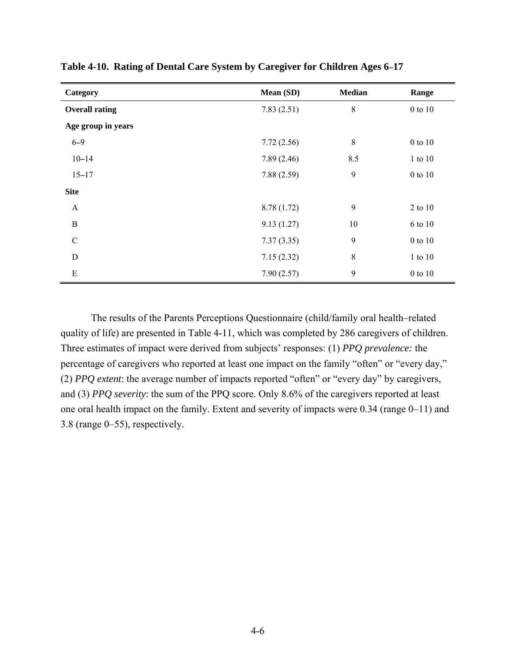| Category              | Mean (SD)   | <b>Median</b> | Range         |
|-----------------------|-------------|---------------|---------------|
| <b>Overall rating</b> | 7.83(2.51)  | 8             | $0$ to $10$   |
| Age group in years    |             |               |               |
| $6 - 9$               | 7.72(2.56)  | 8             | 0 to 10       |
| $10 - 14$             | 7.89(2.46)  | 8.5           | 1 to 10       |
| $15 - 17$             | 7.88(2.59)  | 9             | 0 to 10       |
| <b>Site</b>           |             |               |               |
| $\mathbf{A}$          | 8.78 (1.72) | 9             | 2 to 10       |
| $\mathbf B$           | 9.13(1.27)  | 10            | 6 to 10       |
| $\mathcal{C}$         | 7.37(3.35)  | 9             | 0 to 10       |
| D                     | 7.15(2.32)  | 8             | 1 to 10       |
| ${\bf E}$             | 7.90(2.57)  | 9             | $0$ to $10\,$ |

**Table 4-10. Rating of Dental Care System by Caregiver for Children Ages 6–17** 

The results of the Parents Perceptions Questionnaire (child/family oral health–related quality of life) are presented in Table 4-11, which was completed by 286 caregivers of children. Three estimates of impact were derived from subjects' responses: (1) *PPQ prevalence:* the percentage of caregivers who reported at least one impact on the family "often" or "every day," (2) *PPQ extent*: the average number of impacts reported "often" or "every day" by caregivers, and (3) *PPQ severity*: the sum of the PPQ score. Only 8.6% of the caregivers reported at least one oral health impact on the family. Extent and severity of impacts were 0.34 (range 0–11) and 3.8 (range 0–55), respectively.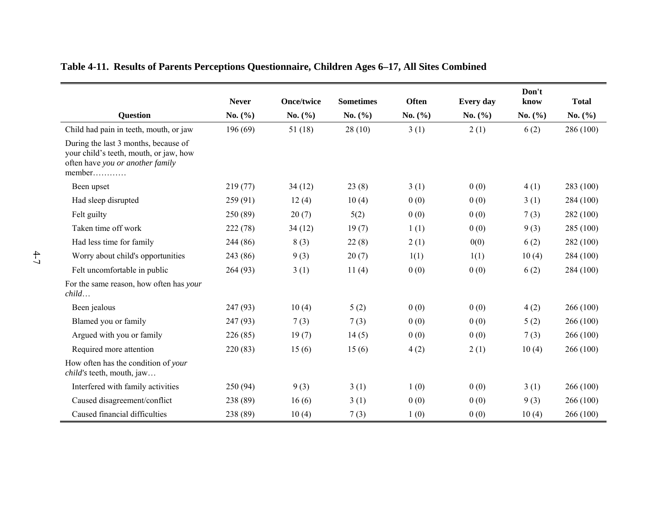| Table 4-11. Results of Parents Perceptions Questionnaire, Children Ages 6–17, All Sites Combined |  |
|--------------------------------------------------------------------------------------------------|--|

|                                                                                                                                                  | <b>Never</b> | <b>Once/twice</b> | <b>Sometimes</b> | <b>Often</b> | Every day   | Don't<br>know | <b>Total</b> |
|--------------------------------------------------------------------------------------------------------------------------------------------------|--------------|-------------------|------------------|--------------|-------------|---------------|--------------|
| <b>Question</b>                                                                                                                                  | No. $(\% )$  | No. $(\% )$       | No. $(\% )$      | No. $(\% )$  | No. $(\% )$ | No. $(\% )$   | No. $(\% )$  |
| Child had pain in teeth, mouth, or jaw                                                                                                           | 196(69)      | 51(18)            | 28(10)           | 3(1)         | 2(1)        | 6(2)          | 286 (100)    |
| During the last 3 months, because of<br>your child's teeth, mouth, or jaw, how<br>often have you or another family<br>$member \dots \dots \dots$ |              |                   |                  |              |             |               |              |
| Been upset                                                                                                                                       | 219(77)      | 34(12)            | 23(8)            | 3(1)         | 0(0)        | 4(1)          | 283 (100)    |
| Had sleep disrupted                                                                                                                              | 259(91)      | 12(4)             | 10(4)            | 0(0)         | 0(0)        | 3(1)          | 284 (100)    |
| Felt guilty                                                                                                                                      | 250 (89)     | 20(7)             | 5(2)             | 0(0)         | 0(0)        | 7(3)          | 282 (100)    |
| Taken time off work                                                                                                                              | 222(78)      | 34(12)            | 19(7)            | 1(1)         | 0(0)        | 9(3)          | 285 (100)    |
| Had less time for family                                                                                                                         | 244 (86)     | 8(3)              | 22(8)            | 2(1)         | 0(0)        | 6(2)          | 282 (100)    |
| Worry about child's opportunities                                                                                                                | 243 (86)     | 9(3)              | 20(7)            | 1(1)         | 1(1)        | 10(4)         | 284 (100)    |
| Felt uncomfortable in public                                                                                                                     | 264 (93)     | 3(1)              | 11(4)            | 0(0)         | 0(0)        | 6(2)          | 284 (100)    |
| For the same reason, how often has your<br>child                                                                                                 |              |                   |                  |              |             |               |              |
| Been jealous                                                                                                                                     | 247 (93)     | 10(4)             | 5(2)             | 0(0)         | 0(0)        | 4(2)          | 266 (100)    |
| Blamed you or family                                                                                                                             | 247 (93)     | 7(3)              | 7(3)             | 0(0)         | 0(0)        | 5(2)          | 266 (100)    |
| Argued with you or family                                                                                                                        | 226(85)      | 19(7)             | 14(5)            | 0(0)         | 0(0)        | 7(3)          | 266 (100)    |
| Required more attention                                                                                                                          | 220(83)      | 15(6)             | 15(6)            | 4(2)         | 2(1)        | 10(4)         | 266 (100)    |
| How often has the condition of your<br><i>child's</i> teeth, mouth, jaw                                                                          |              |                   |                  |              |             |               |              |
| Interfered with family activities                                                                                                                | 250(94)      | 9(3)              | 3(1)             | 1(0)         | 0(0)        | 3(1)          | 266 (100)    |
| Caused disagreement/conflict                                                                                                                     | 238 (89)     | 16(6)             | 3(1)             | 0(0)         | 0(0)        | 9(3)          | 266 (100)    |
| Caused financial difficulties                                                                                                                    | 238 (89)     | 10(4)             | 7(3)             | 1(0)         | 0(0)        | 10(4)         | 266 (100)    |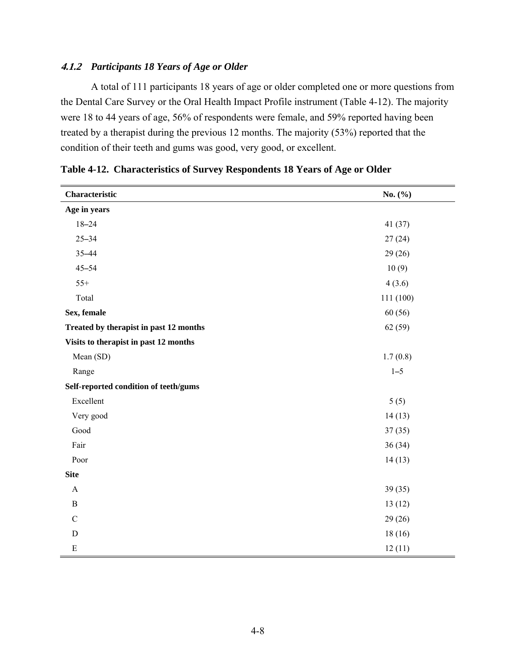# **4.1.2** *Participants 18 Years of Age or Older*

A total of 111 participants 18 years of age or older completed one or more questions from the Dental Care Survey or the Oral Health Impact Profile instrument (Table 4-12). The majority were 18 to 44 years of age, 56% of respondents were female, and 59% reported having been treated by a therapist during the previous 12 months. The majority (53%) reported that the condition of their teeth and gums was good, very good, or excellent.

| Characteristic                         | No. $(\% )$ |
|----------------------------------------|-------------|
| Age in years                           |             |
| $18 - 24$                              | 41 (37)     |
| $25 - 34$                              | 27(24)      |
| 35-44                                  | 29(26)      |
| $45 - 54$                              | 10(9)       |
| $55+$                                  | 4(3.6)      |
| Total                                  | 111 (100)   |
| Sex, female                            | 60(56)      |
| Treated by therapist in past 12 months | 62(59)      |
| Visits to therapist in past 12 months  |             |
| Mean (SD)                              | 1.7(0.8)    |
| Range                                  | $1 - 5$     |
| Self-reported condition of teeth/gums  |             |
| Excellent                              | 5(5)        |
| Very good                              | 14(13)      |
| Good                                   | 37(35)      |
| Fair                                   | 36(34)      |
| Poor                                   | 14(13)      |
| <b>Site</b>                            |             |
| $\mathbf{A}$                           | 39(35)      |
| $\, {\bf B}$                           | 13(12)      |
| $\mathbf C$                            | 29(26)      |
| $\mathbf D$                            | 18(16)      |
| $\mathbf E$                            | 12(11)      |

**Table 4-12. Characteristics of Survey Respondents 18 Years of Age or Older**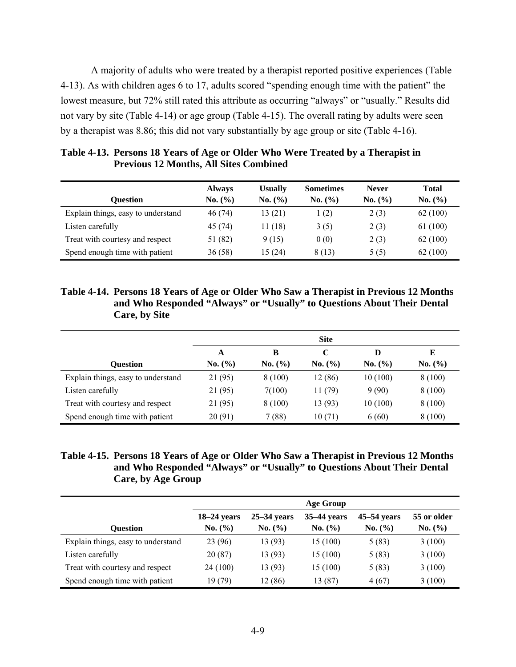A majority of adults who were treated by a therapist reported positive experiences (Table 4-13). As with children ages 6 to 17, adults scored "spending enough time with the patient" the lowest measure, but 72% still rated this attribute as occurring "always" or "usually." Results did not vary by site (Table 4-14) or age group (Table 4-15). The overall rating by adults were seen by a therapist was 8.86; this did not vary substantially by age group or site (Table 4-16).

| <b>Ouestion</b>                    | <b>Always</b><br>No. (%) | <b>Usually</b><br>No. (%) | <b>Sometimes</b><br>No. (%) | <b>Never</b><br>No. (%) | <b>Total</b><br>No. (%) |
|------------------------------------|--------------------------|---------------------------|-----------------------------|-------------------------|-------------------------|
| Explain things, easy to understand | 46 (74)                  | 13(21)                    | 1(2)                        | 2(3)                    | 62(100)                 |
| Listen carefully                   | 45 (74)                  | 11(18)                    | 3(5)                        | 2(3)                    | 61 (100)                |
| Treat with courtesy and respect    | 51 (82)                  | 9(15)                     | 0(0)                        | 2(3)                    | 62(100)                 |
| Spend enough time with patient     | 36(58)                   | 15 (24)                   | 8 (13)                      | 5(5)                    | 62 (100)                |

**Table 4-13. Persons 18 Years of Age or Older Who Were Treated by a Therapist in Previous 12 Months, All Sites Combined** 

**Table 4-14. Persons 18 Years of Age or Older Who Saw a Therapist in Previous 12 Months and Who Responded "Always" or "Usually" to Questions About Their Dental Care, by Site** 

|                                    | <b>Site</b> |         |         |         |         |  |
|------------------------------------|-------------|---------|---------|---------|---------|--|
|                                    | A           | в       | C       | D       | E       |  |
| Ouestion                           | No. (%)     | No. (%) | No. (%) | No. (%) | No. (%) |  |
| Explain things, easy to understand | 21 (95)     | 8(100)  | 12 (86) | 10(100) | 8 (100) |  |
| Listen carefully                   | 21 (95)     | 7(100)  | 11 (79) | 9(90)   | 8(100)  |  |
| Treat with courtesy and respect    | 21 (95)     | 8(100)  | 13 (93) | 10(100) | 8(100)  |  |
| Spend enough time with patient     | 20(91)      | 7(88)   | 10(71)  | 6(60)   | 8 (100) |  |

| Table 4-15. Persons 18 Years of Age or Older Who Saw a Therapist in Previous 12 Months |
|----------------------------------------------------------------------------------------|
| and Who Responded "Always" or "Usually" to Questions About Their Dental                |
| Care, by Age Group                                                                     |

|                                    | <b>Age Group</b> |               |               |               |             |  |
|------------------------------------|------------------|---------------|---------------|---------------|-------------|--|
|                                    | $18-24$ years    | $25-34$ vears | $35-44$ years | $45-54$ years | 55 or older |  |
| <b>Ouestion</b>                    | No. (%)          | No. (%)       | No. (%)       | No. $(\% )$   | No. (%)     |  |
| Explain things, easy to understand | 23 (96)          | 13 (93)       | 15(100)       | 5(83)         | 3(100)      |  |
| Listen carefully                   | 20(87)           | 13 (93)       | 15(100)       | 5(83)         | 3(100)      |  |
| Treat with courtesy and respect    | 24 (100)         | 13 (93)       | 15(100)       | 5(83)         | 3(100)      |  |
| Spend enough time with patient     | 19 (79)          | 12(86)        | 13 (87)       | 4(67)         | 3(100)      |  |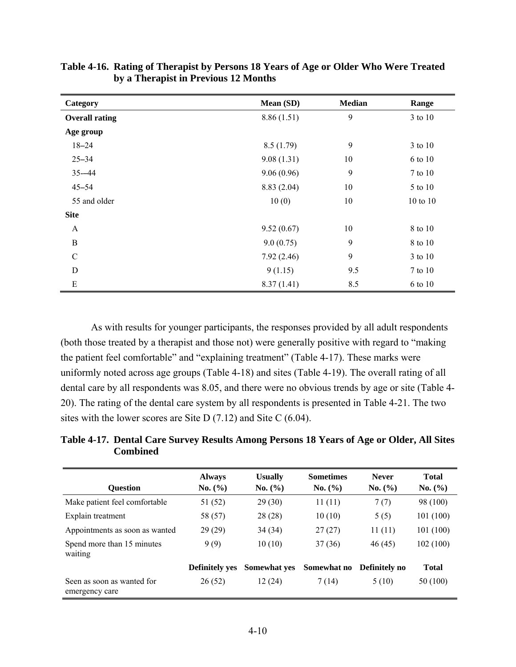| Category              | Mean (SD)  | <b>Median</b> | Range    |
|-----------------------|------------|---------------|----------|
| <b>Overall rating</b> | 8.86(1.51) | 9             | 3 to 10  |
| Age group             |            |               |          |
| $18 - 24$             | 8.5(1.79)  | 9             | 3 to 10  |
| $25 - 34$             | 9.08(1.31) | 10            | 6 to 10  |
| $35 - 44$             | 9.06(0.96) | 9             | 7 to 10  |
| $45 - 54$             | 8.83(2.04) | 10            | 5 to 10  |
| 55 and older          | 10(0)      | 10            | 10 to 10 |
| <b>Site</b>           |            |               |          |
| A                     | 9.52(0.67) | 10            | 8 to 10  |
| B                     | 9.0(0.75)  | 9             | 8 to 10  |
| $\mathcal{C}$         | 7.92(2.46) | 9             | 3 to 10  |
| D                     | 9(1.15)    | 9.5           | 7 to 10  |
| ${\bf E}$             | 8.37(1.41) | 8.5           | 6 to 10  |

**Table 4-16. Rating of Therapist by Persons 18 Years of Age or Older Who Were Treated by a Therapist in Previous 12 Months** 

As with results for younger participants, the responses provided by all adult respondents (both those treated by a therapist and those not) were generally positive with regard to "making the patient feel comfortable" and "explaining treatment" (Table 4-17). These marks were uniformly noted across age groups (Table 4-18) and sites (Table 4-19). The overall rating of all dental care by all respondents was 8.05, and there were no obvious trends by age or site (Table 4- 20). The rating of the dental care system by all respondents is presented in Table 4-21. The two sites with the lower scores are Site D (7.12) and Site C (6.04).

**Table 4-17. Dental Care Survey Results Among Persons 18 Years of Age or Older, All Sites Combined** 

| <b>Ouestion</b>                              | <b>Always</b><br>No. (%) | <b>Usually</b><br>No. (%) | <b>Sometimes</b><br>No. (%) | <b>Never</b><br>No. (%) | <b>Total</b><br>No. (%) |
|----------------------------------------------|--------------------------|---------------------------|-----------------------------|-------------------------|-------------------------|
| Make patient feel comfortable                | 51 (52)                  | 29(30)                    | 11(11)                      | 7(7)                    | 98 (100)                |
| Explain treatment                            | 58 (57)                  | 28(28)                    | 10(10)                      | 5(5)                    | 101(100)                |
| Appointments as soon as wanted               | 29(29)                   | 34(34)                    | 27(27)                      | 11(11)                  | 101(100)                |
| Spend more than 15 minutes<br>waiting        | 9(9)                     | 10(10)                    | 37(36)                      | 46(45)                  | 102(100)                |
|                                              | <b>Definitely yes</b>    | <b>Somewhat yes</b>       | Somewhat no                 | Definitely no           | <b>Total</b>            |
| Seen as soon as wanted for<br>emergency care | 26(52)                   | 12(24)                    | 7 (14)                      | 5(10)                   | 50 (100)                |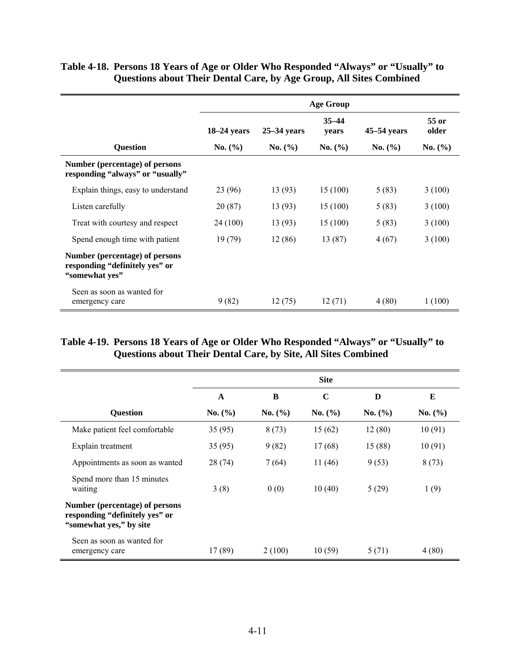|                                                                                    | <b>Age Group</b> |               |                    |               |                |
|------------------------------------------------------------------------------------|------------------|---------------|--------------------|---------------|----------------|
|                                                                                    | $18-24$ years    | $25-34$ years | $35 - 44$<br>years | $45-54$ years | 55 or<br>older |
| <b>Question</b>                                                                    | No. (%)          | No. (%)       | No. (%)            | No. (%)       | No. (%)        |
| Number (percentage) of persons<br>responding "always" or "usually"                 |                  |               |                    |               |                |
| Explain things, easy to understand                                                 | 23 (96)          | 13 (93)       | 15(100)            | 5(83)         | 3(100)         |
| Listen carefully                                                                   | 20(87)           | 13(93)        | 15(100)            | 5(83)         | 3(100)         |
| Treat with courtesy and respect                                                    | 24 (100)         | 13 (93)       | 15(100)            | 5(83)         | 3(100)         |
| Spend enough time with patient                                                     | 19(79)           | 12(86)        | 13(87)             | 4(67)         | 3(100)         |
| Number (percentage) of persons<br>responding "definitely yes" or<br>"somewhat yes" |                  |               |                    |               |                |
| Seen as soon as wanted for<br>emergency care                                       | 9(82)            | 12(75)        | 12(71)             | 4(80)         | 1(100)         |

# **Table 4-18. Persons 18 Years of Age or Older Who Responded "Always" or "Usually" to Questions about Their Dental Care, by Age Group, All Sites Combined**

# **Table 4-19. Persons 18 Years of Age or Older Who Responded "Always" or "Usually" to Questions about Their Dental Care, by Site, All Sites Combined**

|                                                                                              | <b>Site</b>  |             |             |         |         |  |
|----------------------------------------------------------------------------------------------|--------------|-------------|-------------|---------|---------|--|
|                                                                                              | $\mathbf{A}$ | B           | $\mathbf C$ | D       | E       |  |
| <b>Question</b>                                                                              | No. (%)      | No. $(\% )$ | No. (%)     | No. (%) | No. (%) |  |
| Make patient feel comfortable                                                                | 35(95)       | 8(73)       | 15(62)      | 12(80)  | 10(91)  |  |
| Explain treatment                                                                            | 35(95)       | 9(82)       | 17(68)      | 15 (88) | 10(91)  |  |
| Appointments as soon as wanted                                                               | 28(74)       | 7(64)       | 11(46)      | 9(53)   | 8(73)   |  |
| Spend more than 15 minutes<br>waiting                                                        | 3(8)         | 0(0)        | 10(40)      | 5(29)   | 1(9)    |  |
| Number (percentage) of persons<br>responding "definitely yes" or<br>"somewhat yes," by site" |              |             |             |         |         |  |
| Seen as soon as wanted for<br>emergency care                                                 | 17 (89)      | 2(100)      | 10(59)      | 5 (71)  | 4(80)   |  |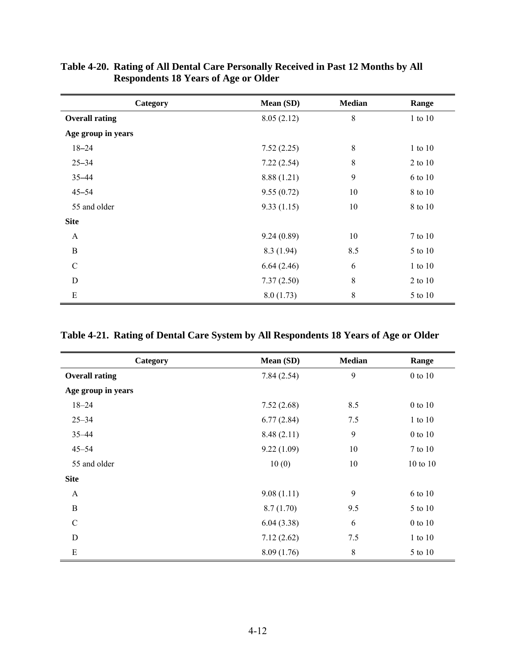| Category              | Mean (SD)   | <b>Median</b> | Range   |
|-----------------------|-------------|---------------|---------|
| <b>Overall rating</b> | 8.05(2.12)  | 8             | 1 to 10 |
| Age group in years    |             |               |         |
| $18 - 24$             | 7.52(2.25)  | $\,$ 8 $\,$   | 1 to 10 |
| $25 - 34$             | 7.22(2.54)  | $\,$ 8 $\,$   | 2 to 10 |
| $35 - 44$             | 8.88 (1.21) | 9             | 6 to 10 |
| $45 - 54$             | 9.55(0.72)  | 10            | 8 to 10 |
| 55 and older          | 9.33(1.15)  | 10            | 8 to 10 |
| <b>Site</b>           |             |               |         |
| $\mathbf{A}$          | 9.24(0.89)  | 10            | 7 to 10 |
| B                     | 8.3(1.94)   | 8.5           | 5 to 10 |
| $\mathcal{C}$         | 6.64(2.46)  | 6             | 1 to 10 |
| D                     | 7.37(2.50)  | $\,$ 8 $\,$   | 2 to 10 |
| Ε                     | 8.0(1.73)   | $\,$ 8 $\,$   | 5 to 10 |

**Table 4-20. Rating of All Dental Care Personally Received in Past 12 Months by All Respondents 18 Years of Age or Older** 

| Table 4-21. Rating of Dental Care System by All Respondents 18 Years of Age or Older |  |
|--------------------------------------------------------------------------------------|--|
|--------------------------------------------------------------------------------------|--|

| Category              | Mean (SD)  | <b>Median</b> | Range       |
|-----------------------|------------|---------------|-------------|
| <b>Overall rating</b> | 7.84(2.54) | 9             | 0 to 10     |
| Age group in years    |            |               |             |
| $18 - 24$             | 7.52(2.68) | 8.5           | 0 to 10     |
| $25 - 34$             | 6.77(2.84) | 7.5           | 1 to 10     |
| $35 - 44$             | 8.48(2.11) | 9             | $0$ to $10$ |
| $45 - 54$             | 9.22(1.09) | 10            | 7 to 10     |
| 55 and older          | 10(0)      | 10            | 10 to 10    |
| <b>Site</b>           |            |               |             |
| $\mathbf{A}$          | 9.08(1.11) | 9             | 6 to 10     |
| $\, {\bf B}$          | 8.7(1.70)  | 9.5           | 5 to 10     |
| $\mathcal{C}$         | 6.04(3.38) | 6             | $0$ to $10$ |
| D                     | 7.12(2.62) | 7.5           | 1 to 10     |
| ${\bf E}$             | 8.09(1.76) | 8             | 5 to 10     |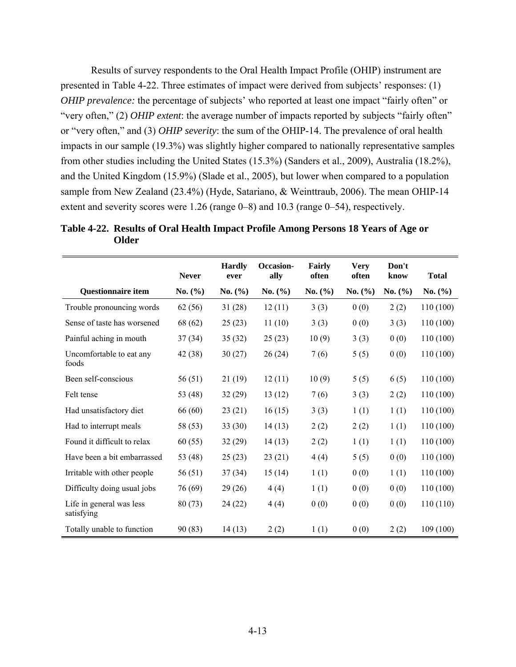Results of survey respondents to the Oral Health Impact Profile (OHIP) instrument are presented in Table 4-22. Three estimates of impact were derived from subjects' responses: (1) *OHIP prevalence*: the percentage of subjects' who reported at least one impact "fairly often" or "very often," (2) *OHIP extent*: the average number of impacts reported by subjects "fairly often" or "very often," and (3) *OHIP severity*: the sum of the OHIP-14. The prevalence of oral health impacts in our sample (19.3%) was slightly higher compared to nationally representative samples from other studies including the United States (15.3%) (Sanders et al., 2009), Australia (18.2%), and the United Kingdom (15.9%) (Slade et al., 2005), but lower when compared to a population sample from New Zealand (23.4%) (Hyde, Satariano, & Weinttraub, 2006). The mean OHIP-14 extent and severity scores were 1.26 (range 0–8) and 10.3 (range 0–54), respectively.

| Table 4-22. Results of Oral Health Impact Profile Among Persons 18 Years of Age or |
|------------------------------------------------------------------------------------|
| Older                                                                              |

|                                        | <b>Never</b> | <b>Hardly</b><br>ever | Occasion-<br>ally | Fairly<br>often | <b>Very</b><br>often | Don't<br>know | <b>Total</b> |
|----------------------------------------|--------------|-----------------------|-------------------|-----------------|----------------------|---------------|--------------|
| <b>Questionnaire item</b>              | No. $(\% )$  | No. (%)               | No. $(\% )$       | No. $(\% )$     | No. $(\% )$          | No. $(\% )$   | No. (%)      |
| Trouble pronouncing words              | 62(56)       | 31(28)                | 12(11)            | 3(3)            | 0(0)                 | 2(2)          | 110 (100)    |
| Sense of taste has worsened            | 68 (62)      | 25(23)                | 11(10)            | 3(3)            | 0(0)                 | 3(3)          | 110 (100)    |
| Painful aching in mouth                | 37(34)       | 35(32)                | 25(23)            | 10(9)           | 3(3)                 | 0(0)          | 110(100)     |
| Uncomfortable to eat any<br>foods      | 42 (38)      | 30(27)                | 26(24)            | 7(6)            | 5(5)                 | 0(0)          | 110 (100)    |
| Been self-conscious                    | 56(51)       | 21(19)                | 12(11)            | 10(9)           | 5(5)                 | 6(5)          | 110 (100)    |
| Felt tense                             | 53 (48)      | 32(29)                | 13(12)            | 7(6)            | 3(3)                 | 2(2)          | 110 (100)    |
| Had unsatisfactory diet                | 66 (60)      | 23(21)                | 16(15)            | 3(3)            | 1(1)                 | 1(1)          | 110 (100)    |
| Had to interrupt meals                 | 58 (53)      | 33(30)                | 14(13)            | 2(2)            | 2(2)                 | 1(1)          | 110 (100)    |
| Found it difficult to relax            | 60(55)       | 32(29)                | 14(13)            | 2(2)            | 1(1)                 | 1(1)          | 110 (100)    |
| Have been a bit embarrassed            | 53 (48)      | 25(23)                | 23(21)            | 4(4)            | 5(5)                 | 0(0)          | 110 (100)    |
| Irritable with other people            | 56(51)       | 37(34)                | 15(14)            | 1(1)            | 0(0)                 | 1(1)          | 110 (100)    |
| Difficulty doing usual jobs            | 76 (69)      | 29(26)                | 4(4)              | 1(1)            | 0(0)                 | 0(0)          | 110 (100)    |
| Life in general was less<br>satisfying | 80(73)       | 24 (22)               | 4(4)              | 0(0)            | 0(0)                 | 0(0)          | 110 (110)    |
| Totally unable to function             | 90(83)       | 14(13)                | 2(2)              | 1(1)            | 0(0)                 | 2(2)          | 109(100)     |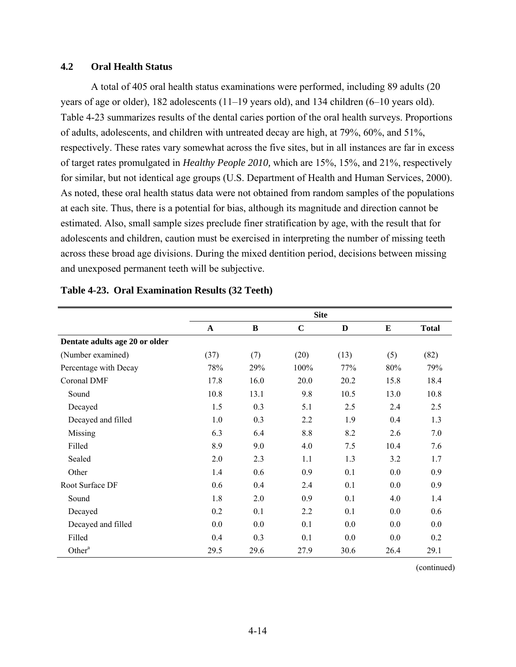# **4.2 Oral Health Status**

A total of 405 oral health status examinations were performed, including 89 adults (20 years of age or older), 182 adolescents (11–19 years old), and 134 children (6–10 years old). Table 4-23 summarizes results of the dental caries portion of the oral health surveys. Proportions of adults, adolescents, and children with untreated decay are high, at 79%, 60%, and 51%, respectively. These rates vary somewhat across the five sites, but in all instances are far in excess of target rates promulgated in *Healthy People 2010,* which are 15%, 15%, and 21%, respectively for similar, but not identical age groups (U.S. Department of Health and Human Services, 2000). As noted, these oral health status data were not obtained from random samples of the populations at each site. Thus, there is a potential for bias, although its magnitude and direction cannot be estimated. Also, small sample sizes preclude finer stratification by age, with the result that for adolescents and children, caution must be exercised in interpreting the number of missing teeth across these broad age divisions. During the mixed dentition period, decisions between missing and unexposed permanent teeth will be subjective.

|                                | <b>Site</b>  |      |             |      |      |              |  |  |
|--------------------------------|--------------|------|-------------|------|------|--------------|--|--|
|                                | $\mathbf{A}$ | B    | $\mathbf C$ | D    | E    | <b>Total</b> |  |  |
| Dentate adults age 20 or older |              |      |             |      |      |              |  |  |
| (Number examined)              | (37)         | (7)  | (20)        | (13) | (5)  | (82)         |  |  |
| Percentage with Decay          | 78%          | 29%  | 100%        | 77%  | 80%  | 79%          |  |  |
| Coronal DMF                    | 17.8         | 16.0 | 20.0        | 20.2 | 15.8 | 18.4         |  |  |
| Sound                          | 10.8         | 13.1 | 9.8         | 10.5 | 13.0 | 10.8         |  |  |
| Decayed                        | 1.5          | 0.3  | 5.1         | 2.5  | 2.4  | 2.5          |  |  |
| Decayed and filled             | 1.0          | 0.3  | 2.2         | 1.9  | 0.4  | 1.3          |  |  |
| Missing                        | 6.3          | 6.4  | 8.8         | 8.2  | 2.6  | 7.0          |  |  |
| Filled                         | 8.9          | 9.0  | 4.0         | 7.5  | 10.4 | 7.6          |  |  |
| Sealed                         | 2.0          | 2.3  | 1.1         | 1.3  | 3.2  | 1.7          |  |  |
| Other                          | 1.4          | 0.6  | 0.9         | 0.1  | 0.0  | 0.9          |  |  |
| Root Surface DF                | 0.6          | 0.4  | 2.4         | 0.1  | 0.0  | 0.9          |  |  |
| Sound                          | 1.8          | 2.0  | 0.9         | 0.1  | 4.0  | 1.4          |  |  |
| Decayed                        | 0.2          | 0.1  | 2.2         | 0.1  | 0.0  | 0.6          |  |  |
| Decayed and filled             | 0.0          | 0.0  | 0.1         | 0.0  | 0.0  | 0.0          |  |  |
| Filled                         | 0.4          | 0.3  | 0.1         | 0.0  | 0.0  | 0.2          |  |  |
| Other <sup>a</sup>             | 29.5         | 29.6 | 27.9        | 30.6 | 26.4 | 29.1         |  |  |

#### **Table 4-23. Oral Examination Results (32 Teeth)**

(continued)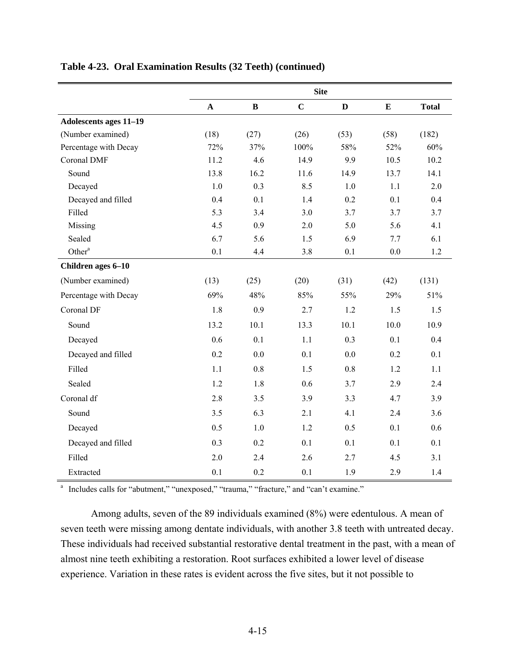|                        | <b>Site</b> |              |             |              |           |              |  |
|------------------------|-------------|--------------|-------------|--------------|-----------|--------------|--|
|                        | $\mathbf A$ | $\, {\bf B}$ | $\mathbf C$ | $\mathbf{D}$ | ${\bf E}$ | <b>Total</b> |  |
| Adolescents ages 11-19 |             |              |             |              |           |              |  |
| (Number examined)      | (18)        | (27)         | (26)        | (53)         | (58)      | (182)        |  |
| Percentage with Decay  | 72%         | 37%          | 100%        | 58%          | 52%       | 60%          |  |
| Coronal DMF            | 11.2        | 4.6          | 14.9        | 9.9          | 10.5      | 10.2         |  |
| Sound                  | 13.8        | 16.2         | 11.6        | 14.9         | 13.7      | 14.1         |  |
| Decayed                | 1.0         | 0.3          | 8.5         | 1.0          | 1.1       | 2.0          |  |
| Decayed and filled     | 0.4         | 0.1          | 1.4         | 0.2          | 0.1       | 0.4          |  |
| Filled                 | 5.3         | 3.4          | 3.0         | 3.7          | 3.7       | 3.7          |  |
| Missing                | 4.5         | 0.9          | 2.0         | 5.0          | 5.6       | 4.1          |  |
| Sealed                 | 6.7         | 5.6          | 1.5         | 6.9          | 7.7       | 6.1          |  |
| Other <sup>a</sup>     | 0.1         | 4.4          | 3.8         | 0.1          | $0.0\,$   | 1.2          |  |
| Children ages 6-10     |             |              |             |              |           |              |  |
| (Number examined)      | (13)        | (25)         | (20)        | (31)         | (42)      | (131)        |  |
| Percentage with Decay  | 69%         | 48%          | 85%         | 55%          | 29%       | 51%          |  |
| Coronal DF             | 1.8         | 0.9          | 2.7         | 1.2          | 1.5       | 1.5          |  |
| Sound                  | 13.2        | 10.1         | 13.3        | 10.1         | 10.0      | 10.9         |  |
| Decayed                | 0.6         | 0.1          | 1.1         | 0.3          | 0.1       | 0.4          |  |
| Decayed and filled     | 0.2         | 0.0          | 0.1         | 0.0          | 0.2       | 0.1          |  |
| Filled                 | 1.1         | 0.8          | 1.5         | 0.8          | 1.2       | 1.1          |  |
| Sealed                 | 1.2         | 1.8          | 0.6         | 3.7          | 2.9       | 2.4          |  |
| Coronal df             | 2.8         | 3.5          | 3.9         | 3.3          | 4.7       | 3.9          |  |
| Sound                  | 3.5         | 6.3          | 2.1         | 4.1          | 2.4       | 3.6          |  |
| Decayed                | 0.5         | 1.0          | 1.2         | 0.5          | 0.1       | 0.6          |  |
| Decayed and filled     | 0.3         | 0.2          | 0.1         | 0.1          | 0.1       | 0.1          |  |
| Filled                 | 2.0         | 2.4          | 2.6         | 2.7          | 4.5       | 3.1          |  |
| Extracted              | 0.1         | 0.2          | 0.1         | 1.9          | 2.9       | 1.4          |  |

# **Table 4-23. Oral Examination Results (32 Teeth) (continued)**

<sup>a</sup> Includes calls for "abutment," "unexposed," "trauma," "fracture," and "can't examine."

Among adults, seven of the 89 individuals examined (8%) were edentulous. A mean of seven teeth were missing among dentate individuals, with another 3.8 teeth with untreated decay. These individuals had received substantial restorative dental treatment in the past, with a mean of almost nine teeth exhibiting a restoration. Root surfaces exhibited a lower level of disease experience. Variation in these rates is evident across the five sites, but it not possible to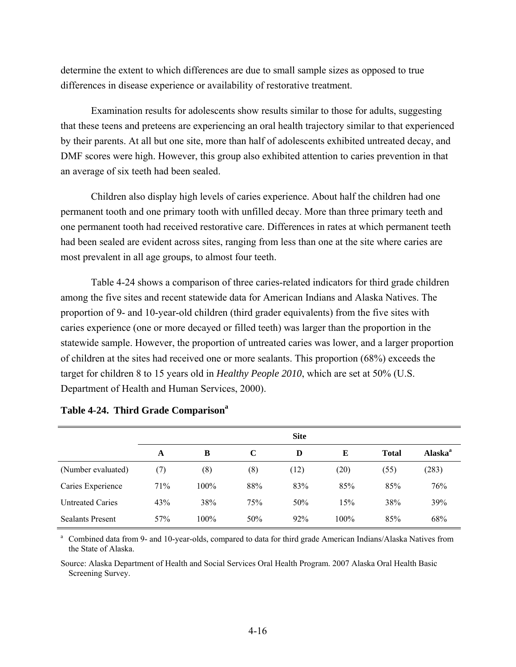determine the extent to which differences are due to small sample sizes as opposed to true differences in disease experience or availability of restorative treatment.

Examination results for adolescents show results similar to those for adults, suggesting that these teens and preteens are experiencing an oral health trajectory similar to that experienced by their parents. At all but one site, more than half of adolescents exhibited untreated decay, and DMF scores were high. However, this group also exhibited attention to caries prevention in that an average of six teeth had been sealed.

Children also display high levels of caries experience. About half the children had one permanent tooth and one primary tooth with unfilled decay. More than three primary teeth and one permanent tooth had received restorative care. Differences in rates at which permanent teeth had been sealed are evident across sites, ranging from less than one at the site where caries are most prevalent in all age groups, to almost four teeth.

Table 4-24 shows a comparison of three caries-related indicators for third grade children among the five sites and recent statewide data for American Indians and Alaska Natives. The proportion of 9- and 10-year-old children (third grader equivalents) from the five sites with caries experience (one or more decayed or filled teeth) was larger than the proportion in the statewide sample. However, the proportion of untreated caries was lower, and a larger proportion of children at the sites had received one or more sealants. This proportion (68%) exceeds the target for children 8 to 15 years old in *Healthy People 2010*, which are set at 50% (U.S. Department of Health and Human Services, 2000).

|                         |     |      |             | <b>Site</b> |         |              |                            |
|-------------------------|-----|------|-------------|-------------|---------|--------------|----------------------------|
|                         | A   | B    | $\mathbf C$ | D           | E       | <b>Total</b> | <b>Alaska</b> <sup>a</sup> |
| (Number evaluated)      | (7) | (8)  | (8)         | (12)        | (20)    | (55)         | (283)                      |
| Caries Experience       | 71% | 100% | 88%         | 83%         | 85%     | 85%          | 76%                        |
| <b>Untreated Caries</b> | 43% | 38%  | 75%         | 50%         | 15%     | 38%          | 39%                        |
| <b>Sealants Present</b> | 57% | 100% | 50%         | 92%         | $100\%$ | 85%          | 68%                        |

| Table 4-24. Third Grade Comparison <sup>a</sup> |  |  |
|-------------------------------------------------|--|--|
|                                                 |  |  |

<sup>a</sup> Combined data from 9- and 10-year-olds, compared to data for third grade American Indians/Alaska Natives from the State of Alaska.

Source: Alaska Department of Health and Social Services Oral Health Program. 2007 Alaska Oral Health Basic Screening Survey.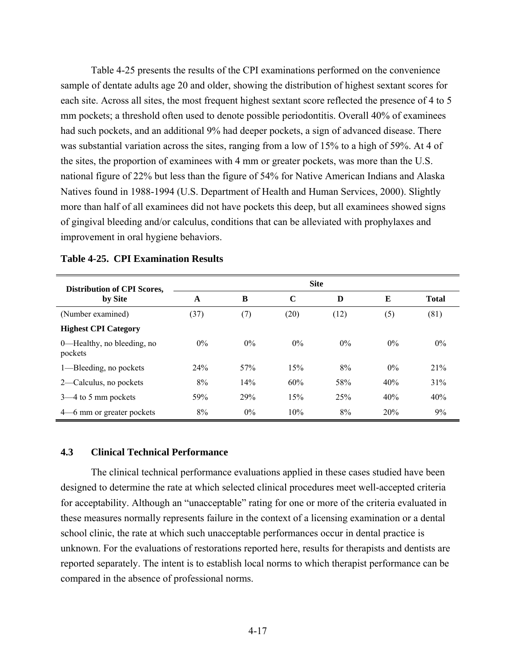Table 4-25 presents the results of the CPI examinations performed on the convenience sample of dentate adults age 20 and older, showing the distribution of highest sextant scores for each site. Across all sites, the most frequent highest sextant score reflected the presence of 4 to 5 mm pockets; a threshold often used to denote possible periodontitis. Overall 40% of examinees had such pockets, and an additional 9% had deeper pockets, a sign of advanced disease. There was substantial variation across the sites, ranging from a low of 15% to a high of 59%. At 4 of the sites, the proportion of examinees with 4 mm or greater pockets, was more than the U.S. national figure of 22% but less than the figure of 54% for Native American Indians and Alaska Natives found in 1988-1994 (U.S. Department of Health and Human Services, 2000). Slightly more than half of all examinees did not have pockets this deep, but all examinees showed signs of gingival bleeding and/or calculus, conditions that can be alleviated with prophylaxes and improvement in oral hygiene behaviors.

| <b>Distribution of CPI Scores,</b>    | <b>Site</b> |       |             |       |       |              |  |
|---------------------------------------|-------------|-------|-------------|-------|-------|--------------|--|
| by Site                               | A           | B     | $\mathbf C$ | D     | E     | <b>Total</b> |  |
| (Number examined)                     | (37)        | (7)   | (20)        | (12)  | (5)   | (81)         |  |
| <b>Highest CPI Category</b>           |             |       |             |       |       |              |  |
| 0—Healthy, no bleeding, no<br>pockets | $0\%$       | $0\%$ | $0\%$       | $0\%$ | $0\%$ | $0\%$        |  |
| 1—Bleeding, no pockets                | 24%         | 57%   | 15%         | 8%    | $0\%$ | 21%          |  |
| 2—Calculus, no pockets                | 8%          | 14%   | 60%         | 58%   | 40%   | 31%          |  |
| $3-4$ to 5 mm pockets                 | 59%         | 29%   | 15%         | 25%   | 40%   | 40%          |  |
| 4–6 mm or greater pockets             | 8%          | $0\%$ | 10%         | 8%    | 20%   | 9%           |  |

#### **Table 4-25. CPI Examination Results**

#### **4.3 Clinical Technical Performance**

The clinical technical performance evaluations applied in these cases studied have been designed to determine the rate at which selected clinical procedures meet well-accepted criteria for acceptability. Although an "unacceptable" rating for one or more of the criteria evaluated in these measures normally represents failure in the context of a licensing examination or a dental school clinic, the rate at which such unacceptable performances occur in dental practice is unknown. For the evaluations of restorations reported here, results for therapists and dentists are reported separately. The intent is to establish local norms to which therapist performance can be compared in the absence of professional norms.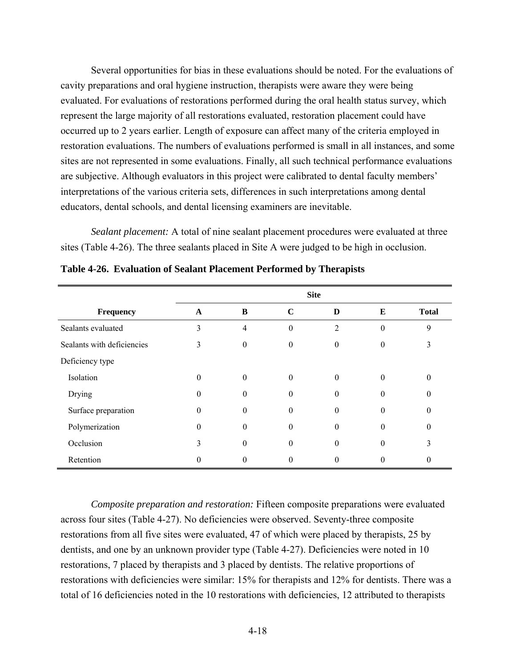Several opportunities for bias in these evaluations should be noted. For the evaluations of cavity preparations and oral hygiene instruction, therapists were aware they were being evaluated. For evaluations of restorations performed during the oral health status survey, which represent the large majority of all restorations evaluated, restoration placement could have occurred up to 2 years earlier. Length of exposure can affect many of the criteria employed in restoration evaluations. The numbers of evaluations performed is small in all instances, and some sites are not represented in some evaluations. Finally, all such technical performance evaluations are subjective. Although evaluators in this project were calibrated to dental faculty members' interpretations of the various criteria sets, differences in such interpretations among dental educators, dental schools, and dental licensing examiners are inevitable.

*Sealant placement:* A total of nine sealant placement procedures were evaluated at three sites (Table 4-26). The three sealants placed in Site A were judged to be high in occlusion.

|                            | <b>Site</b> |                |                  |          |                  |              |
|----------------------------|-------------|----------------|------------------|----------|------------------|--------------|
| Frequency                  | $\mathbf A$ | B              | $\mathbf C$      | D        | Е                | <b>Total</b> |
| Sealants evaluated         | 3           | $\overline{4}$ | $\boldsymbol{0}$ | 2        | $\boldsymbol{0}$ | 9            |
| Sealants with deficiencies | 3           | $\Omega$       | $\theta$         | $\Omega$ | $\Omega$         | 3            |
| Deficiency type            |             |                |                  |          |                  |              |
| Isolation                  | $\theta$    | $\theta$       | $\theta$         | $\theta$ | $\theta$         | $\theta$     |
| Drying                     | $\theta$    | $\theta$       | $\theta$         | $\Omega$ | $\theta$         | $\theta$     |
| Surface preparation        | $\theta$    | $\Omega$       | 0                | $\Omega$ | $\theta$         | $\theta$     |
| Polymerization             | $\theta$    | $\theta$       | 0                | $\theta$ | $\theta$         | $\theta$     |
| Occlusion                  | 3           | $\theta$       | 0                | $\theta$ | $\theta$         | 3            |
| Retention                  | 0           | $\Omega$       | 0                | $\Omega$ | $\theta$         | 0            |

**Table 4-26. Evaluation of Sealant Placement Performed by Therapists** 

*Composite preparation and restoration:* Fifteen composite preparations were evaluated across four sites (Table 4-27). No deficiencies were observed. Seventy-three composite restorations from all five sites were evaluated, 47 of which were placed by therapists, 25 by dentists, and one by an unknown provider type (Table 4-27). Deficiencies were noted in 10 restorations, 7 placed by therapists and 3 placed by dentists. The relative proportions of restorations with deficiencies were similar: 15% for therapists and 12% for dentists. There was a total of 16 deficiencies noted in the 10 restorations with deficiencies, 12 attributed to therapists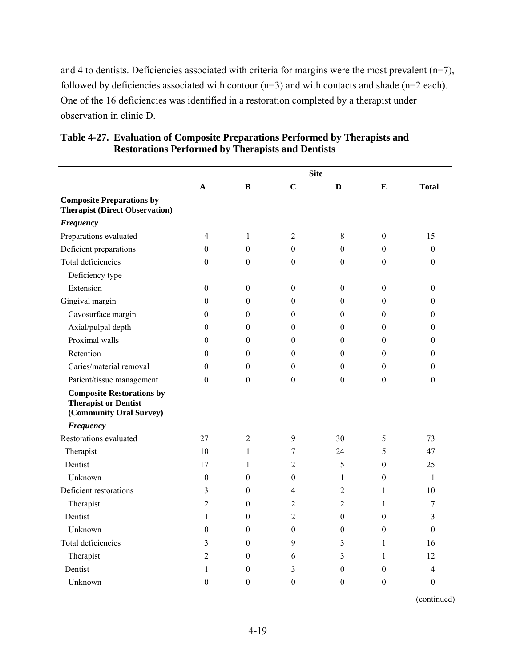and 4 to dentists. Deficiencies associated with criteria for margins were the most prevalent  $(n=7)$ , followed by deficiencies associated with contour  $(n=3)$  and with contacts and shade  $(n=2 \text{ each})$ . One of the 16 deficiencies was identified in a restoration completed by a therapist under observation in clinic D.

|                                                                                            |                  |                  |                  | <b>Site</b>      |                  |                  |
|--------------------------------------------------------------------------------------------|------------------|------------------|------------------|------------------|------------------|------------------|
|                                                                                            | A                | $\bf{B}$         | $\mathbf C$      | D                | E                | <b>Total</b>     |
| <b>Composite Preparations by</b><br><b>Therapist (Direct Observation)</b>                  |                  |                  |                  |                  |                  |                  |
| <b>Frequency</b>                                                                           |                  |                  |                  |                  |                  |                  |
| Preparations evaluated                                                                     | $\overline{4}$   | $\mathbf{1}$     | 2                | 8                | $\theta$         | 15               |
| Deficient preparations                                                                     | $\theta$         | $\boldsymbol{0}$ | $\boldsymbol{0}$ | $\theta$         | $\theta$         | $\mathbf{0}$     |
| Total deficiencies                                                                         | $\theta$         | $\boldsymbol{0}$ | $\Omega$         | $\Omega$         | $\Omega$         | $\Omega$         |
| Deficiency type                                                                            |                  |                  |                  |                  |                  |                  |
| Extension                                                                                  | $\boldsymbol{0}$ | $\mathbf{0}$     | $\mathbf{0}$     | $\theta$         | $\theta$         | $\theta$         |
| Gingival margin                                                                            | $\theta$         | $\boldsymbol{0}$ | $\theta$         | $\theta$         | $\theta$         | $\theta$         |
| Cavosurface margin                                                                         | $\boldsymbol{0}$ | $\overline{0}$   | $\mathbf{0}$     | $\mathbf{0}$     | $\theta$         | $\theta$         |
| Axial/pulpal depth                                                                         | $\theta$         | $\mathbf{0}$     | $\boldsymbol{0}$ | $\theta$         | $\theta$         | $\theta$         |
| Proximal walls                                                                             | $\theta$         | $\Omega$         | $\theta$         | $\theta$         | $\theta$         | $\Omega$         |
| Retention                                                                                  | $\theta$         | $\mathbf{0}$     | $\theta$         | $\theta$         | $\theta$         | 0                |
| Caries/material removal                                                                    | $\theta$         | $\boldsymbol{0}$ | $\theta$         | $\Omega$         | $\theta$         | $\theta$         |
| Patient/tissue management                                                                  | $\mathbf{0}$     | $\boldsymbol{0}$ | $\boldsymbol{0}$ | $\boldsymbol{0}$ | $\boldsymbol{0}$ | $\boldsymbol{0}$ |
| <b>Composite Restorations by</b><br><b>Therapist or Dentist</b><br>(Community Oral Survey) |                  |                  |                  |                  |                  |                  |
| <b>Frequency</b>                                                                           |                  |                  |                  |                  |                  |                  |
| Restorations evaluated                                                                     | 27               | $\overline{2}$   | 9                | 30               | 5                | 73               |
| Therapist                                                                                  | 10               | $\mathbf{1}$     | 7                | 24               | 5                | 47               |
| Dentist                                                                                    | 17               | $\mathbf{1}$     | 2                | 5                | $\theta$         | 25               |
| Unknown                                                                                    | $\theta$         | $\theta$         | $\overline{0}$   | $\mathbf{1}$     | $\theta$         | 1                |
| Deficient restorations                                                                     | 3                | $\boldsymbol{0}$ | 4                | $\overline{2}$   | 1                | 10               |
| Therapist                                                                                  | $\overline{2}$   | $\theta$         | 2                | $\overline{2}$   | 1                | 7                |
| Dentist                                                                                    | $\mathbf{1}$     | $\mathbf{0}$     | 2                | $\theta$         | $\theta$         | 3                |
| Unknown                                                                                    | $\boldsymbol{0}$ | $\boldsymbol{0}$ | $\theta$         | $\theta$         | $\theta$         | $\theta$         |
| Total deficiencies                                                                         | 3                | $\boldsymbol{0}$ | 9                | 3                | 1                | 16               |
| Therapist                                                                                  | $\overline{2}$   | $\boldsymbol{0}$ | 6                | 3                | $\mathbf{1}$     | 12               |
| Dentist                                                                                    | 1                | $\theta$         | 3                | $\theta$         | $\theta$         | 4                |
| Unknown                                                                                    | $\theta$         | $\mathbf{0}$     | $\mathbf{0}$     | $\theta$         | $\theta$         | $\mathbf{0}$     |

**Table 4-27. Evaluation of Composite Preparations Performed by Therapists and Restorations Performed by Therapists and Dentists** 

(continued)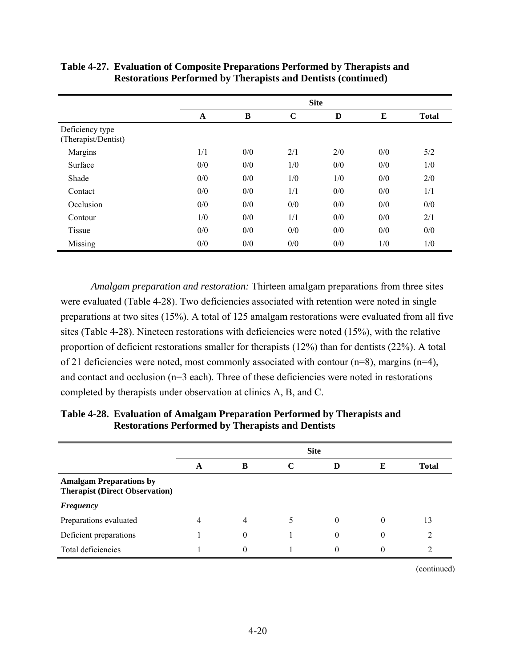|                                        | <b>Site</b> |     |             |     |     |              |  |
|----------------------------------------|-------------|-----|-------------|-----|-----|--------------|--|
|                                        | A           | B   | $\mathbf C$ | D   | E   | <b>Total</b> |  |
| Deficiency type<br>(Therapist/Dentist) |             |     |             |     |     |              |  |
| Margins                                | 1/1         | 0/0 | 2/1         | 2/0 | 0/0 | 5/2          |  |
| Surface                                | 0/0         | 0/0 | 1/0         | 0/0 | 0/0 | 1/0          |  |
| Shade                                  | 0/0         | 0/0 | 1/0         | 1/0 | 0/0 | 2/0          |  |
| Contact                                | 0/0         | 0/0 | 1/1         | 0/0 | 0/0 | 1/1          |  |
| Occlusion                              | 0/0         | 0/0 | 0/0         | 0/0 | 0/0 | 0/0          |  |
| Contour                                | 1/0         | 0/0 | 1/1         | 0/0 | 0/0 | 2/1          |  |
| Tissue                                 | 0/0         | 0/0 | 0/0         | 0/0 | 0/0 | 0/0          |  |
| Missing                                | 0/0         | 0/0 | 0/0         | 0/0 | 1/0 | 1/0          |  |

**Table 4-27. Evaluation of Composite Preparations Performed by Therapists and Restorations Performed by Therapists and Dentists (continued)** 

*Amalgam preparation and restoration:* Thirteen amalgam preparations from three sites were evaluated (Table 4-28). Two deficiencies associated with retention were noted in single preparations at two sites (15%). A total of 125 amalgam restorations were evaluated from all five sites (Table 4-28). Nineteen restorations with deficiencies were noted (15%), with the relative proportion of deficient restorations smaller for therapists (12%) than for dentists (22%). A total of 21 deficiencies were noted, most commonly associated with contour (n=8), margins (n=4), and contact and occlusion (n=3 each). Three of these deficiencies were noted in restorations completed by therapists under observation at clinics A, B, and C.

|                                                                         | <b>Site</b> |          |   |          |   |              |  |
|-------------------------------------------------------------------------|-------------|----------|---|----------|---|--------------|--|
|                                                                         | A           | B        |   | D        | E | <b>Total</b> |  |
| <b>Amalgam Preparations by</b><br><b>Therapist (Direct Observation)</b> |             |          |   |          |   |              |  |
| <b>Frequency</b>                                                        |             |          |   |          |   |              |  |
| Preparations evaluated                                                  | 4           | 4        | 5 | $\theta$ | 0 | 13           |  |
| Deficient preparations                                                  |             | 0        |   | $\Omega$ |   | ာ            |  |
| Total deficiencies                                                      |             | $\Omega$ |   | $\theta$ |   |              |  |

**Table 4-28. Evaluation of Amalgam Preparation Performed by Therapists and Restorations Performed by Therapists and Dentists** 

(continued)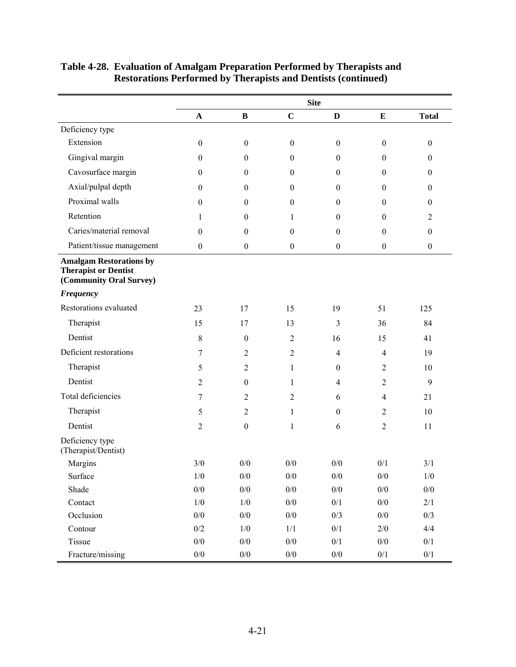|                                                                                          |                       |                  |                  | <b>Site</b>      |                  |                  |
|------------------------------------------------------------------------------------------|-----------------------|------------------|------------------|------------------|------------------|------------------|
|                                                                                          | $\boldsymbol{\rm{A}}$ | $\, {\bf B}$     | $\mathbf C$      | $\mathbf{D}$     | $\bf{E}$         | <b>Total</b>     |
| Deficiency type                                                                          |                       |                  |                  |                  |                  |                  |
| Extension                                                                                | $\boldsymbol{0}$      | $\boldsymbol{0}$ | $\boldsymbol{0}$ | $\boldsymbol{0}$ | $\boldsymbol{0}$ | $\boldsymbol{0}$ |
| Gingival margin                                                                          | $\boldsymbol{0}$      | $\boldsymbol{0}$ | $\boldsymbol{0}$ | $\boldsymbol{0}$ | $\boldsymbol{0}$ | $\boldsymbol{0}$ |
| Cavosurface margin                                                                       | $\boldsymbol{0}$      | $\boldsymbol{0}$ | $\boldsymbol{0}$ | $\boldsymbol{0}$ | $\boldsymbol{0}$ | $\boldsymbol{0}$ |
| Axial/pulpal depth                                                                       | $\boldsymbol{0}$      | $\boldsymbol{0}$ | $\boldsymbol{0}$ | $\boldsymbol{0}$ | $\boldsymbol{0}$ | $\boldsymbol{0}$ |
| Proximal walls                                                                           | $\boldsymbol{0}$      | $\boldsymbol{0}$ | $\boldsymbol{0}$ | $\boldsymbol{0}$ | $\boldsymbol{0}$ | $\boldsymbol{0}$ |
| Retention                                                                                | 1                     | $\boldsymbol{0}$ | 1                | $\boldsymbol{0}$ | $\boldsymbol{0}$ | 2                |
| Caries/material removal                                                                  | $\boldsymbol{0}$      | $\boldsymbol{0}$ | $\boldsymbol{0}$ | $\boldsymbol{0}$ | $\boldsymbol{0}$ | $\boldsymbol{0}$ |
| Patient/tissue management                                                                | $\boldsymbol{0}$      | $\boldsymbol{0}$ | $\boldsymbol{0}$ | $\boldsymbol{0}$ | $\boldsymbol{0}$ | $\boldsymbol{0}$ |
| <b>Amalgam Restorations by</b><br><b>Therapist or Dentist</b><br>(Community Oral Survey) |                       |                  |                  |                  |                  |                  |
| <b>Frequency</b>                                                                         |                       |                  |                  |                  |                  |                  |
| Restorations evaluated                                                                   | 23                    | 17               | 15               | 19               | 51               | 125              |
| Therapist                                                                                | 15                    | 17               | 13               | 3                | 36               | 84               |
| Dentist                                                                                  | $8\,$                 | $\mathbf{0}$     | 2                | 16               | 15               | 41               |
| Deficient restorations                                                                   | 7                     | 2                | $\overline{2}$   | $\overline{4}$   | $\overline{4}$   | 19               |
| Therapist                                                                                | 5                     | $\overline{2}$   | 1                | $\boldsymbol{0}$ | $\overline{2}$   | 10               |
| Dentist                                                                                  | $\overline{2}$        | $\boldsymbol{0}$ | $\mathbf{1}$     | $\overline{4}$   | $\overline{2}$   | 9                |
| Total deficiencies                                                                       | 7                     | $\overline{2}$   | 2                | 6                | $\overline{4}$   | 21               |
| Therapist                                                                                | 5                     | $\overline{2}$   | $\mathbf{1}$     | $\boldsymbol{0}$ | $\overline{2}$   | 10               |
| Dentist                                                                                  | $\overline{2}$        | $\boldsymbol{0}$ | $\mathbf{1}$     | 6                | $\overline{2}$   | 11               |
| Deficiency type<br>(Therapist/Dentist)                                                   |                       |                  |                  |                  |                  |                  |
| Margins                                                                                  | 3/0                   | 0/0              | 0/0              | 0/0              | 0/1              | 3/1              |
| Surface                                                                                  | $1/\mathbf{0}$        | $0/0\,$          | $0/0\,$          | $0/0\,$          | $0/0\,$          | $1/0$            |
| Shade                                                                                    | $0/0$                 | $0/0$            | $0/0$            | $0/0$            | $0/0$            | $0/0$            |
| Contact                                                                                  | 1/0                   | 1/0              | $0/0$            | $0/1$            | 0/0              | 2/1              |
| Occlusion                                                                                | $0/0$                 | $0/0$            | $0/0$            | 0/3              | $0/0$            | $0/3$            |
| Contour                                                                                  | $0/2$                 | 1/0              | 1/1              | $0/1$            | 2/0              | 4/4              |
| Tissue                                                                                   | $0/0$                 | $0/0$            | $0/0$            | 0/1              | $0/0$            | 0/1              |
| Fracture/missing                                                                         | $0/0\,$               | $0/0\,$          | $0/0\,$          | $0/0\,$          | $0/1$            | $0/1\,$          |

### **Table 4-28. Evaluation of Amalgam Preparation Performed by Therapists and Restorations Performed by Therapists and Dentists (continued)**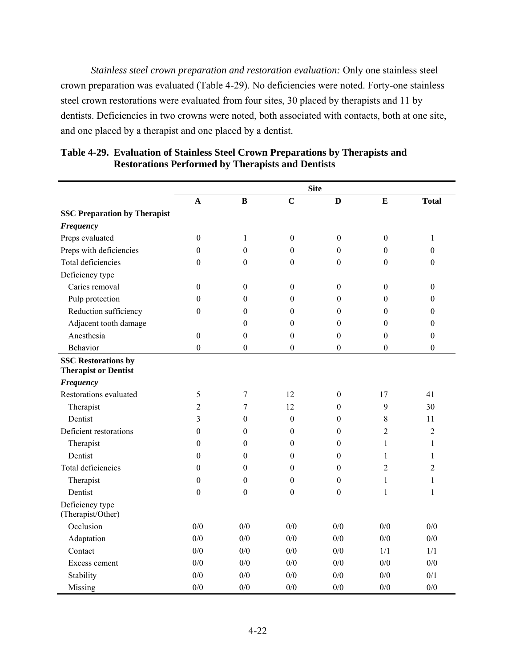*Stainless steel crown preparation and restoration evaluation:* Only one stainless steel crown preparation was evaluated (Table 4-29). No deficiencies were noted. Forty-one stainless steel crown restorations were evaluated from four sites, 30 placed by therapists and 11 by dentists. Deficiencies in two crowns were noted, both associated with contacts, both at one site, and one placed by a therapist and one placed by a dentist.

|                                                           |                  |                  |                  | <b>Site</b>      |                  |                  |
|-----------------------------------------------------------|------------------|------------------|------------------|------------------|------------------|------------------|
|                                                           | $\mathbf A$      | $\bf{B}$         | $\mathbf C$      | $\mathbf{D}$     | $\mathbf E$      | <b>Total</b>     |
| <b>SSC Preparation by Therapist</b>                       |                  |                  |                  |                  |                  |                  |
| <b>Frequency</b>                                          |                  |                  |                  |                  |                  |                  |
| Preps evaluated                                           | $\boldsymbol{0}$ | $\mathbf{1}$     | $\boldsymbol{0}$ | $\boldsymbol{0}$ | $\boldsymbol{0}$ | $\mathbf{1}$     |
| Preps with deficiencies                                   | $\boldsymbol{0}$ | $\overline{0}$   | $\boldsymbol{0}$ | $\theta$         | $\boldsymbol{0}$ | $\boldsymbol{0}$ |
| Total deficiencies                                        | $\boldsymbol{0}$ | $\boldsymbol{0}$ | $\boldsymbol{0}$ | $\theta$         | $\theta$         | $\boldsymbol{0}$ |
| Deficiency type                                           |                  |                  |                  |                  |                  |                  |
| Caries removal                                            | $\boldsymbol{0}$ | $\boldsymbol{0}$ | $\boldsymbol{0}$ | $\boldsymbol{0}$ | $\boldsymbol{0}$ | $\boldsymbol{0}$ |
| Pulp protection                                           | $\boldsymbol{0}$ | $\theta$         | $\theta$         | $\theta$         | $\theta$         | $\boldsymbol{0}$ |
| Reduction sufficiency                                     | $\boldsymbol{0}$ | $\theta$         | $\boldsymbol{0}$ | $\theta$         | $\theta$         | $\boldsymbol{0}$ |
| Adjacent tooth damage                                     |                  | $\theta$         | $\boldsymbol{0}$ | $\boldsymbol{0}$ | $\boldsymbol{0}$ | $\boldsymbol{0}$ |
| Anesthesia                                                | $\boldsymbol{0}$ | $\boldsymbol{0}$ | $\boldsymbol{0}$ | $\boldsymbol{0}$ | $\boldsymbol{0}$ | $\boldsymbol{0}$ |
| Behavior                                                  | $\boldsymbol{0}$ | $\boldsymbol{0}$ | $\boldsymbol{0}$ | $\boldsymbol{0}$ | $\boldsymbol{0}$ | $\boldsymbol{0}$ |
| <b>SSC Restorations by</b><br><b>Therapist or Dentist</b> |                  |                  |                  |                  |                  |                  |
| <b>Frequency</b>                                          |                  |                  |                  |                  |                  |                  |
| Restorations evaluated                                    | 5                | 7                | 12               | $\boldsymbol{0}$ | 17               | 41               |
| Therapist                                                 | $\overline{c}$   | 7                | 12               | $\boldsymbol{0}$ | 9                | 30               |
| Dentist                                                   | 3                | $\theta$         | $\boldsymbol{0}$ | $\boldsymbol{0}$ | 8                | 11               |
| Deficient restorations                                    | $\boldsymbol{0}$ | $\theta$         | $\boldsymbol{0}$ | $\theta$         | 2                | $\overline{c}$   |
| Therapist                                                 | $\boldsymbol{0}$ | $\theta$         | $\boldsymbol{0}$ | $\theta$         | 1                | 1                |
| Dentist                                                   | $\boldsymbol{0}$ | $\theta$         | $\theta$         | $\theta$         | 1                | 1                |
| Total deficiencies                                        | $\boldsymbol{0}$ | $\boldsymbol{0}$ | $\theta$         | $\boldsymbol{0}$ | $\overline{2}$   | $\overline{2}$   |
| Therapist                                                 | $\boldsymbol{0}$ | $\boldsymbol{0}$ | $\boldsymbol{0}$ | $\boldsymbol{0}$ | $\mathbf{1}$     | 1                |
| Dentist                                                   | $\boldsymbol{0}$ | $\boldsymbol{0}$ | $\boldsymbol{0}$ | $\boldsymbol{0}$ | $\mathbf{1}$     | $\mathbf{1}$     |
| Deficiency type<br>(Therapist/Other)                      |                  |                  |                  |                  |                  |                  |
| Occlusion                                                 | 0/0              | 0/0              | 0/0              | 0/0              | $0/0$            | 0/0              |
| Adaptation                                                | 0/0              | 0/0              | 0/0              | 0/0              | 0/0              | 0/0              |
| Contact                                                   | 0/0              | 0/0              | 0/0              | 0/0              | 1/1              | 1/1              |
| Excess cement                                             | 0/0              | 0/0              | 0/0              | 0/0              | 0/0              | 0/0              |
| Stability                                                 | 0/0              | 0/0              | 0/0              | 0/0              | 0/0              | 0/1              |
| Missing                                                   | 0/0              | 0/0              | 0/0              | 0/0              | 0/0              | 0/0              |

**Table 4-29. Evaluation of Stainless Steel Crown Preparations by Therapists and Restorations Performed by Therapists and Dentists**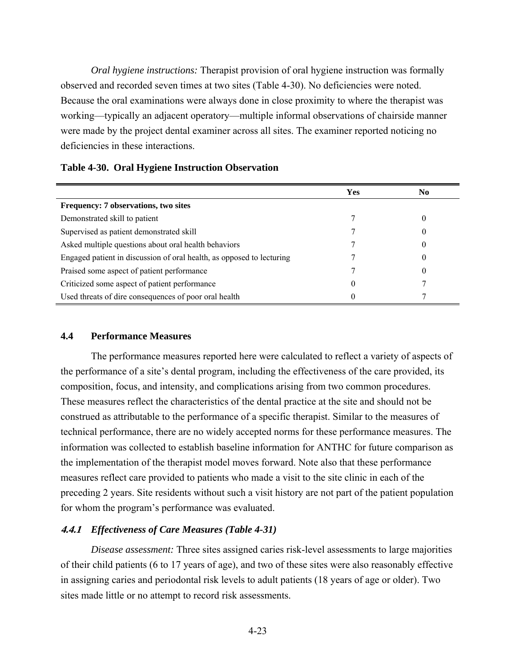*Oral hygiene instructions:* Therapist provision of oral hygiene instruction was formally observed and recorded seven times at two sites (Table 4-30). No deficiencies were noted. Because the oral examinations were always done in close proximity to where the therapist was working—typically an adjacent operatory—multiple informal observations of chairside manner were made by the project dental examiner across all sites. The examiner reported noticing no deficiencies in these interactions.

|                                                                       | <b>Yes</b> | N <sub>0</sub> |
|-----------------------------------------------------------------------|------------|----------------|
| <b>Frequency: 7 observations, two sites</b>                           |            |                |
| Demonstrated skill to patient                                         |            |                |
| Supervised as patient demonstrated skill                              |            |                |
| Asked multiple questions about oral health behaviors                  |            |                |
| Engaged patient in discussion of oral health, as opposed to lecturing |            |                |
| Praised some aspect of patient performance                            |            |                |
| Criticized some aspect of patient performance                         |            |                |
| Used threats of dire consequences of poor oral health                 |            |                |

#### **Table 4-30. Oral Hygiene Instruction Observation**

#### **4.4 Performance Measures**

The performance measures reported here were calculated to reflect a variety of aspects of the performance of a site's dental program, including the effectiveness of the care provided, its composition, focus, and intensity, and complications arising from two common procedures. These measures reflect the characteristics of the dental practice at the site and should not be construed as attributable to the performance of a specific therapist. Similar to the measures of technical performance, there are no widely accepted norms for these performance measures. The information was collected to establish baseline information for ANTHC for future comparison as the implementation of the therapist model moves forward. Note also that these performance measures reflect care provided to patients who made a visit to the site clinic in each of the preceding 2 years. Site residents without such a visit history are not part of the patient population for whom the program's performance was evaluated.

#### **4.4.1** *Effectiveness of Care Measures (Table 4-31)*

*Disease assessment:* Three sites assigned caries risk-level assessments to large majorities of their child patients (6 to 17 years of age), and two of these sites were also reasonably effective in assigning caries and periodontal risk levels to adult patients (18 years of age or older). Two sites made little or no attempt to record risk assessments.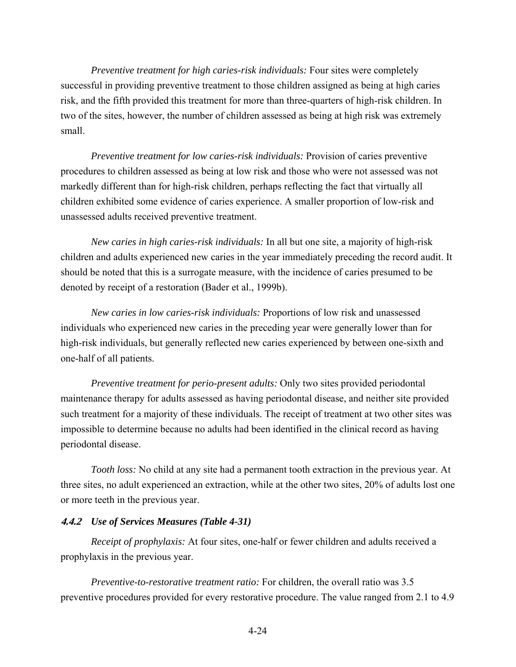*Preventive treatment for high caries-risk individuals:* Four sites were completely successful in providing preventive treatment to those children assigned as being at high caries risk, and the fifth provided this treatment for more than three-quarters of high-risk children. In two of the sites, however, the number of children assessed as being at high risk was extremely small.

*Preventive treatment for low caries-risk individuals:* Provision of caries preventive procedures to children assessed as being at low risk and those who were not assessed was not markedly different than for high-risk children, perhaps reflecting the fact that virtually all children exhibited some evidence of caries experience. A smaller proportion of low-risk and unassessed adults received preventive treatment.

*New caries in high caries-risk individuals:* In all but one site, a majority of high-risk children and adults experienced new caries in the year immediately preceding the record audit. It should be noted that this is a surrogate measure, with the incidence of caries presumed to be denoted by receipt of a restoration (Bader et al., 1999b).

*New caries in low caries-risk individuals:* Proportions of low risk and unassessed individuals who experienced new caries in the preceding year were generally lower than for high-risk individuals, but generally reflected new caries experienced by between one-sixth and one-half of all patients.

*Preventive treatment for perio-present adults:* Only two sites provided periodontal maintenance therapy for adults assessed as having periodontal disease, and neither site provided such treatment for a majority of these individuals. The receipt of treatment at two other sites was impossible to determine because no adults had been identified in the clinical record as having periodontal disease.

*Tooth loss:* No child at any site had a permanent tooth extraction in the previous year. At three sites, no adult experienced an extraction, while at the other two sites, 20% of adults lost one or more teeth in the previous year.

# **4.4.2** *Use of Services Measures (Table 4-31)*

*Receipt of prophylaxis:* At four sites, one-half or fewer children and adults received a prophylaxis in the previous year.

*Preventive-to-restorative treatment ratio:* For children, the overall ratio was 3.5 preventive procedures provided for every restorative procedure. The value ranged from 2.1 to 4.9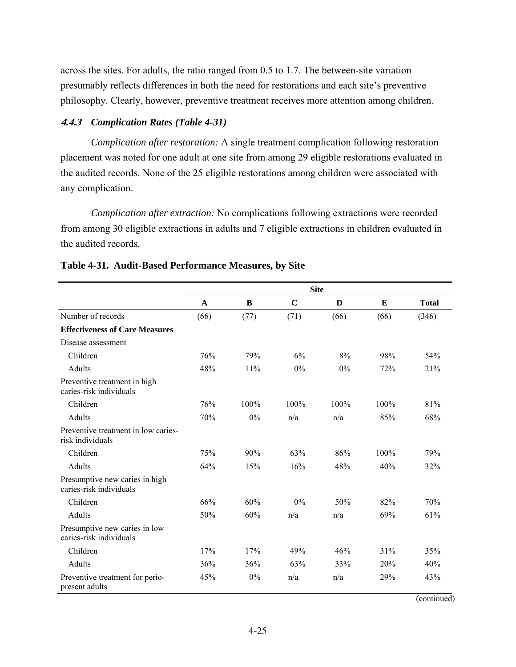across the sites. For adults, the ratio ranged from 0.5 to 1.7. The between-site variation presumably reflects differences in both the need for restorations and each site's preventive philosophy. Clearly, however, preventive treatment receives more attention among children.

### **4.4.3** *Complication Rates (Table 4-31)*

*Complication after restoration:* A single treatment complication following restoration placement was noted for one adult at one site from among 29 eligible restorations evaluated in the audited records. None of the 25 eligible restorations among children were associated with any complication.

*Complication after extraction:* No complications following extractions were recorded from among 30 eligible extractions in adults and 7 eligible extractions in children evaluated in the audited records.

|                                                           | <b>Site</b> |      |             |       |      |              |  |
|-----------------------------------------------------------|-------------|------|-------------|-------|------|--------------|--|
|                                                           | $\mathbf A$ | B    | $\mathbf C$ | D     | E    | <b>Total</b> |  |
| Number of records                                         | (66)        | (77) | (71)        | (66)  | (66) | (346)        |  |
| <b>Effectiveness of Care Measures</b>                     |             |      |             |       |      |              |  |
| Disease assessment                                        |             |      |             |       |      |              |  |
| Children                                                  | 76%         | 79%  | 6%          | 8%    | 98%  | 54%          |  |
| Adults                                                    | 48%         | 11%  | 0%          | $0\%$ | 72%  | 21%          |  |
| Preventive treatment in high<br>caries-risk individuals   |             |      |             |       |      |              |  |
| Children                                                  | 76%         | 100% | 100%        | 100%  | 100% | 81%          |  |
| Adults                                                    | 70%         | 0%   | n/a         | n/a   | 85%  | 68%          |  |
| Preventive treatment in low caries-<br>risk individuals   |             |      |             |       |      |              |  |
| Children                                                  | 75%         | 90%  | 63%         | 86%   | 100% | 79%          |  |
| Adults                                                    | 64%         | 15%  | 16%         | 48%   | 40%  | 32%          |  |
| Presumptive new caries in high<br>caries-risk individuals |             |      |             |       |      |              |  |
| Children                                                  | 66%         | 60%  | 0%          | 50%   | 82%  | 70%          |  |
| Adults                                                    | 50%         | 60%  | n/a         | n/a   | 69%  | 61%          |  |
| Presumptive new caries in low<br>caries-risk individuals  |             |      |             |       |      |              |  |
| Children                                                  | 17%         | 17%  | 49%         | 46%   | 31%  | 35%          |  |
| Adults                                                    | 36%         | 36%  | 63%         | 33%   | 20%  | 40%          |  |
| Preventive treatment for perio-<br>present adults         | 45%         | 0%   | n/a         | n/a   | 29%  | 43%          |  |

#### **Table 4-31. Audit-Based Performance Measures, by Site**

(continued)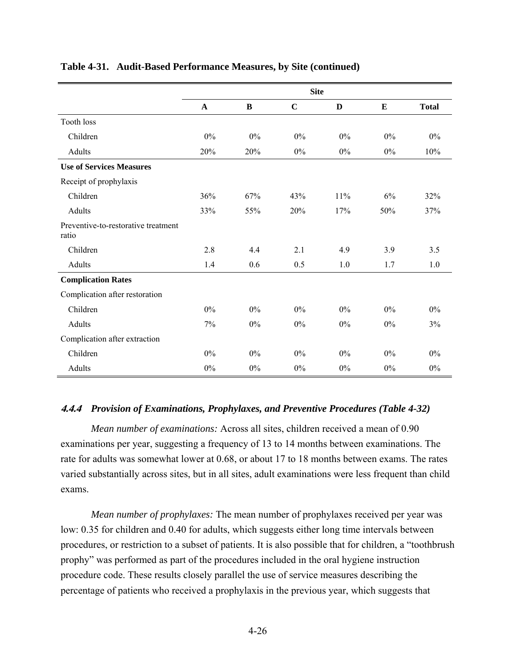|                                              | <b>Site</b>  |       |             |       |       |              |  |
|----------------------------------------------|--------------|-------|-------------|-------|-------|--------------|--|
|                                              | $\mathbf{A}$ | B     | $\mathbf C$ | D     | E     | <b>Total</b> |  |
| <b>Tooth loss</b>                            |              |       |             |       |       |              |  |
| Children                                     | 0%           | 0%    | 0%          | $0\%$ | 0%    | $0\%$        |  |
| Adults                                       | 20%          | 20%   | $0\%$       | $0\%$ | $0\%$ | 10%          |  |
| <b>Use of Services Measures</b>              |              |       |             |       |       |              |  |
| Receipt of prophylaxis                       |              |       |             |       |       |              |  |
| Children                                     | 36%          | 67%   | 43%         | 11%   | 6%    | 32%          |  |
| Adults                                       | 33%          | 55%   | 20%         | 17%   | 50%   | 37%          |  |
| Preventive-to-restorative treatment<br>ratio |              |       |             |       |       |              |  |
| Children                                     | 2.8          | 4.4   | 2.1         | 4.9   | 3.9   | 3.5          |  |
| Adults                                       | 1.4          | 0.6   | 0.5         | 1.0   | 1.7   | 1.0          |  |
| <b>Complication Rates</b>                    |              |       |             |       |       |              |  |
| Complication after restoration               |              |       |             |       |       |              |  |
| Children                                     | 0%           | $0\%$ | $0\%$       | $0\%$ | $0\%$ | $0\%$        |  |
| Adults                                       | 7%           | $0\%$ | $0\%$       | $0\%$ | 0%    | 3%           |  |
| Complication after extraction                |              |       |             |       |       |              |  |
| Children                                     | 0%           | $0\%$ | 0%          | $0\%$ | 0%    | $0\%$        |  |
| Adults                                       | 0%           | $0\%$ | 0%          | $0\%$ | $0\%$ | 0%           |  |

# **Table 4-31. Audit-Based Performance Measures, by Site (continued)**

### **4.4.4** *Provision of Examinations, Prophylaxes, and Preventive Procedures (Table 4-32)*

*Mean number of examinations:* Across all sites, children received a mean of 0.90 examinations per year, suggesting a frequency of 13 to 14 months between examinations. The rate for adults was somewhat lower at 0.68, or about 17 to 18 months between exams. The rates varied substantially across sites, but in all sites, adult examinations were less frequent than child exams.

*Mean number of prophylaxes:* The mean number of prophylaxes received per year was low: 0.35 for children and 0.40 for adults, which suggests either long time intervals between procedures, or restriction to a subset of patients. It is also possible that for children, a "toothbrush prophy" was performed as part of the procedures included in the oral hygiene instruction procedure code. These results closely parallel the use of service measures describing the percentage of patients who received a prophylaxis in the previous year, which suggests that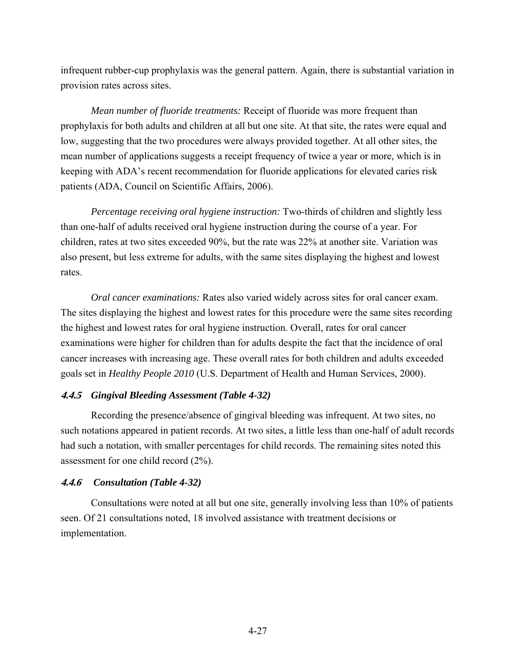infrequent rubber-cup prophylaxis was the general pattern. Again, there is substantial variation in provision rates across sites.

*Mean number of fluoride treatments:* Receipt of fluoride was more frequent than prophylaxis for both adults and children at all but one site. At that site, the rates were equal and low, suggesting that the two procedures were always provided together. At all other sites, the mean number of applications suggests a receipt frequency of twice a year or more, which is in keeping with ADA's recent recommendation for fluoride applications for elevated caries risk patients (ADA, Council on Scientific Affairs, 2006).

*Percentage receiving oral hygiene instruction:* Two-thirds of children and slightly less than one-half of adults received oral hygiene instruction during the course of a year. For children, rates at two sites exceeded 90%, but the rate was 22% at another site. Variation was also present, but less extreme for adults, with the same sites displaying the highest and lowest rates.

*Oral cancer examinations:* Rates also varied widely across sites for oral cancer exam. The sites displaying the highest and lowest rates for this procedure were the same sites recording the highest and lowest rates for oral hygiene instruction. Overall, rates for oral cancer examinations were higher for children than for adults despite the fact that the incidence of oral cancer increases with increasing age. These overall rates for both children and adults exceeded goals set in *Healthy People 2010* (U.S. Department of Health and Human Services, 2000).

### **4.4.5** *Gingival Bleeding Assessment (Table 4-32)*

Recording the presence/absence of gingival bleeding was infrequent. At two sites, no such notations appeared in patient records. At two sites, a little less than one-half of adult records had such a notation, with smaller percentages for child records. The remaining sites noted this assessment for one child record (2%).

#### **4.4.6** *Consultation (Table 4-32)*

Consultations were noted at all but one site, generally involving less than 10% of patients seen. Of 21 consultations noted, 18 involved assistance with treatment decisions or implementation.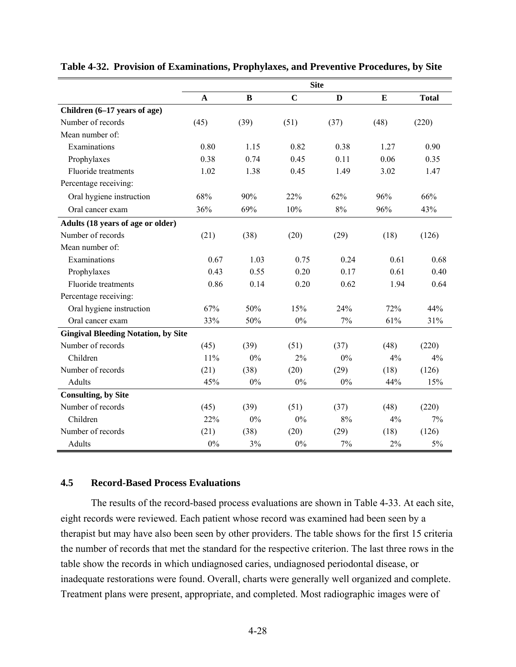|                                            | <b>Site</b>  |          |                |       |      |              |  |
|--------------------------------------------|--------------|----------|----------------|-------|------|--------------|--|
|                                            | $\mathbf{A}$ | $\bf{B}$ | $\overline{C}$ | D     | E    | <b>Total</b> |  |
| Children (6-17 years of age)               |              |          |                |       |      |              |  |
| Number of records                          | (45)         | (39)     | (51)           | (37)  | (48) | (220)        |  |
| Mean number of:                            |              |          |                |       |      |              |  |
| Examinations                               | 0.80         | 1.15     | 0.82           | 0.38  | 1.27 | 0.90         |  |
| Prophylaxes                                | 0.38         | 0.74     | 0.45           | 0.11  | 0.06 | 0.35         |  |
| Fluoride treatments                        | 1.02         | 1.38     | 0.45           | 1.49  | 3.02 | 1.47         |  |
| Percentage receiving:                      |              |          |                |       |      |              |  |
| Oral hygiene instruction                   | 68%          | 90%      | 22%            | 62%   | 96%  | 66%          |  |
| Oral cancer exam                           | 36%          | 69%      | 10%            | 8%    | 96%  | 43%          |  |
| Adults (18 years of age or older)          |              |          |                |       |      |              |  |
| Number of records                          | (21)         | (38)     | (20)           | (29)  | (18) | (126)        |  |
| Mean number of:                            |              |          |                |       |      |              |  |
| Examinations                               | 0.67         | 1.03     | 0.75           | 0.24  | 0.61 | 0.68         |  |
| Prophylaxes                                | 0.43         | 0.55     | 0.20           | 0.17  | 0.61 | 0.40         |  |
| Fluoride treatments                        | 0.86         | 0.14     | 0.20           | 0.62  | 1.94 | 0.64         |  |
| Percentage receiving:                      |              |          |                |       |      |              |  |
| Oral hygiene instruction                   | 67%          | 50%      | 15%            | 24%   | 72%  | 44%          |  |
| Oral cancer exam                           | 33%          | 50%      | 0%             | 7%    | 61%  | 31%          |  |
| <b>Gingival Bleeding Notation, by Site</b> |              |          |                |       |      |              |  |
| Number of records                          | (45)         | (39)     | (51)           | (37)  | (48) | (220)        |  |
| Children                                   | 11%          | $0\%$    | 2%             | 0%    | 4%   | 4%           |  |
| Number of records                          | (21)         | (38)     | (20)           | (29)  | (18) | (126)        |  |
| Adults                                     | 45%          | $0\%$    | 0%             | $0\%$ | 44%  | 15%          |  |
| <b>Consulting, by Site</b>                 |              |          |                |       |      |              |  |
| Number of records                          | (45)         | (39)     | (51)           | (37)  | (48) | (220)        |  |
| Children                                   | 22%          | 0%       | 0%             | 8%    | 4%   | 7%           |  |
| Number of records                          | (21)         | (38)     | (20)           | (29)  | (18) | (126)        |  |
| Adults                                     | 0%           | 3%       | 0%             | 7%    | 2%   | 5%           |  |

**Table 4-32. Provision of Examinations, Prophylaxes, and Preventive Procedures, by Site** 

#### **4.5 Record-Based Process Evaluations**

The results of the record-based process evaluations are shown in Table 4-33. At each site, eight records were reviewed. Each patient whose record was examined had been seen by a therapist but may have also been seen by other providers. The table shows for the first 15 criteria the number of records that met the standard for the respective criterion. The last three rows in the table show the records in which undiagnosed caries, undiagnosed periodontal disease, or inadequate restorations were found. Overall, charts were generally well organized and complete. Treatment plans were present, appropriate, and completed. Most radiographic images were of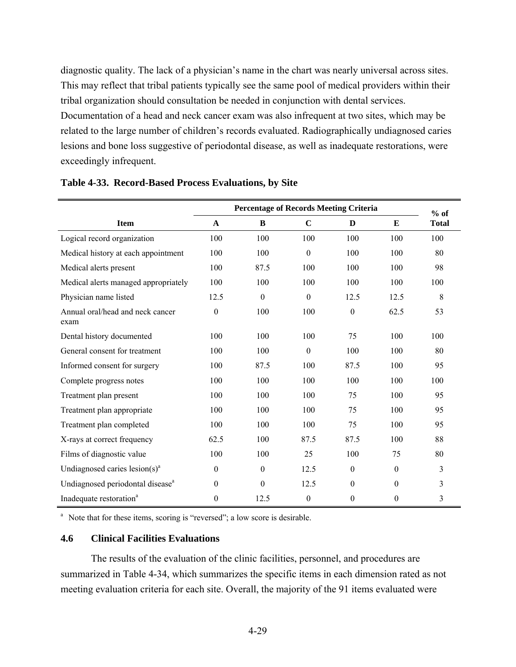diagnostic quality. The lack of a physician's name in the chart was nearly universal across sites. This may reflect that tribal patients typically see the same pool of medical providers within their tribal organization should consultation be needed in conjunction with dental services. Documentation of a head and neck cancer exam was also infrequent at two sites, which may be related to the large number of children's records evaluated. Radiographically undiagnosed caries lesions and bone loss suggestive of periodontal disease, as well as inadequate restorations, were exceedingly infrequent.

|                                              | <b>Percentage of Records Meeting Criteria</b> |                  |                  |                  |                  |                        |
|----------------------------------------------|-----------------------------------------------|------------------|------------------|------------------|------------------|------------------------|
| <b>Item</b>                                  | A                                             | B                | $\mathbf C$      | D                | E                | $%$ of<br><b>Total</b> |
| Logical record organization                  | 100                                           | 100              | 100              | 100              | 100              | 100                    |
| Medical history at each appointment          | 100                                           | 100              | $\boldsymbol{0}$ | 100              | 100              | 80                     |
| Medical alerts present                       | 100                                           | 87.5             | 100              | 100              | 100              | 98                     |
| Medical alerts managed appropriately         | 100                                           | 100              | 100              | 100              | 100              | 100                    |
| Physician name listed                        | 12.5                                          | $\boldsymbol{0}$ | $\boldsymbol{0}$ | 12.5             | 12.5             | 8                      |
| Annual oral/head and neck cancer<br>exam     | 0                                             | 100              | 100              | $\boldsymbol{0}$ | 62.5             | 53                     |
| Dental history documented                    | 100                                           | 100              | 100              | 75               | 100              | 100                    |
| General consent for treatment                | 100                                           | 100              | $\mathbf{0}$     | 100              | 100              | 80                     |
| Informed consent for surgery                 | 100                                           | 87.5             | 100              | 87.5             | 100              | 95                     |
| Complete progress notes                      | 100                                           | 100              | 100              | 100              | 100              | 100                    |
| Treatment plan present                       | 100                                           | 100              | 100              | 75               | 100              | 95                     |
| Treatment plan appropriate                   | 100                                           | 100              | 100              | 75               | 100              | 95                     |
| Treatment plan completed                     | 100                                           | 100              | 100              | 75               | 100              | 95                     |
| X-rays at correct frequency                  | 62.5                                          | 100              | 87.5             | 87.5             | 100              | 88                     |
| Films of diagnostic value                    | 100                                           | 100              | 25               | 100              | 75               | 80                     |
| Undiagnosed caries $lesion(s)^a$             | $\mathbf{0}$                                  | $\mathbf{0}$     | 12.5             | $\boldsymbol{0}$ | $\boldsymbol{0}$ | 3                      |
| Undiagnosed periodontal disease <sup>a</sup> | $\theta$                                      | $\theta$         | 12.5             | $\mathbf{0}$     | $\theta$         | 3                      |
| Inadequate restoration <sup>a</sup>          | $\boldsymbol{0}$                              | 12.5             | $\boldsymbol{0}$ | $\boldsymbol{0}$ | $\boldsymbol{0}$ | 3                      |

#### **Table 4-33. Record-Based Process Evaluations, by Site**

<sup>a</sup> Note that for these items, scoring is "reversed"; a low score is desirable.

### **4.6 Clinical Facilities Evaluations**

The results of the evaluation of the clinic facilities, personnel, and procedures are summarized in Table 4-34, which summarizes the specific items in each dimension rated as not meeting evaluation criteria for each site. Overall, the majority of the 91 items evaluated were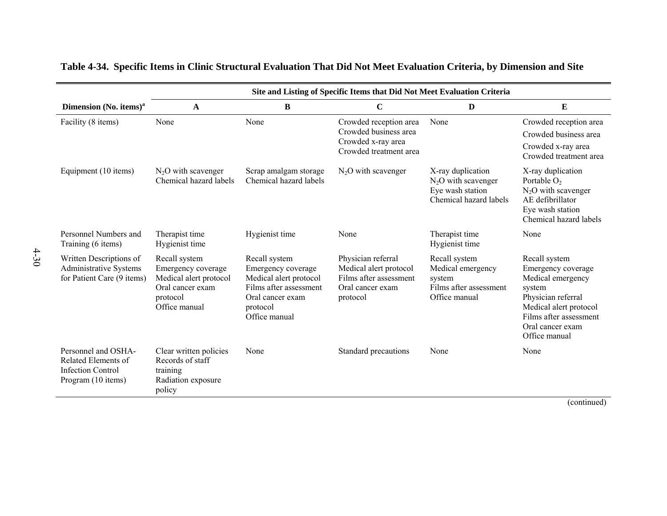|                                                                                              | Site and Listing of Specific Items that Did Not Meet Evaluation Criteria                                       |                                                                                                                                          |                                                                                                        |                                                                                          |                                                                                                                                                                                   |  |  |  |
|----------------------------------------------------------------------------------------------|----------------------------------------------------------------------------------------------------------------|------------------------------------------------------------------------------------------------------------------------------------------|--------------------------------------------------------------------------------------------------------|------------------------------------------------------------------------------------------|-----------------------------------------------------------------------------------------------------------------------------------------------------------------------------------|--|--|--|
| Dimension (No. items) <sup>a</sup>                                                           | A                                                                                                              | B                                                                                                                                        | $\mathbf C$                                                                                            | D                                                                                        | ${\bf E}$                                                                                                                                                                         |  |  |  |
| Facility (8 items)                                                                           | None                                                                                                           | None                                                                                                                                     | Crowded reception area<br>Crowded business area<br>Crowded x-ray area<br>Crowded treatment area        | None                                                                                     | Crowded reception area<br>Crowded business area<br>Crowded x-ray area<br>Crowded treatment area                                                                                   |  |  |  |
| Equipment (10 items)                                                                         | $N_2O$ with scavenger<br>Chemical hazard labels                                                                | Scrap amalgam storage<br>Chemical hazard labels                                                                                          | $N_2O$ with scavenger                                                                                  | X-ray duplication<br>$N_2O$ with scavenger<br>Eye wash station<br>Chemical hazard labels | X-ray duplication<br>Portable $O2$<br>$N_2O$ with scavenger<br>AE defibrillator<br>Eye wash station<br>Chemical hazard labels                                                     |  |  |  |
| Personnel Numbers and<br>Training (6 items)                                                  | Therapist time<br>Hygienist time                                                                               | Hygienist time                                                                                                                           | None                                                                                                   | Therapist time<br>Hygienist time                                                         | None                                                                                                                                                                              |  |  |  |
| Written Descriptions of<br><b>Administrative Systems</b><br>for Patient Care (9 items)       | Recall system<br>Emergency coverage<br>Medical alert protocol<br>Oral cancer exam<br>protocol<br>Office manual | Recall system<br>Emergency coverage<br>Medical alert protocol<br>Films after assessment<br>Oral cancer exam<br>protocol<br>Office manual | Physician referral<br>Medical alert protocol<br>Films after assessment<br>Oral cancer exam<br>protocol | Recall system<br>Medical emergency<br>system<br>Films after assessment<br>Office manual  | Recall system<br>Emergency coverage<br>Medical emergency<br>system<br>Physician referral<br>Medical alert protocol<br>Films after assessment<br>Oral cancer exam<br>Office manual |  |  |  |
| Personnel and OSHA-<br>Related Elements of<br><b>Infection Control</b><br>Program (10 items) | Clear written policies<br>Records of staff<br>training<br>Radiation exposure<br>policy                         | None                                                                                                                                     | Standard precautions                                                                                   | None                                                                                     | None                                                                                                                                                                              |  |  |  |

# **Table 4-34. Specific Items in Clinic Structural Evaluation That Did Not Meet Evaluation Criteria, by Dimension and Site**

(continued)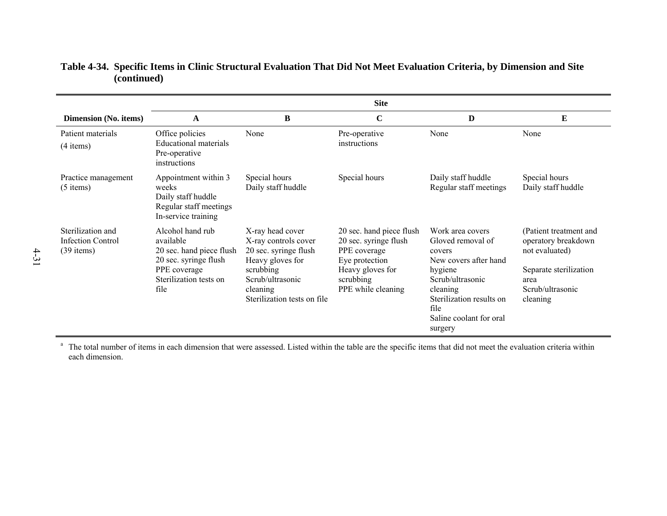|                                                        | <b>Site</b>                                                                                                                          |                                                                                                                                                                   |                                                                                                                                            |                                                                                                                                                                                               |                                                                                                                                   |  |  |
|--------------------------------------------------------|--------------------------------------------------------------------------------------------------------------------------------------|-------------------------------------------------------------------------------------------------------------------------------------------------------------------|--------------------------------------------------------------------------------------------------------------------------------------------|-----------------------------------------------------------------------------------------------------------------------------------------------------------------------------------------------|-----------------------------------------------------------------------------------------------------------------------------------|--|--|
| Dimension (No. items)                                  | A                                                                                                                                    | B                                                                                                                                                                 | $\mathbf C$                                                                                                                                | D                                                                                                                                                                                             | E                                                                                                                                 |  |  |
| Patient materials<br>$(4$ items)                       | Office policies<br><b>Educational materials</b><br>Pre-operative<br>instructions                                                     | None                                                                                                                                                              | Pre-operative<br>instructions                                                                                                              | None                                                                                                                                                                                          | None                                                                                                                              |  |  |
| Practice management<br>$(5$ items)                     | Appointment within 3<br>weeks<br>Daily staff huddle<br>Regular staff meetings<br>In-service training                                 | Special hours<br>Daily staff huddle                                                                                                                               | Special hours                                                                                                                              | Daily staff huddle<br>Regular staff meetings                                                                                                                                                  | Special hours<br>Daily staff huddle                                                                                               |  |  |
| Sterilization and<br>Infection Control<br>$(39$ items) | Alcohol hand rub<br>available<br>20 sec. hand piece flush<br>20 sec. syringe flush<br>PPE coverage<br>Sterilization tests on<br>file | X-ray head cover<br>X-ray controls cover<br>20 sec. syringe flush<br>Heavy gloves for<br>scrubbing<br>Scrub/ultrasonic<br>cleaning<br>Sterilization tests on file | 20 sec. hand piece flush<br>20 sec. syringe flush<br>PPE coverage<br>Eye protection<br>Heavy gloves for<br>scrubbing<br>PPE while cleaning | Work area covers<br>Gloved removal of<br>covers<br>New covers after hand<br>hygiene<br>Scrub/ultrasonic<br>cleaning<br>Sterilization results on<br>file<br>Saline coolant for oral<br>surgery | (Patient treatment and<br>operatory breakdown<br>not evaluated)<br>Separate sterilization<br>area<br>Scrub/ultrasonic<br>cleaning |  |  |

# **Table 4-34. Specific Items in Clinic Structural Evaluation That Did Not Meet Evaluation Criteria, by Dimension and Site (continued)**

<sup>a</sup> The total number of items in each dimension that were assessed. Listed within the table are the specific items that did not meet the evaluation criteria within each dimension.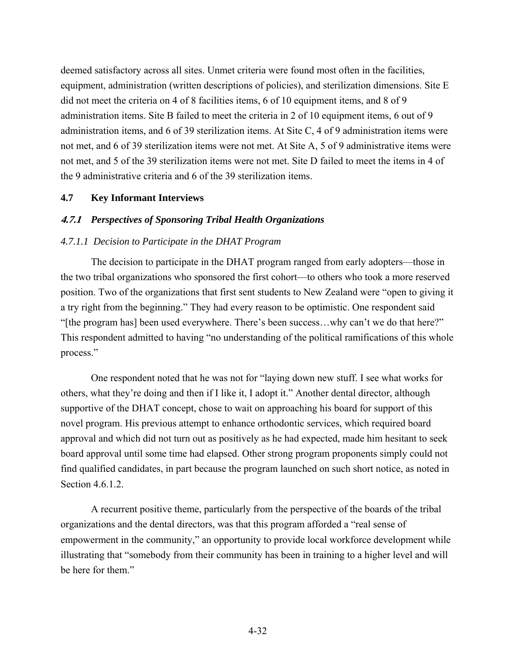deemed satisfactory across all sites. Unmet criteria were found most often in the facilities, equipment, administration (written descriptions of policies), and sterilization dimensions. Site E did not meet the criteria on 4 of 8 facilities items, 6 of 10 equipment items, and 8 of 9 administration items. Site B failed to meet the criteria in 2 of 10 equipment items, 6 out of 9 administration items, and 6 of 39 sterilization items. At Site C, 4 of 9 administration items were not met, and 6 of 39 sterilization items were not met. At Site A, 5 of 9 administrative items were not met, and 5 of the 39 sterilization items were not met. Site D failed to meet the items in 4 of the 9 administrative criteria and 6 of the 39 sterilization items.

#### **4.7 Key Informant Interviews**

#### **4.7.1** *Perspectives of Sponsoring Tribal Health Organizations*

#### *4.7.1.1 Decision to Participate in the DHAT Program*

The decision to participate in the DHAT program ranged from early adopters—those in the two tribal organizations who sponsored the first cohort—to others who took a more reserved position. Two of the organizations that first sent students to New Zealand were "open to giving it a try right from the beginning." They had every reason to be optimistic. One respondent said "[the program has] been used everywhere. There's been success…why can't we do that here?" This respondent admitted to having "no understanding of the political ramifications of this whole process."

One respondent noted that he was not for "laying down new stuff. I see what works for others, what they're doing and then if I like it, I adopt it." Another dental director, although supportive of the DHAT concept, chose to wait on approaching his board for support of this novel program. His previous attempt to enhance orthodontic services, which required board approval and which did not turn out as positively as he had expected, made him hesitant to seek board approval until some time had elapsed. Other strong program proponents simply could not find qualified candidates, in part because the program launched on such short notice, as noted in Section 4.6.1.2.

A recurrent positive theme, particularly from the perspective of the boards of the tribal organizations and the dental directors, was that this program afforded a "real sense of empowerment in the community," an opportunity to provide local workforce development while illustrating that "somebody from their community has been in training to a higher level and will be here for them."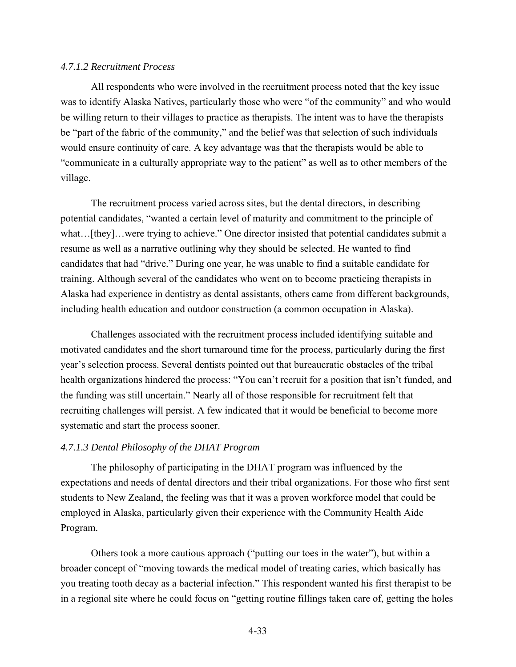#### *4.7.1.2 Recruitment Process*

All respondents who were involved in the recruitment process noted that the key issue was to identify Alaska Natives, particularly those who were "of the community" and who would be willing return to their villages to practice as therapists. The intent was to have the therapists be "part of the fabric of the community," and the belief was that selection of such individuals would ensure continuity of care. A key advantage was that the therapists would be able to "communicate in a culturally appropriate way to the patient" as well as to other members of the village.

The recruitment process varied across sites, but the dental directors, in describing potential candidates, "wanted a certain level of maturity and commitment to the principle of what...[they]...were trying to achieve." One director insisted that potential candidates submit a resume as well as a narrative outlining why they should be selected. He wanted to find candidates that had "drive." During one year, he was unable to find a suitable candidate for training. Although several of the candidates who went on to become practicing therapists in Alaska had experience in dentistry as dental assistants, others came from different backgrounds, including health education and outdoor construction (a common occupation in Alaska).

Challenges associated with the recruitment process included identifying suitable and motivated candidates and the short turnaround time for the process, particularly during the first year's selection process. Several dentists pointed out that bureaucratic obstacles of the tribal health organizations hindered the process: "You can't recruit for a position that isn't funded, and the funding was still uncertain." Nearly all of those responsible for recruitment felt that recruiting challenges will persist. A few indicated that it would be beneficial to become more systematic and start the process sooner.

#### *4.7.1.3 Dental Philosophy of the DHAT Program*

The philosophy of participating in the DHAT program was influenced by the expectations and needs of dental directors and their tribal organizations. For those who first sent students to New Zealand, the feeling was that it was a proven workforce model that could be employed in Alaska, particularly given their experience with the Community Health Aide Program.

Others took a more cautious approach ("putting our toes in the water"), but within a broader concept of "moving towards the medical model of treating caries, which basically has you treating tooth decay as a bacterial infection." This respondent wanted his first therapist to be in a regional site where he could focus on "getting routine fillings taken care of, getting the holes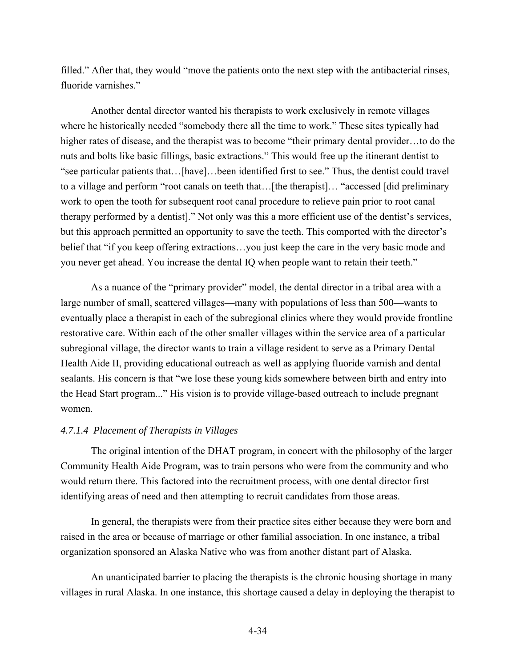filled." After that, they would "move the patients onto the next step with the antibacterial rinses, fluoride varnishes."

Another dental director wanted his therapists to work exclusively in remote villages where he historically needed "somebody there all the time to work." These sites typically had higher rates of disease, and the therapist was to become "their primary dental provider...to do the nuts and bolts like basic fillings, basic extractions." This would free up the itinerant dentist to "see particular patients that…[have]…been identified first to see." Thus, the dentist could travel to a village and perform "root canals on teeth that... [the therapist]... "accessed [did preliminary work to open the tooth for subsequent root canal procedure to relieve pain prior to root canal therapy performed by a dentist]." Not only was this a more efficient use of the dentist's services, but this approach permitted an opportunity to save the teeth. This comported with the director's belief that "if you keep offering extractions…you just keep the care in the very basic mode and you never get ahead. You increase the dental IQ when people want to retain their teeth."

As a nuance of the "primary provider" model, the dental director in a tribal area with a large number of small, scattered villages—many with populations of less than 500—wants to eventually place a therapist in each of the subregional clinics where they would provide frontline restorative care. Within each of the other smaller villages within the service area of a particular subregional village, the director wants to train a village resident to serve as a Primary Dental Health Aide II, providing educational outreach as well as applying fluoride varnish and dental sealants. His concern is that "we lose these young kids somewhere between birth and entry into the Head Start program..." His vision is to provide village-based outreach to include pregnant women.

# *4.7.1.4 Placement of Therapists in Villages*

The original intention of the DHAT program, in concert with the philosophy of the larger Community Health Aide Program, was to train persons who were from the community and who would return there. This factored into the recruitment process, with one dental director first identifying areas of need and then attempting to recruit candidates from those areas.

In general, the therapists were from their practice sites either because they were born and raised in the area or because of marriage or other familial association. In one instance, a tribal organization sponsored an Alaska Native who was from another distant part of Alaska.

An unanticipated barrier to placing the therapists is the chronic housing shortage in many villages in rural Alaska. In one instance, this shortage caused a delay in deploying the therapist to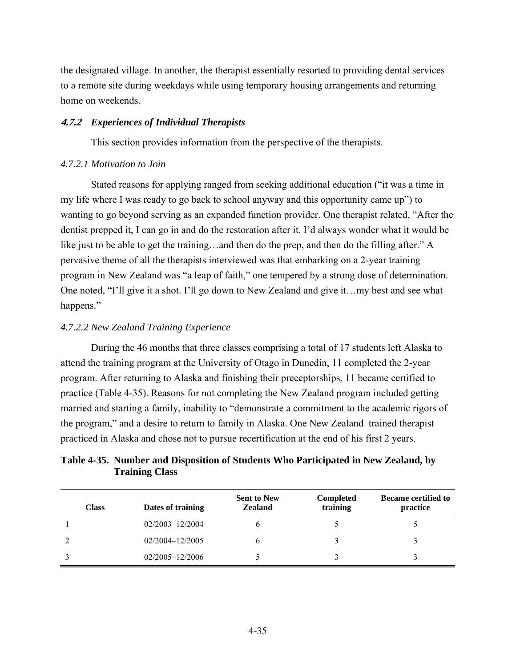the designated village. In another, the therapist essentially resorted to providing dental services to a remote site during weekdays while using temporary housing arrangements and returning home on weekends.

## **4.7.2** *Experiences of Individual Therapists*

This section provides information from the perspective of the therapists.

#### *4.7.2.1 Motivation to Join*

Stated reasons for applying ranged from seeking additional education ("it was a time in my life where I was ready to go back to school anyway and this opportunity came up") to wanting to go beyond serving as an expanded function provider. One therapist related, "After the dentist prepped it, I can go in and do the restoration after it. I'd always wonder what it would be like just to be able to get the training…and then do the prep, and then do the filling after." A pervasive theme of all the therapists interviewed was that embarking on a 2-year training program in New Zealand was "a leap of faith," one tempered by a strong dose of determination. One noted, "I'll give it a shot. I'll go down to New Zealand and give it…my best and see what happens."

#### *4.7.2.2 New Zealand Training Experience*

During the 46 months that three classes comprising a total of 17 students left Alaska to attend the training program at the University of Otago in Dunedin, 11 completed the 2-year program. After returning to Alaska and finishing their preceptorships, 11 became certified to practice (Table 4-35). Reasons for not completing the New Zealand program included getting married and starting a family, inability to "demonstrate a commitment to the academic rigors of the program," and a desire to return to family in Alaska. One New Zealand–trained therapist practiced in Alaska and chose not to pursue recertification at the end of his first 2 years.

# **Table 4-35. Number and Disposition of Students Who Participated in New Zealand, by Training Class**

| <b>Class</b> | Dates of training   | <b>Sent to New</b><br><b>Zealand</b> | <b>Completed</b><br>training | <b>Became certified to</b><br>practice |
|--------------|---------------------|--------------------------------------|------------------------------|----------------------------------------|
|              | 02/2003-12/2004     |                                      |                              |                                        |
|              | 02/2004-12/2005     |                                      |                              |                                        |
|              | $02/2005 - 12/2006$ |                                      |                              |                                        |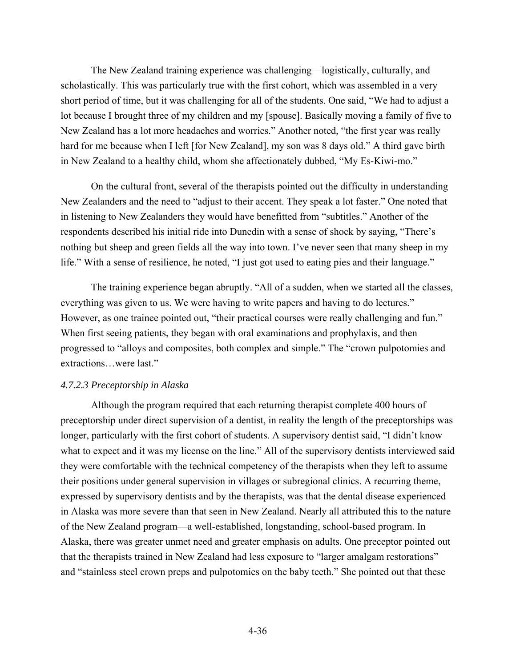The New Zealand training experience was challenging—logistically, culturally, and scholastically. This was particularly true with the first cohort, which was assembled in a very short period of time, but it was challenging for all of the students. One said, "We had to adjust a lot because I brought three of my children and my [spouse]. Basically moving a family of five to New Zealand has a lot more headaches and worries." Another noted, "the first year was really hard for me because when I left [for New Zealand], my son was 8 days old." A third gave birth in New Zealand to a healthy child, whom she affectionately dubbed, "My Es-Kiwi-mo."

On the cultural front, several of the therapists pointed out the difficulty in understanding New Zealanders and the need to "adjust to their accent. They speak a lot faster." One noted that in listening to New Zealanders they would have benefitted from "subtitles." Another of the respondents described his initial ride into Dunedin with a sense of shock by saying, "There's nothing but sheep and green fields all the way into town. I've never seen that many sheep in my life." With a sense of resilience, he noted, "I just got used to eating pies and their language."

The training experience began abruptly. "All of a sudden, when we started all the classes, everything was given to us. We were having to write papers and having to do lectures." However, as one trainee pointed out, "their practical courses were really challenging and fun." When first seeing patients, they began with oral examinations and prophylaxis, and then progressed to "alloys and composites, both complex and simple." The "crown pulpotomies and extractions…were last."

#### *4.7.2.3 Preceptorship in Alaska*

Although the program required that each returning therapist complete 400 hours of preceptorship under direct supervision of a dentist, in reality the length of the preceptorships was longer, particularly with the first cohort of students. A supervisory dentist said, "I didn't know what to expect and it was my license on the line." All of the supervisory dentists interviewed said they were comfortable with the technical competency of the therapists when they left to assume their positions under general supervision in villages or subregional clinics. A recurring theme, expressed by supervisory dentists and by the therapists, was that the dental disease experienced in Alaska was more severe than that seen in New Zealand. Nearly all attributed this to the nature of the New Zealand program—a well-established, longstanding, school-based program. In Alaska, there was greater unmet need and greater emphasis on adults. One preceptor pointed out that the therapists trained in New Zealand had less exposure to "larger amalgam restorations" and "stainless steel crown preps and pulpotomies on the baby teeth." She pointed out that these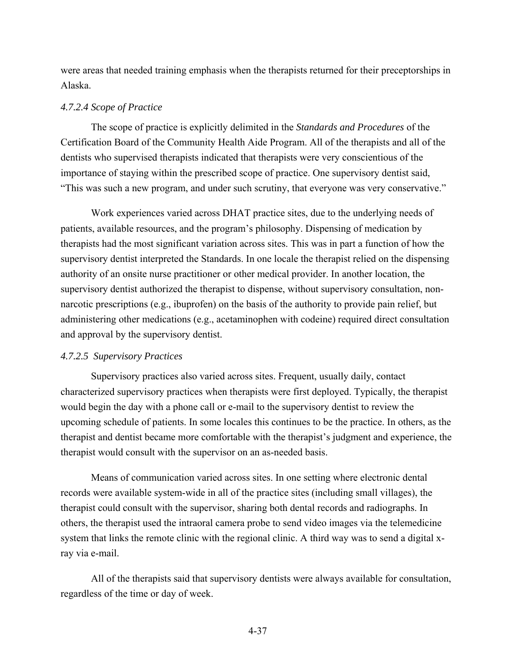were areas that needed training emphasis when the therapists returned for their preceptorships in Alaska.

#### *4.7.2.4 Scope of Practice*

The scope of practice is explicitly delimited in the *Standards and Procedures* of the Certification Board of the Community Health Aide Program. All of the therapists and all of the dentists who supervised therapists indicated that therapists were very conscientious of the importance of staying within the prescribed scope of practice. One supervisory dentist said, "This was such a new program, and under such scrutiny, that everyone was very conservative."

Work experiences varied across DHAT practice sites, due to the underlying needs of patients, available resources, and the program's philosophy. Dispensing of medication by therapists had the most significant variation across sites. This was in part a function of how the supervisory dentist interpreted the Standards. In one locale the therapist relied on the dispensing authority of an onsite nurse practitioner or other medical provider. In another location, the supervisory dentist authorized the therapist to dispense, without supervisory consultation, nonnarcotic prescriptions (e.g., ibuprofen) on the basis of the authority to provide pain relief, but administering other medications (e.g., acetaminophen with codeine) required direct consultation and approval by the supervisory dentist.

#### *4.7.2.5 Supervisory Practices*

Supervisory practices also varied across sites. Frequent, usually daily, contact characterized supervisory practices when therapists were first deployed. Typically, the therapist would begin the day with a phone call or e-mail to the supervisory dentist to review the upcoming schedule of patients. In some locales this continues to be the practice. In others, as the therapist and dentist became more comfortable with the therapist's judgment and experience, the therapist would consult with the supervisor on an as-needed basis.

Means of communication varied across sites. In one setting where electronic dental records were available system-wide in all of the practice sites (including small villages), the therapist could consult with the supervisor, sharing both dental records and radiographs. In others, the therapist used the intraoral camera probe to send video images via the telemedicine system that links the remote clinic with the regional clinic. A third way was to send a digital xray via e-mail.

All of the therapists said that supervisory dentists were always available for consultation, regardless of the time or day of week.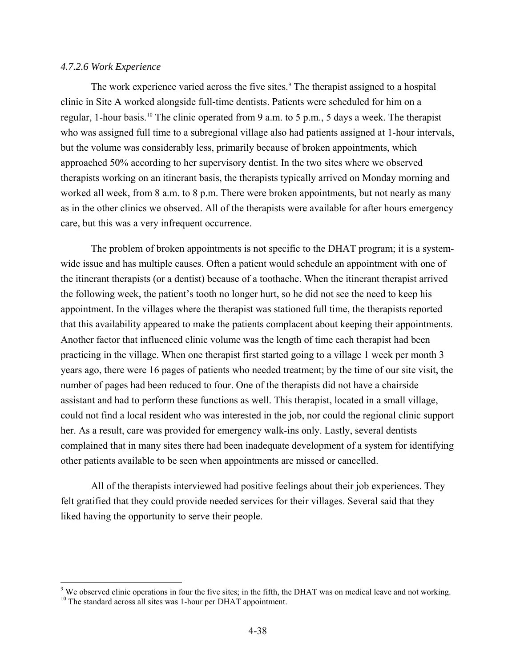#### <span id="page-77-0"></span>*4.7.2.6 Work Experience*

 $\overline{a}$ 

The work experience varied across the five sites.<sup>9</sup> The therapist assigned to a hospital clinic in Site A worked alongside full-time dentists. Patients were scheduled for him on a regular, 1-hour basis[.10](#page-77-0) The clinic operated from 9 a.m. to 5 p.m., 5 days a week. The therapist who was assigned full time to a subregional village also had patients assigned at 1-hour intervals, but the volume was considerably less, primarily because of broken appointments, which approached 50% according to her supervisory dentist. In the two sites where we observed therapists working on an itinerant basis, the therapists typically arrived on Monday morning and worked all week, from 8 a.m. to 8 p.m. There were broken appointments, but not nearly as many as in the other clinics we observed. All of the therapists were available for after hours emergency care, but this was a very infrequent occurrence.

The problem of broken appointments is not specific to the DHAT program; it is a systemwide issue and has multiple causes. Often a patient would schedule an appointment with one of the itinerant therapists (or a dentist) because of a toothache. When the itinerant therapist arrived the following week, the patient's tooth no longer hurt, so he did not see the need to keep his appointment. In the villages where the therapist was stationed full time, the therapists reported that this availability appeared to make the patients complacent about keeping their appointments. Another factor that influenced clinic volume was the length of time each therapist had been practicing in the village. When one therapist first started going to a village 1 week per month 3 years ago, there were 16 pages of patients who needed treatment; by the time of our site visit, the number of pages had been reduced to four. One of the therapists did not have a chairside assistant and had to perform these functions as well. This therapist, located in a small village, could not find a local resident who was interested in the job, nor could the regional clinic support her. As a result, care was provided for emergency walk-ins only. Lastly, several dentists complained that in many sites there had been inadequate development of a system for identifying other patients available to be seen when appointments are missed or cancelled.

All of the therapists interviewed had positive feelings about their job experiences. They felt gratified that they could provide needed services for their villages. Several said that they liked having the opportunity to serve their people.

<sup>&</sup>lt;sup>9</sup> We observed clinic operations in four the five sites; in the fifth, the DHAT was on medical leave and not working.  $^{10}$  The standard across all sites was 1-hour per DHAT appointment.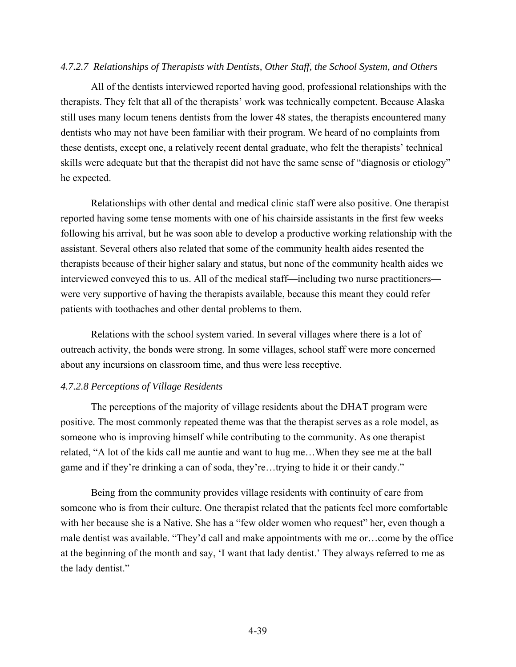#### *4.7.2.7 Relationships of Therapists with Dentists, Other Staff, the School System, and Others*

All of the dentists interviewed reported having good, professional relationships with the therapists. They felt that all of the therapists' work was technically competent. Because Alaska still uses many locum tenens dentists from the lower 48 states, the therapists encountered many dentists who may not have been familiar with their program. We heard of no complaints from these dentists, except one, a relatively recent dental graduate, who felt the therapists' technical skills were adequate but that the therapist did not have the same sense of "diagnosis or etiology" he expected.

Relationships with other dental and medical clinic staff were also positive. One therapist reported having some tense moments with one of his chairside assistants in the first few weeks following his arrival, but he was soon able to develop a productive working relationship with the assistant. Several others also related that some of the community health aides resented the therapists because of their higher salary and status, but none of the community health aides we interviewed conveyed this to us. All of the medical staff—including two nurse practitioners were very supportive of having the therapists available, because this meant they could refer patients with toothaches and other dental problems to them.

Relations with the school system varied. In several villages where there is a lot of outreach activity, the bonds were strong. In some villages, school staff were more concerned about any incursions on classroom time, and thus were less receptive.

### *4.7.2.8 Perceptions of Village Residents*

The perceptions of the majority of village residents about the DHAT program were positive. The most commonly repeated theme was that the therapist serves as a role model, as someone who is improving himself while contributing to the community. As one therapist related, "A lot of the kids call me auntie and want to hug me…When they see me at the ball game and if they're drinking a can of soda, they're…trying to hide it or their candy."

Being from the community provides village residents with continuity of care from someone who is from their culture. One therapist related that the patients feel more comfortable with her because she is a Native. She has a "few older women who request" her, even though a male dentist was available. "They'd call and make appointments with me or…come by the office at the beginning of the month and say, 'I want that lady dentist.' They always referred to me as the lady dentist."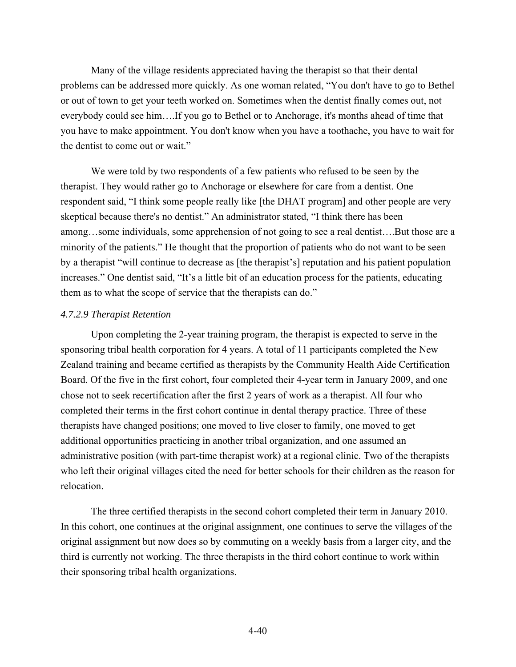Many of the village residents appreciated having the therapist so that their dental problems can be addressed more quickly. As one woman related, "You don't have to go to Bethel or out of town to get your teeth worked on. Sometimes when the dentist finally comes out, not everybody could see him….If you go to Bethel or to Anchorage, it's months ahead of time that you have to make appointment. You don't know when you have a toothache, you have to wait for the dentist to come out or wait."

We were told by two respondents of a few patients who refused to be seen by the therapist. They would rather go to Anchorage or elsewhere for care from a dentist. One respondent said, "I think some people really like [the DHAT program] and other people are very skeptical because there's no dentist." An administrator stated, "I think there has been among…some individuals, some apprehension of not going to see a real dentist….But those are a minority of the patients." He thought that the proportion of patients who do not want to be seen by a therapist "will continue to decrease as [the therapist's] reputation and his patient population increases." One dentist said, "It's a little bit of an education process for the patients, educating them as to what the scope of service that the therapists can do."

# *4.7.2.9 Therapist Retention*

Upon completing the 2-year training program, the therapist is expected to serve in the sponsoring tribal health corporation for 4 years. A total of 11 participants completed the New Zealand training and became certified as therapists by the Community Health Aide Certification Board. Of the five in the first cohort, four completed their 4-year term in January 2009, and one chose not to seek recertification after the first 2 years of work as a therapist. All four who completed their terms in the first cohort continue in dental therapy practice. Three of these therapists have changed positions; one moved to live closer to family, one moved to get additional opportunities practicing in another tribal organization, and one assumed an administrative position (with part-time therapist work) at a regional clinic. Two of the therapists who left their original villages cited the need for better schools for their children as the reason for relocation.

The three certified therapists in the second cohort completed their term in January 2010. In this cohort, one continues at the original assignment, one continues to serve the villages of the original assignment but now does so by commuting on a weekly basis from a larger city, and the third is currently not working. The three therapists in the third cohort continue to work within their sponsoring tribal health organizations.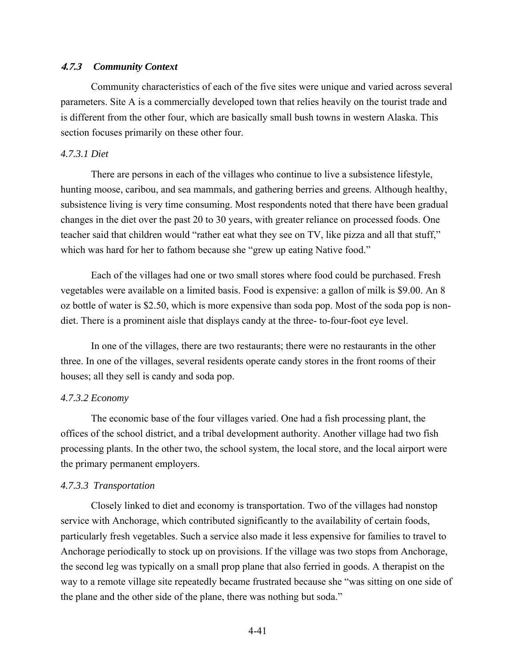#### **4.7.3** *Community Context*

Community characteristics of each of the five sites were unique and varied across several parameters. Site A is a commercially developed town that relies heavily on the tourist trade and is different from the other four, which are basically small bush towns in western Alaska. This section focuses primarily on these other four.

#### *4.7.3.1 Diet*

There are persons in each of the villages who continue to live a subsistence lifestyle, hunting moose, caribou, and sea mammals, and gathering berries and greens. Although healthy, subsistence living is very time consuming. Most respondents noted that there have been gradual changes in the diet over the past 20 to 30 years, with greater reliance on processed foods. One teacher said that children would "rather eat what they see on TV, like pizza and all that stuff," which was hard for her to fathom because she "grew up eating Native food."

Each of the villages had one or two small stores where food could be purchased. Fresh vegetables were available on a limited basis. Food is expensive: a gallon of milk is \$9.00. An 8 oz bottle of water is \$2.50, which is more expensive than soda pop. Most of the soda pop is nondiet. There is a prominent aisle that displays candy at the three- to-four-foot eye level.

In one of the villages, there are two restaurants; there were no restaurants in the other three. In one of the villages, several residents operate candy stores in the front rooms of their houses; all they sell is candy and soda pop.

#### *4.7.3.2 Economy*

The economic base of the four villages varied. One had a fish processing plant, the offices of the school district, and a tribal development authority. Another village had two fish processing plants. In the other two, the school system, the local store, and the local airport were the primary permanent employers.

#### *4.7.3.3 Transportation*

Closely linked to diet and economy is transportation. Two of the villages had nonstop service with Anchorage, which contributed significantly to the availability of certain foods, particularly fresh vegetables. Such a service also made it less expensive for families to travel to Anchorage periodically to stock up on provisions. If the village was two stops from Anchorage, the second leg was typically on a small prop plane that also ferried in goods. A therapist on the way to a remote village site repeatedly became frustrated because she "was sitting on one side of the plane and the other side of the plane, there was nothing but soda."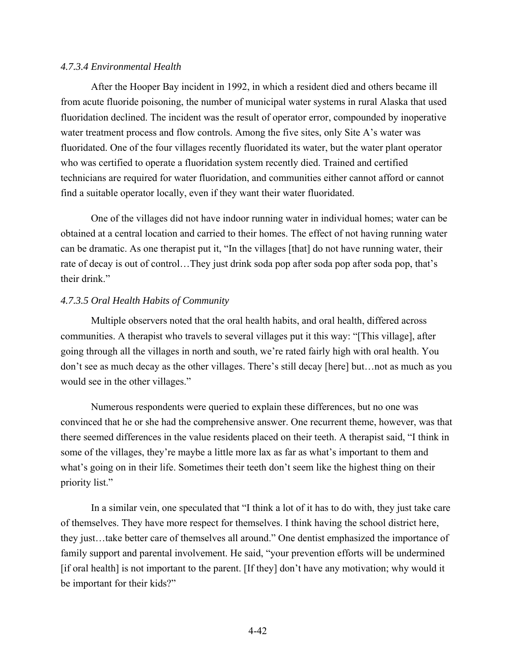#### *4.7.3.4 Environmental Health*

After the Hooper Bay incident in 1992, in which a resident died and others became ill from acute fluoride poisoning, the number of municipal water systems in rural Alaska that used fluoridation declined. The incident was the result of operator error, compounded by inoperative water treatment process and flow controls. Among the five sites, only Site A's water was fluoridated. One of the four villages recently fluoridated its water, but the water plant operator who was certified to operate a fluoridation system recently died. Trained and certified technicians are required for water fluoridation, and communities either cannot afford or cannot find a suitable operator locally, even if they want their water fluoridated.

One of the villages did not have indoor running water in individual homes; water can be obtained at a central location and carried to their homes. The effect of not having running water can be dramatic. As one therapist put it, "In the villages [that] do not have running water, their rate of decay is out of control…They just drink soda pop after soda pop after soda pop, that's their drink."

## *4.7.3.5 Oral Health Habits of Community*

Multiple observers noted that the oral health habits, and oral health, differed across communities. A therapist who travels to several villages put it this way: "[This village], after going through all the villages in north and south, we're rated fairly high with oral health. You don't see as much decay as the other villages. There's still decay [here] but…not as much as you would see in the other villages."

Numerous respondents were queried to explain these differences, but no one was convinced that he or she had the comprehensive answer. One recurrent theme, however, was that there seemed differences in the value residents placed on their teeth. A therapist said, "I think in some of the villages, they're maybe a little more lax as far as what's important to them and what's going on in their life. Sometimes their teeth don't seem like the highest thing on their priority list."

In a similar vein, one speculated that "I think a lot of it has to do with, they just take care of themselves. They have more respect for themselves. I think having the school district here, they just…take better care of themselves all around." One dentist emphasized the importance of family support and parental involvement. He said, "your prevention efforts will be undermined [if oral health] is not important to the parent. [If they] don't have any motivation; why would it be important for their kids?"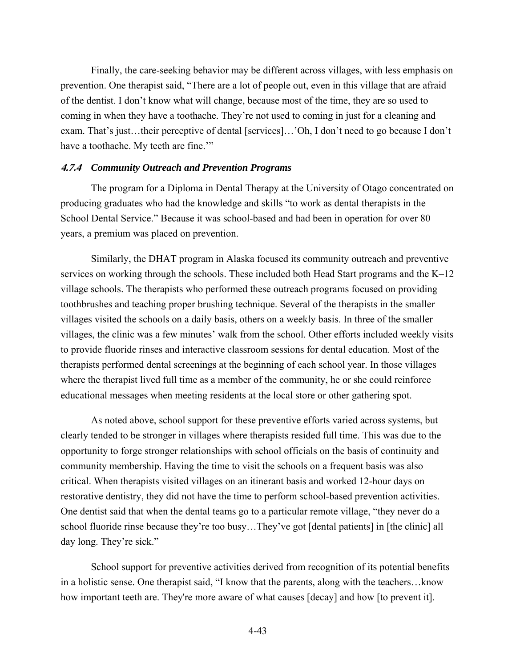Finally, the care-seeking behavior may be different across villages, with less emphasis on prevention. One therapist said, "There are a lot of people out, even in this village that are afraid of the dentist. I don't know what will change, because most of the time, they are so used to coming in when they have a toothache. They're not used to coming in just for a cleaning and exam. That's just…their perceptive of dental [services]…'Oh, I don't need to go because I don't have a toothache. My teeth are fine."

#### **4.7.4** *Community Outreach and Prevention Programs*

The program for a Diploma in Dental Therapy at the University of Otago concentrated on producing graduates who had the knowledge and skills "to work as dental therapists in the School Dental Service." Because it was school-based and had been in operation for over 80 years, a premium was placed on prevention.

Similarly, the DHAT program in Alaska focused its community outreach and preventive services on working through the schools. These included both Head Start programs and the K–12 village schools. The therapists who performed these outreach programs focused on providing toothbrushes and teaching proper brushing technique. Several of the therapists in the smaller villages visited the schools on a daily basis, others on a weekly basis. In three of the smaller villages, the clinic was a few minutes' walk from the school. Other efforts included weekly visits to provide fluoride rinses and interactive classroom sessions for dental education. Most of the therapists performed dental screenings at the beginning of each school year. In those villages where the therapist lived full time as a member of the community, he or she could reinforce educational messages when meeting residents at the local store or other gathering spot.

As noted above, school support for these preventive efforts varied across systems, but clearly tended to be stronger in villages where therapists resided full time. This was due to the opportunity to forge stronger relationships with school officials on the basis of continuity and community membership. Having the time to visit the schools on a frequent basis was also critical. When therapists visited villages on an itinerant basis and worked 12-hour days on restorative dentistry, they did not have the time to perform school-based prevention activities. One dentist said that when the dental teams go to a particular remote village, "they never do a school fluoride rinse because they're too busy…They've got [dental patients] in [the clinic] all day long. They're sick."

School support for preventive activities derived from recognition of its potential benefits in a holistic sense. One therapist said, "I know that the parents, along with the teachers…know how important teeth are. They're more aware of what causes [decay] and how [to prevent it].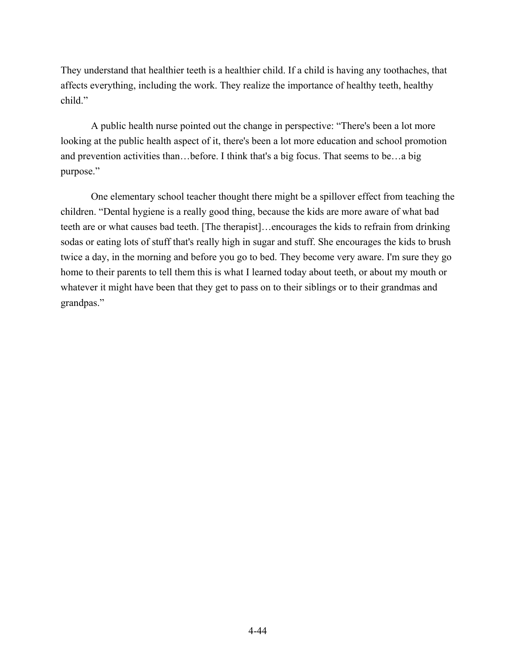They understand that healthier teeth is a healthier child. If a child is having any toothaches, that affects everything, including the work. They realize the importance of healthy teeth, healthy child."

A public health nurse pointed out the change in perspective: "There's been a lot more looking at the public health aspect of it, there's been a lot more education and school promotion and prevention activities than…before. I think that's a big focus. That seems to be…a big purpose."

One elementary school teacher thought there might be a spillover effect from teaching the children. "Dental hygiene is a really good thing, because the kids are more aware of what bad teeth are or what causes bad teeth. [The therapist]…encourages the kids to refrain from drinking sodas or eating lots of stuff that's really high in sugar and stuff. She encourages the kids to brush twice a day, in the morning and before you go to bed. They become very aware. I'm sure they go home to their parents to tell them this is what I learned today about teeth, or about my mouth or whatever it might have been that they get to pass on to their siblings or to their grandmas and grandpas."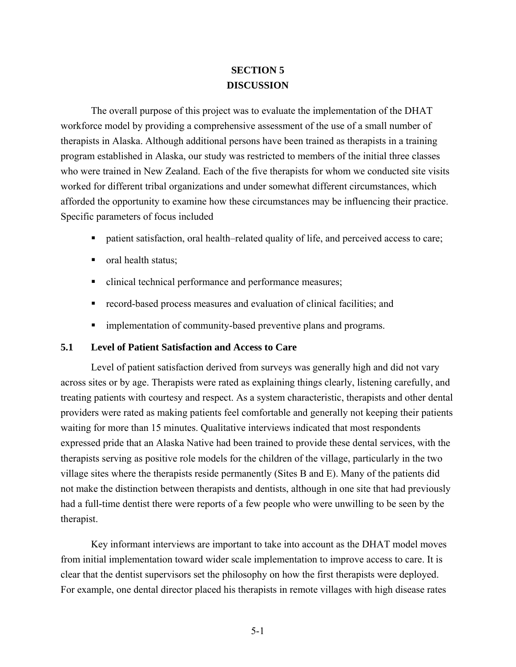# **SECTION 5 DISCUSSION**

The overall purpose of this project was to evaluate the implementation of the DHAT workforce model by providing a comprehensive assessment of the use of a small number of therapists in Alaska. Although additional persons have been trained as therapists in a training program established in Alaska, our study was restricted to members of the initial three classes who were trained in New Zealand. Each of the five therapists for whom we conducted site visits worked for different tribal organizations and under somewhat different circumstances, which afforded the opportunity to examine how these circumstances may be influencing their practice. Specific parameters of focus included

- patient satisfaction, oral health–related quality of life, and perceived access to care;
- oral health status;
- clinical technical performance and performance measures;
- record-based process measures and evaluation of clinical facilities; and
- **In** implementation of community-based preventive plans and programs.

# **5.1 Level of Patient Satisfaction and Access to Care**

Level of patient satisfaction derived from surveys was generally high and did not vary across sites or by age. Therapists were rated as explaining things clearly, listening carefully, and treating patients with courtesy and respect. As a system characteristic, therapists and other dental providers were rated as making patients feel comfortable and generally not keeping their patients waiting for more than 15 minutes. Qualitative interviews indicated that most respondents expressed pride that an Alaska Native had been trained to provide these dental services, with the therapists serving as positive role models for the children of the village, particularly in the two village sites where the therapists reside permanently (Sites B and E). Many of the patients did not make the distinction between therapists and dentists, although in one site that had previously had a full-time dentist there were reports of a few people who were unwilling to be seen by the therapist.

Key informant interviews are important to take into account as the DHAT model moves from initial implementation toward wider scale implementation to improve access to care. It is clear that the dentist supervisors set the philosophy on how the first therapists were deployed. For example, one dental director placed his therapists in remote villages with high disease rates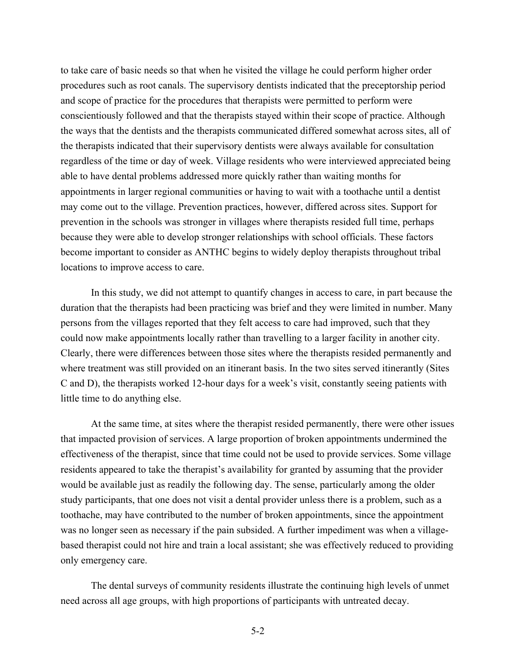to take care of basic needs so that when he visited the village he could perform higher order procedures such as root canals. The supervisory dentists indicated that the preceptorship period and scope of practice for the procedures that therapists were permitted to perform were conscientiously followed and that the therapists stayed within their scope of practice. Although the ways that the dentists and the therapists communicated differed somewhat across sites, all of the therapists indicated that their supervisory dentists were always available for consultation regardless of the time or day of week. Village residents who were interviewed appreciated being able to have dental problems addressed more quickly rather than waiting months for appointments in larger regional communities or having to wait with a toothache until a dentist may come out to the village. Prevention practices, however, differed across sites. Support for prevention in the schools was stronger in villages where therapists resided full time, perhaps because they were able to develop stronger relationships with school officials. These factors become important to consider as ANTHC begins to widely deploy therapists throughout tribal locations to improve access to care.

In this study, we did not attempt to quantify changes in access to care, in part because the duration that the therapists had been practicing was brief and they were limited in number. Many persons from the villages reported that they felt access to care had improved, such that they could now make appointments locally rather than travelling to a larger facility in another city. Clearly, there were differences between those sites where the therapists resided permanently and where treatment was still provided on an itinerant basis. In the two sites served itinerantly (Sites C and D), the therapists worked 12-hour days for a week's visit, constantly seeing patients with little time to do anything else.

At the same time, at sites where the therapist resided permanently, there were other issues that impacted provision of services. A large proportion of broken appointments undermined the effectiveness of the therapist, since that time could not be used to provide services. Some village residents appeared to take the therapist's availability for granted by assuming that the provider would be available just as readily the following day. The sense, particularly among the older study participants, that one does not visit a dental provider unless there is a problem, such as a toothache, may have contributed to the number of broken appointments, since the appointment was no longer seen as necessary if the pain subsided. A further impediment was when a villagebased therapist could not hire and train a local assistant; she was effectively reduced to providing only emergency care.

The dental surveys of community residents illustrate the continuing high levels of unmet need across all age groups, with high proportions of participants with untreated decay.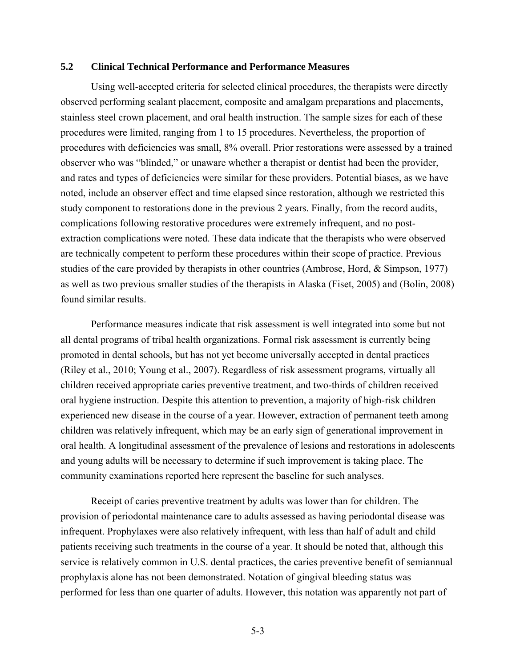# **5.2 Clinical Technical Performance and Performance Measures**

Using well-accepted criteria for selected clinical procedures, the therapists were directly observed performing sealant placement, composite and amalgam preparations and placements, stainless steel crown placement, and oral health instruction. The sample sizes for each of these procedures were limited, ranging from 1 to 15 procedures. Nevertheless, the proportion of procedures with deficiencies was small, 8% overall. Prior restorations were assessed by a trained observer who was "blinded," or unaware whether a therapist or dentist had been the provider, and rates and types of deficiencies were similar for these providers. Potential biases, as we have noted, include an observer effect and time elapsed since restoration, although we restricted this study component to restorations done in the previous 2 years. Finally, from the record audits, complications following restorative procedures were extremely infrequent, and no postextraction complications were noted. These data indicate that the therapists who were observed are technically competent to perform these procedures within their scope of practice. Previous studies of the care provided by therapists in other countries (Ambrose, Hord, & Simpson, 1977) as well as two previous smaller studies of the therapists in Alaska (Fiset, 2005) and (Bolin, 2008) found similar results.

Performance measures indicate that risk assessment is well integrated into some but not all dental programs of tribal health organizations. Formal risk assessment is currently being promoted in dental schools, but has not yet become universally accepted in dental practices (Riley et al., 2010; Young et al., 2007). Regardless of risk assessment programs, virtually all children received appropriate caries preventive treatment, and two-thirds of children received oral hygiene instruction. Despite this attention to prevention, a majority of high-risk children experienced new disease in the course of a year. However, extraction of permanent teeth among children was relatively infrequent, which may be an early sign of generational improvement in oral health. A longitudinal assessment of the prevalence of lesions and restorations in adolescents and young adults will be necessary to determine if such improvement is taking place. The community examinations reported here represent the baseline for such analyses.

Receipt of caries preventive treatment by adults was lower than for children. The provision of periodontal maintenance care to adults assessed as having periodontal disease was infrequent. Prophylaxes were also relatively infrequent, with less than half of adult and child patients receiving such treatments in the course of a year. It should be noted that, although this service is relatively common in U.S. dental practices, the caries preventive benefit of semiannual prophylaxis alone has not been demonstrated. Notation of gingival bleeding status was performed for less than one quarter of adults. However, this notation was apparently not part of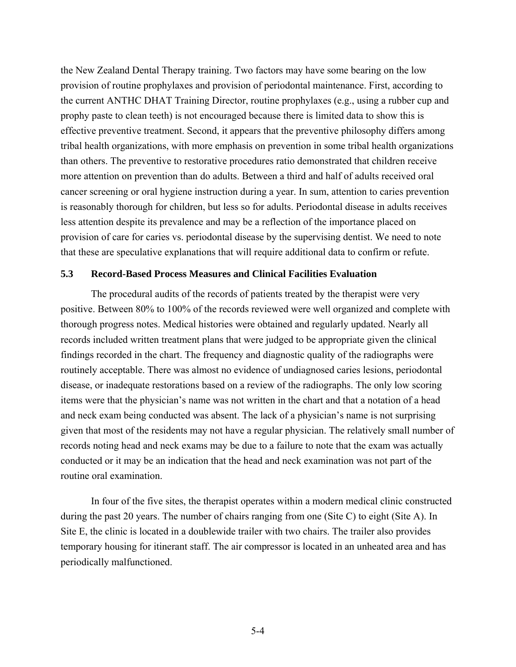the New Zealand Dental Therapy training. Two factors may have some bearing on the low provision of routine prophylaxes and provision of periodontal maintenance. First, according to the current ANTHC DHAT Training Director, routine prophylaxes (e.g., using a rubber cup and prophy paste to clean teeth) is not encouraged because there is limited data to show this is effective preventive treatment. Second, it appears that the preventive philosophy differs among tribal health organizations, with more emphasis on prevention in some tribal health organizations than others. The preventive to restorative procedures ratio demonstrated that children receive more attention on prevention than do adults. Between a third and half of adults received oral cancer screening or oral hygiene instruction during a year. In sum, attention to caries prevention is reasonably thorough for children, but less so for adults. Periodontal disease in adults receives less attention despite its prevalence and may be a reflection of the importance placed on provision of care for caries vs. periodontal disease by the supervising dentist. We need to note that these are speculative explanations that will require additional data to confirm or refute.

#### **5.3 Record-Based Process Measures and Clinical Facilities Evaluation**

The procedural audits of the records of patients treated by the therapist were very positive. Between 80% to 100% of the records reviewed were well organized and complete with thorough progress notes. Medical histories were obtained and regularly updated. Nearly all records included written treatment plans that were judged to be appropriate given the clinical findings recorded in the chart. The frequency and diagnostic quality of the radiographs were routinely acceptable. There was almost no evidence of undiagnosed caries lesions, periodontal disease, or inadequate restorations based on a review of the radiographs. The only low scoring items were that the physician's name was not written in the chart and that a notation of a head and neck exam being conducted was absent. The lack of a physician's name is not surprising given that most of the residents may not have a regular physician. The relatively small number of records noting head and neck exams may be due to a failure to note that the exam was actually conducted or it may be an indication that the head and neck examination was not part of the routine oral examination.

In four of the five sites, the therapist operates within a modern medical clinic constructed during the past 20 years. The number of chairs ranging from one (Site C) to eight (Site A). In Site E, the clinic is located in a doublewide trailer with two chairs. The trailer also provides temporary housing for itinerant staff. The air compressor is located in an unheated area and has periodically malfunctioned.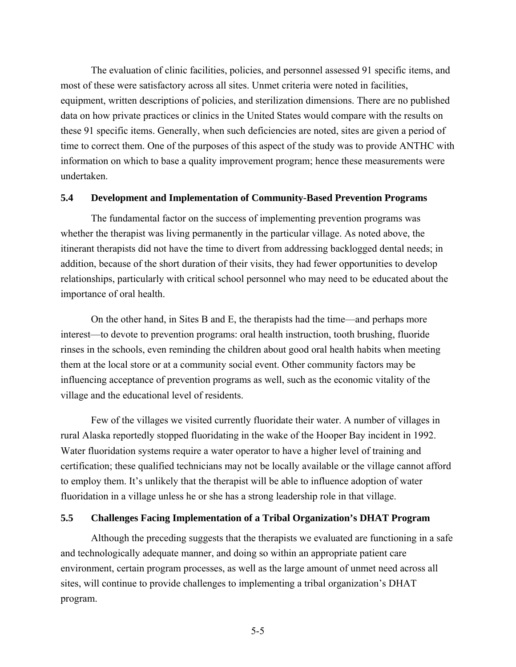The evaluation of clinic facilities, policies, and personnel assessed 91 specific items, and most of these were satisfactory across all sites. Unmet criteria were noted in facilities, equipment, written descriptions of policies, and sterilization dimensions. There are no published data on how private practices or clinics in the United States would compare with the results on these 91 specific items. Generally, when such deficiencies are noted, sites are given a period of time to correct them. One of the purposes of this aspect of the study was to provide ANTHC with information on which to base a quality improvement program; hence these measurements were undertaken.

#### **5.4 Development and Implementation of Community-Based Prevention Programs**

The fundamental factor on the success of implementing prevention programs was whether the therapist was living permanently in the particular village. As noted above, the itinerant therapists did not have the time to divert from addressing backlogged dental needs; in addition, because of the short duration of their visits, they had fewer opportunities to develop relationships, particularly with critical school personnel who may need to be educated about the importance of oral health.

On the other hand, in Sites B and E, the therapists had the time—and perhaps more interest—to devote to prevention programs: oral health instruction, tooth brushing, fluoride rinses in the schools, even reminding the children about good oral health habits when meeting them at the local store or at a community social event. Other community factors may be influencing acceptance of prevention programs as well, such as the economic vitality of the village and the educational level of residents.

Few of the villages we visited currently fluoridate their water. A number of villages in rural Alaska reportedly stopped fluoridating in the wake of the Hooper Bay incident in 1992. Water fluoridation systems require a water operator to have a higher level of training and certification; these qualified technicians may not be locally available or the village cannot afford to employ them. It's unlikely that the therapist will be able to influence adoption of water fluoridation in a village unless he or she has a strong leadership role in that village.

## **5.5 Challenges Facing Implementation of a Tribal Organization's DHAT Program**

Although the preceding suggests that the therapists we evaluated are functioning in a safe and technologically adequate manner, and doing so within an appropriate patient care environment, certain program processes, as well as the large amount of unmet need across all sites, will continue to provide challenges to implementing a tribal organization's DHAT program.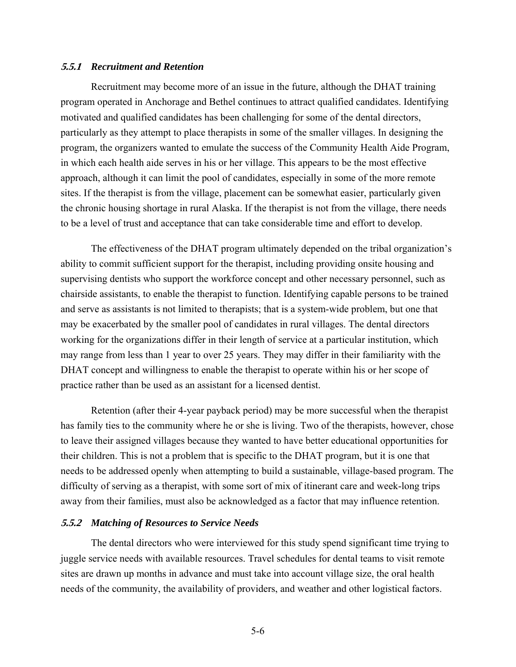#### **5.5.1** *Recruitment and Retention*

Recruitment may become more of an issue in the future, although the DHAT training program operated in Anchorage and Bethel continues to attract qualified candidates. Identifying motivated and qualified candidates has been challenging for some of the dental directors, particularly as they attempt to place therapists in some of the smaller villages. In designing the program, the organizers wanted to emulate the success of the Community Health Aide Program, in which each health aide serves in his or her village. This appears to be the most effective approach, although it can limit the pool of candidates, especially in some of the more remote sites. If the therapist is from the village, placement can be somewhat easier, particularly given the chronic housing shortage in rural Alaska. If the therapist is not from the village, there needs to be a level of trust and acceptance that can take considerable time and effort to develop.

The effectiveness of the DHAT program ultimately depended on the tribal organization's ability to commit sufficient support for the therapist, including providing onsite housing and supervising dentists who support the workforce concept and other necessary personnel, such as chairside assistants, to enable the therapist to function. Identifying capable persons to be trained and serve as assistants is not limited to therapists; that is a system-wide problem, but one that may be exacerbated by the smaller pool of candidates in rural villages. The dental directors working for the organizations differ in their length of service at a particular institution, which may range from less than 1 year to over 25 years. They may differ in their familiarity with the DHAT concept and willingness to enable the therapist to operate within his or her scope of practice rather than be used as an assistant for a licensed dentist.

Retention (after their 4-year payback period) may be more successful when the therapist has family ties to the community where he or she is living. Two of the therapists, however, chose to leave their assigned villages because they wanted to have better educational opportunities for their children. This is not a problem that is specific to the DHAT program, but it is one that needs to be addressed openly when attempting to build a sustainable, village-based program. The difficulty of serving as a therapist, with some sort of mix of itinerant care and week-long trips away from their families, must also be acknowledged as a factor that may influence retention.

#### **5.5.2** *Matching of Resources to Service Needs*

The dental directors who were interviewed for this study spend significant time trying to juggle service needs with available resources. Travel schedules for dental teams to visit remote sites are drawn up months in advance and must take into account village size, the oral health needs of the community, the availability of providers, and weather and other logistical factors.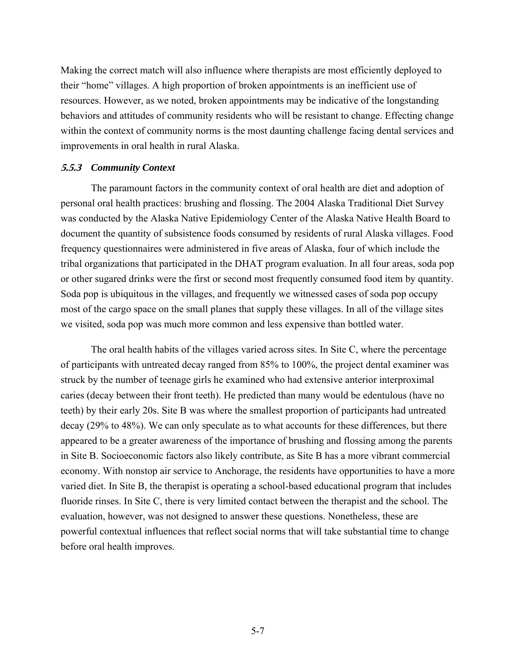Making the correct match will also influence where therapists are most efficiently deployed to their "home" villages. A high proportion of broken appointments is an inefficient use of resources. However, as we noted, broken appointments may be indicative of the longstanding behaviors and attitudes of community residents who will be resistant to change. Effecting change within the context of community norms is the most daunting challenge facing dental services and improvements in oral health in rural Alaska.

#### **5.5.3** *Community Context*

The paramount factors in the community context of oral health are diet and adoption of personal oral health practices: brushing and flossing. The 2004 Alaska Traditional Diet Survey was conducted by the Alaska Native Epidemiology Center of the Alaska Native Health Board to document the quantity of subsistence foods consumed by residents of rural Alaska villages. Food frequency questionnaires were administered in five areas of Alaska, four of which include the tribal organizations that participated in the DHAT program evaluation. In all four areas, soda pop or other sugared drinks were the first or second most frequently consumed food item by quantity. Soda pop is ubiquitous in the villages, and frequently we witnessed cases of soda pop occupy most of the cargo space on the small planes that supply these villages. In all of the village sites we visited, soda pop was much more common and less expensive than bottled water.

The oral health habits of the villages varied across sites. In Site C, where the percentage of participants with untreated decay ranged from 85% to 100%, the project dental examiner was struck by the number of teenage girls he examined who had extensive anterior interproximal caries (decay between their front teeth). He predicted than many would be edentulous (have no teeth) by their early 20s. Site B was where the smallest proportion of participants had untreated decay (29% to 48%). We can only speculate as to what accounts for these differences, but there appeared to be a greater awareness of the importance of brushing and flossing among the parents in Site B. Socioeconomic factors also likely contribute, as Site B has a more vibrant commercial economy. With nonstop air service to Anchorage, the residents have opportunities to have a more varied diet. In Site B, the therapist is operating a school-based educational program that includes fluoride rinses. In Site C, there is very limited contact between the therapist and the school. The evaluation, however, was not designed to answer these questions. Nonetheless, these are powerful contextual influences that reflect social norms that will take substantial time to change before oral health improves.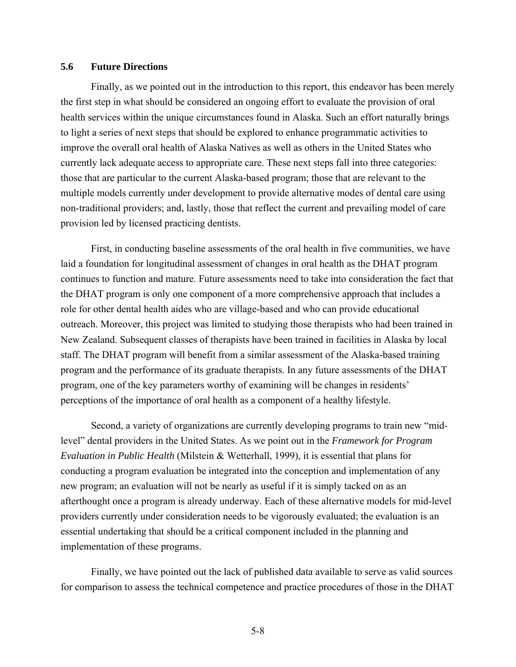### **5.6 Future Directions**

Finally, as we pointed out in the introduction to this report, this endeavor has been merely the first step in what should be considered an ongoing effort to evaluate the provision of oral health services within the unique circumstances found in Alaska. Such an effort naturally brings to light a series of next steps that should be explored to enhance programmatic activities to improve the overall oral health of Alaska Natives as well as others in the United States who currently lack adequate access to appropriate care. These next steps fall into three categories: those that are particular to the current Alaska-based program; those that are relevant to the multiple models currently under development to provide alternative modes of dental care using non-traditional providers; and, lastly, those that reflect the current and prevailing model of care provision led by licensed practicing dentists.

First, in conducting baseline assessments of the oral health in five communities, we have laid a foundation for longitudinal assessment of changes in oral health as the DHAT program continues to function and mature. Future assessments need to take into consideration the fact that the DHAT program is only one component of a more comprehensive approach that includes a role for other dental health aides who are village-based and who can provide educational outreach. Moreover, this project was limited to studying those therapists who had been trained in New Zealand. Subsequent classes of therapists have been trained in facilities in Alaska by local staff. The DHAT program will benefit from a similar assessment of the Alaska-based training program and the performance of its graduate therapists. In any future assessments of the DHAT program, one of the key parameters worthy of examining will be changes in residents' perceptions of the importance of oral health as a component of a healthy lifestyle.

Second, a variety of organizations are currently developing programs to train new "midlevel" dental providers in the United States. As we point out in the *Framework for Program Evaluation in Public Health* (Milstein & Wetterhall, 1999), it is essential that plans for conducting a program evaluation be integrated into the conception and implementation of any new program; an evaluation will not be nearly as useful if it is simply tacked on as an afterthought once a program is already underway. Each of these alternative models for mid-level providers currently under consideration needs to be vigorously evaluated; the evaluation is an essential undertaking that should be a critical component included in the planning and implementation of these programs.

Finally, we have pointed out the lack of published data available to serve as valid sources for comparison to assess the technical competence and practice procedures of those in the DHAT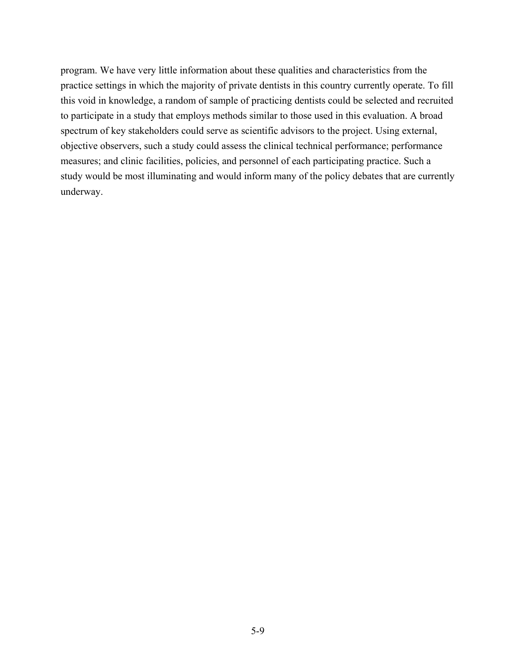program. We have very little information about these qualities and characteristics from the practice settings in which the majority of private dentists in this country currently operate. To fill this void in knowledge, a random of sample of practicing dentists could be selected and recruited to participate in a study that employs methods similar to those used in this evaluation. A broad spectrum of key stakeholders could serve as scientific advisors to the project. Using external, objective observers, such a study could assess the clinical technical performance; performance measures; and clinic facilities, policies, and personnel of each participating practice. Such a study would be most illuminating and would inform many of the policy debates that are currently underway.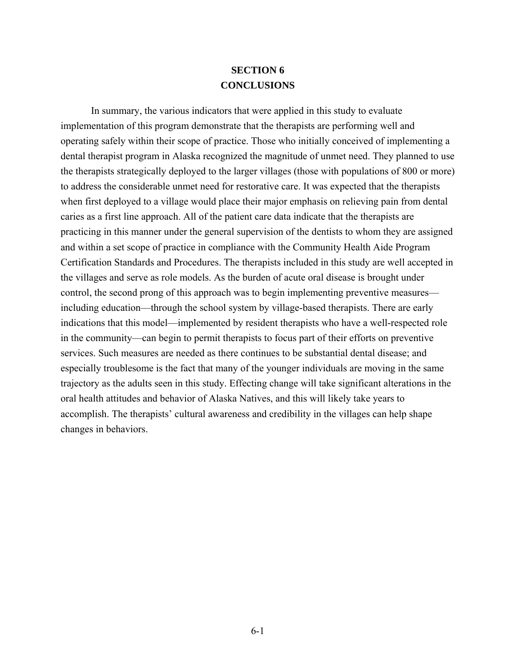# **SECTION 6 CONCLUSIONS**

In summary, the various indicators that were applied in this study to evaluate implementation of this program demonstrate that the therapists are performing well and operating safely within their scope of practice. Those who initially conceived of implementing a dental therapist program in Alaska recognized the magnitude of unmet need. They planned to use the therapists strategically deployed to the larger villages (those with populations of 800 or more) to address the considerable unmet need for restorative care. It was expected that the therapists when first deployed to a village would place their major emphasis on relieving pain from dental caries as a first line approach. All of the patient care data indicate that the therapists are practicing in this manner under the general supervision of the dentists to whom they are assigned and within a set scope of practice in compliance with the Community Health Aide Program Certification Standards and Procedures. The therapists included in this study are well accepted in the villages and serve as role models. As the burden of acute oral disease is brought under control, the second prong of this approach was to begin implementing preventive measures including education—through the school system by village-based therapists. There are early indications that this model—implemented by resident therapists who have a well-respected role in the community—can begin to permit therapists to focus part of their efforts on preventive services. Such measures are needed as there continues to be substantial dental disease; and especially troublesome is the fact that many of the younger individuals are moving in the same trajectory as the adults seen in this study. Effecting change will take significant alterations in the oral health attitudes and behavior of Alaska Natives, and this will likely take years to accomplish. The therapists' cultural awareness and credibility in the villages can help shape changes in behaviors.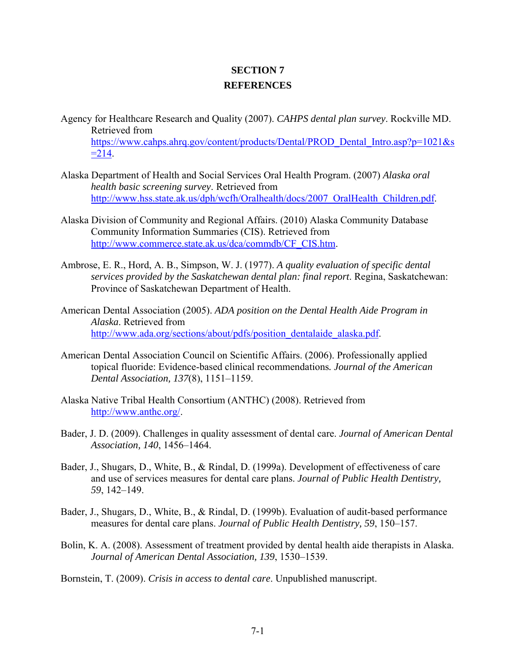# **SECTION 7 REFERENCES**

- Agency for Healthcare Research and Quality (2007). *CAHPS dental plan survey*. Rockville MD. Retrieved from [https://www.cahps.ahrq.gov/content/products/Dental/PROD\\_Dental\\_Intro.asp?p=1021&s](https://www.cahps.ahrq.gov/content/products/Dental/PROD_Dental_Intro.asp?p=1021&s=214)  $=214.$
- Alaska Department of Health and Social Services Oral Health Program. (2007) *Alaska oral health basic screening survey*. Retrieved from [http://www.hss.state.ak.us/dph/wcfh/Oralhealth/docs/2007\\_OralHealth\\_Children.pdf.](http://www.hss.state.ak.us/dph/wcfh/Oralhealth/docs/2007_OralHealth_Children.pdf)
- Alaska Division of Community and Regional Affairs. (2010) Alaska Community Database Community Information Summaries (CIS). Retrieved from [http://www.commerce.state.ak.us/dca/commdb/CF\\_CIS.htm](http://www.commerce.state.ak.us/dca/commdb/CF_CIS.htm).
- Ambrose, E. R., Hord, A. B., Simpson, W. J. (1977). *A quality evaluation of specific dental services provided by the Saskatchewan dental plan: final report*. Regina, Saskatchewan: Province of Saskatchewan Department of Health.
- American Dental Association (2005). *ADA position on the Dental Health Aide Program in Alaska*. Retrieved from [http://www.ada.org/sections/about/pdfs/position\\_dentalaide\\_alaska.pdf.](http://www.ada.org/sections/about/pdfs/position_dentalaide_alaska.pdf)
- American Dental Association Council on Scientific Affairs. (2006). Professionally applied topical fluoride: Evidence-based clinical recommendations*. Journal of the American Dental Association, 137*(8), 1151–1159.
- Alaska Native Tribal Health Consortium (ANTHC) (2008). Retrieved from <http://www.anthc.org/>.
- Bader, J. D. (2009). Challenges in quality assessment of dental care. *Journal of American Dental Association, 140*, 1456–1464.
- Bader, J., Shugars, D., White, B., & Rindal, D. (1999a). Development of effectiveness of care and use of services measures for dental care plans. *Journal of Public Health Dentistry, 59*, 142–149.
- Bader, J., Shugars, D., White, B., & Rindal, D. (1999b). Evaluation of audit-based performance measures for dental care plans. *Journal of Public Health Dentistry, 59*, 150–157.
- Bolin, K. A. (2008). Assessment of treatment provided by dental health aide therapists in Alaska. *Journal of American Dental Association, 139*, 1530–1539.

Bornstein, T. (2009). *Crisis in access to dental care*. Unpublished manuscript.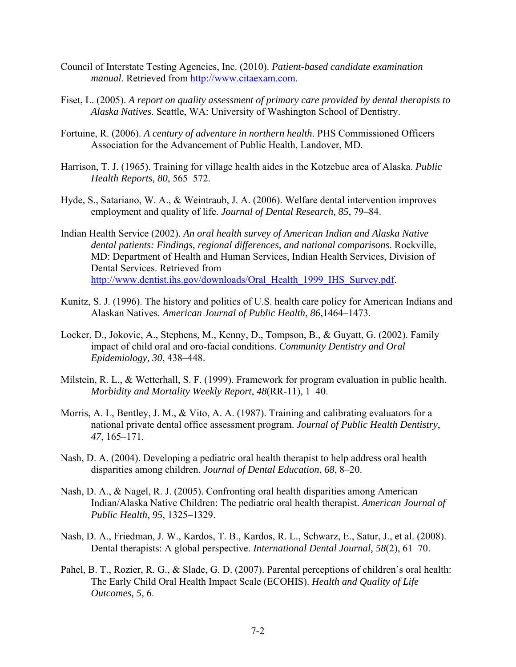- Council of Interstate Testing Agencies, Inc. (2010). *Patient-based candidate examination manual*. Retrieved from [http://www.citaexam.com.](http://www.citaexam.com/)
- Fiset, L. (2005). *A report on quality assessment of primary care provided by dental therapists to Alaska Natives*. Seattle, WA: University of Washington School of Dentistry.
- Fortuine, R. (2006). *A century of adventure in northern health*. PHS Commissioned Officers Association for the Advancement of Public Health, Landover, MD.
- Harrison, T. J. (1965). Training for village health aides in the Kotzebue area of Alaska. *Public Health Reports, 80*, 565–572.
- Hyde, S., Satariano, W. A., & Weintraub, J. A. (2006). Welfare dental intervention improves employment and quality of life. *Journal of Dental Research, 85*, 79–84.
- Indian Health Service (2002). *An oral health survey of American Indian and Alaska Native dental patients: Findings, regional differences, and national comparisons*. Rockville, MD: Department of Health and Human Services, Indian Health Services, Division of Dental Services. Retrieved from [http://www.dentist.ihs.gov/downloads/Oral\\_Health\\_1999\\_IHS\\_Survey.pdf.](http://www.dentist.ihs.gov/downloads/Oral_Health_1999_IHS_Survey.pdf)
- Kunitz, S. J. (1996). The history and politics of U.S. health care policy for American Indians and Alaskan Natives. *American Journal of Public Health*, *86*,1464–1473.
- Locker, D., Jokovic, A., Stephens, M., Kenny, D., Tompson, B., & Guyatt, G. (2002). Family impact of child oral and oro-facial conditions. *Community Dentistry and Oral Epidemiology, 30*, 438–448.
- Milstein, R. L., & Wetterhall, S. F. (1999). Framework for program evaluation in public health. *Morbidity and Mortality Weekly Report*, *48*(RR-11), 1–40.
- Morris, A. L, Bentley, J. M., & Vito, A. A. (1987). Training and calibrating evaluators for a national private dental office assessment program. *Journal of Public Health Dentistry*, *47*, 165–171.
- Nash, D. A. (2004). Developing a pediatric oral health therapist to help address oral health disparities among children. *Journal of Dental Education*, *68*, 8–20.
- Nash, D. A., & Nagel, R. J. (2005). Confronting oral health disparities among American Indian/Alaska Native Children: The pediatric oral health therapist. *American Journal of Public Health*, *95*, 1325–1329.
- Nash, D. A., Friedman, J. W., Kardos, T. B., Kardos, R. L., Schwarz, E., Satur, J., et al. (2008). Dental therapists: A global perspective. *International Dental Journal, 58*(2), 61–70.
- Pahel, B. T., Rozier, R. G., & Slade, G. D. (2007). Parental perceptions of children's oral health: The Early Child Oral Health Impact Scale (ECOHIS). *Health and Quality of Life Outcomes, 5*, 6.